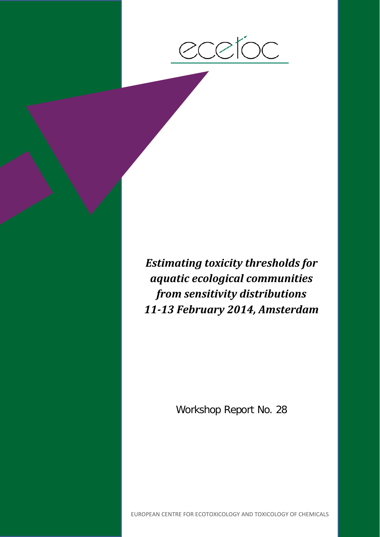

*Estimating toxicity thresholds for aquatic ecological communities from sensitivity distributions 11-13 February 2014, Amsterdam*

Workshop Report No. 28

EUROPEAN CENTRE FOR ECOTOXICOLOGY AND TOXICOLOGY OF CHEMICALS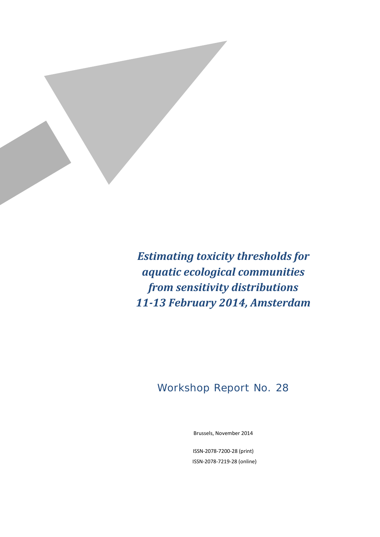

*Estimating toxicity thresholds for aquatic ecological communities from sensitivity distributions 11-13 February 2014, Amsterdam*

## Workshop Report No. 28

Brussels, November 2014

ISSN-2078-7200-28 (print) ISSN-2078-7219-28 (online)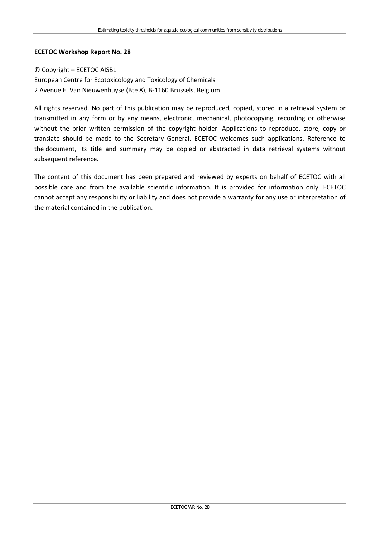#### **ECETOC Workshop Report No. 28**

### © Copyright – ECETOC AISBL European Centre for Ecotoxicology and Toxicology of Chemicals 2 Avenue E. Van Nieuwenhuyse (Bte 8), B-1160 Brussels, Belgium.

All rights reserved. No part of this publication may be reproduced, copied, stored in a retrieval system or transmitted in any form or by any means, electronic, mechanical, photocopying, recording or otherwise without the prior written permission of the copyright holder. Applications to reproduce, store, copy or translate should be made to the Secretary General. ECETOC welcomes such applications. Reference to the document, its title and summary may be copied or abstracted in data retrieval systems without subsequent reference.

The content of this document has been prepared and reviewed by experts on behalf of ECETOC with all possible care and from the available scientific information. It is provided for information only. ECETOC cannot accept any responsibility or liability and does not provide a warranty for any use or interpretation of the material contained in the publication.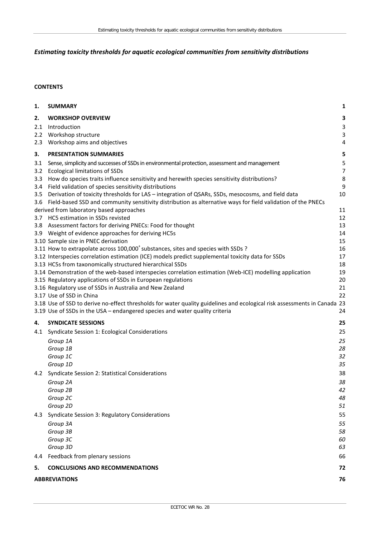### *Estimating toxicity thresholds for aquatic ecological communities from sensitivity distributions*

#### **CONTENTS**

| 1.  | <b>SUMMARY</b>                                                                                                           | 1              |  |  |
|-----|--------------------------------------------------------------------------------------------------------------------------|----------------|--|--|
| 2.  | <b>WORKSHOP OVERVIEW</b>                                                                                                 | 3              |  |  |
| 2.1 | Introduction                                                                                                             | 3              |  |  |
|     | 2.2 Workshop structure                                                                                                   | $\mathbf{3}$   |  |  |
| 2.3 | Workshop aims and objectives                                                                                             | 4              |  |  |
| 3.  | <b>PRESENTATION SUMMARIES</b>                                                                                            | 5              |  |  |
| 3.1 | Sense, simplicity and successes of SSDs in environmental protection, assessment and management                           | 5              |  |  |
|     | 3.2 Ecological limitations of SSDs                                                                                       | $\overline{7}$ |  |  |
| 3.3 | How do species traits influence sensitivity and herewith species sensitivity distributions?                              | 8              |  |  |
|     | 3.4 Field validation of species sensitivity distributions                                                                | 9              |  |  |
|     | 3.5 Derivation of toxicity thresholds for LAS - integration of QSARs, SSDs, mesocosms, and field data                    | 10             |  |  |
|     | 3.6 Field-based SSD and community sensitivity distribution as alternative ways for field validation of the PNECs         |                |  |  |
|     | derived from laboratory based approaches<br>3.7 HC5 estimation in SSDs revisted                                          | 11<br>12       |  |  |
|     | 3.8 Assessment factors for deriving PNECs: Food for thought                                                              | 13             |  |  |
|     | 3.9 Weight of evidence approaches for deriving HC5s                                                                      | 14             |  |  |
|     | 3.10 Sample size in PNEC derivation                                                                                      | 15             |  |  |
|     | 3.11 How to extrapolate across 100,000 <sup>+</sup> substances, sites and species with SSDs ?                            | 16             |  |  |
|     | 3.12 Interspecies correlation estimation (ICE) models predict supplemental toxicity data for SSDs                        | 17             |  |  |
|     | 3.13 HC5s from taxonomically structured hierarchical SSDs                                                                | 18             |  |  |
|     | 3.14 Demonstration of the web-based interspecies correlation estimation (Web-ICE) modelling application                  | 19             |  |  |
|     | 3.15 Regulatory applications of SSDs in European regulations                                                             | 20             |  |  |
|     | 3.16 Regulatory use of SSDs in Australia and New Zealand                                                                 | 21             |  |  |
|     | 3.17 Use of SSD in China                                                                                                 | 22             |  |  |
|     | 3.18 Use of SSD to derive no-effect thresholds for water quality guidelines and ecological risk assessments in Canada 23 |                |  |  |
|     | 3.19 Use of SSDs in the USA - endangered species and water quality criteria                                              | 24             |  |  |
| 4.  | <b>SYNDICATE SESSIONS</b>                                                                                                | 25             |  |  |
|     | 4.1 Syndicate Session 1: Ecological Considerations                                                                       | 25             |  |  |
|     | Group 1A                                                                                                                 | 25             |  |  |
|     | Group 1B                                                                                                                 | 28             |  |  |
|     | Group 1C<br>Group 1D                                                                                                     | 32<br>35       |  |  |
|     | 4.2 Syndicate Session 2: Statistical Considerations                                                                      | 38             |  |  |
|     | Group 2A                                                                                                                 | 38             |  |  |
|     | Group 2B                                                                                                                 | 42             |  |  |
|     | Group 2C                                                                                                                 | 48             |  |  |
|     | Group 2D                                                                                                                 | 51             |  |  |
| 4.3 | Syndicate Session 3: Regulatory Considerations                                                                           | 55             |  |  |
|     | Group 3A                                                                                                                 | 55             |  |  |
|     | Group 3B                                                                                                                 | 58             |  |  |
|     | Group 3C                                                                                                                 | 60             |  |  |
|     | Group 3D                                                                                                                 | 63             |  |  |
| 4.4 | Feedback from plenary sessions                                                                                           | 66             |  |  |
| 5.  | <b>CONCLUSIONS AND RECOMMENDATIONS</b>                                                                                   | 72             |  |  |
|     | 76<br><b>ABBREVIATIONS</b>                                                                                               |                |  |  |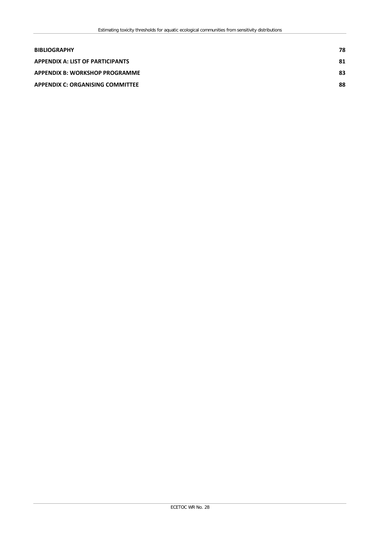| <b>BIBLIOGRAPHY</b>                     | 78 |
|-----------------------------------------|----|
| <b>APPENDIX A: LIST OF PARTICIPANTS</b> | 81 |
| <b>APPENDIX B: WORKSHOP PROGRAMME</b>   | 83 |
| <b>APPENDIX C: ORGANISING COMMITTEE</b> | 88 |
|                                         |    |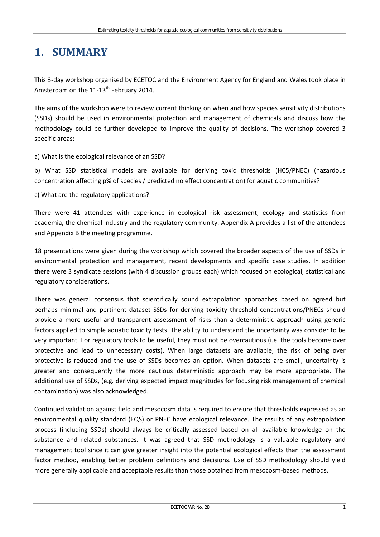# <span id="page-6-0"></span>**1. SUMMARY**

This 3-day workshop organised by ECETOC and the Environment Agency for England and Wales took place in Amsterdam on the  $11-13$ <sup>th</sup> February 2014.

The aims of the workshop were to review current thinking on when and how species sensitivity distributions (SSDs) should be used in environmental protection and management of chemicals and discuss how the methodology could be further developed to improve the quality of decisions. The workshop covered 3 specific areas:

#### a) What is the ecological relevance of an SSD?

b) What SSD statistical models are available for deriving toxic thresholds (HC5/PNEC) (hazardous concentration affecting p% of species / predicted no effect concentration) for aquatic communities?

c) What are the regulatory applications?

There were 41 attendees with experience in ecological risk assessment, ecology and statistics from academia, the chemical industry and the regulatory community. Appendix A provides a list of the attendees and Appendix B the meeting programme.

18 presentations were given during the workshop which covered the broader aspects of the use of SSDs in environmental protection and management, recent developments and specific case studies. In addition there were 3 syndicate sessions (with 4 discussion groups each) which focused on ecological, statistical and regulatory considerations.

There was general consensus that scientifically sound extrapolation approaches based on agreed but perhaps minimal and pertinent dataset SSDs for deriving toxicity threshold concentrations/PNECs should provide a more useful and transparent assessment of risks than a deterministic approach using generic factors applied to simple aquatic toxicity tests. The ability to understand the uncertainty was consider to be very important. For regulatory tools to be useful, they must not be overcautious (i.e. the tools become over protective and lead to unnecessary costs). When large datasets are available, the risk of being over protective is reduced and the use of SSDs becomes an option. When datasets are small, uncertainty is greater and consequently the more cautious deterministic approach may be more appropriate. The additional use of SSDs, (e.g. deriving expected impact magnitudes for focusing risk management of chemical contamination) was also acknowledged.

Continued validation against field and mesocosm data is required to ensure that thresholds expressed as an environmental quality standard (EQS) or PNEC have ecological relevance. The results of any extrapolation process (including SSDs) should always be critically assessed based on all available knowledge on the substance and related substances. It was agreed that SSD methodology is a valuable regulatory and management tool since it can give greater insight into the potential ecological effects than the assessment factor method, enabling better problem definitions and decisions. Use of SSD methodology should yield more generally applicable and acceptable results than those obtained from mesocosm-based methods.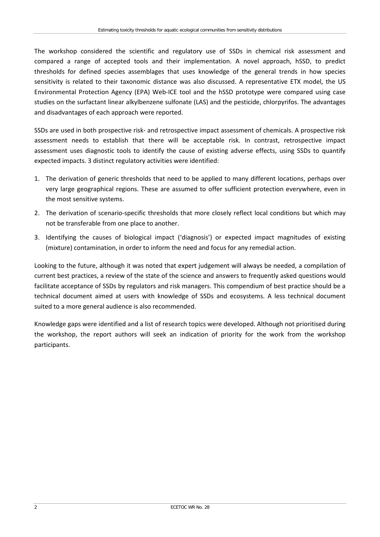The workshop considered the scientific and regulatory use of SSDs in chemical risk assessment and compared a range of accepted tools and their implementation. A novel approach, hSSD, to predict thresholds for defined species assemblages that uses knowledge of the general trends in how species sensitivity is related to their taxonomic distance was also discussed. A representative ETX model, the US Environmental Protection Agency (EPA) Web-ICE tool and the hSSD prototype were compared using case studies on the surfactant linear alkylbenzene sulfonate (LAS) and the pesticide, chlorpyrifos. The advantages and disadvantages of each approach were reported.

SSDs are used in both prospective risk- and retrospective impact assessment of chemicals. A prospective risk assessment needs to establish that there will be acceptable risk. In contrast, retrospective impact assessment uses diagnostic tools to identify the cause of existing adverse effects, using SSDs to quantify expected impacts. 3 distinct regulatory activities were identified:

- 1. The derivation of generic thresholds that need to be applied to many different locations, perhaps over very large geographical regions. These are assumed to offer sufficient protection everywhere, even in the most sensitive systems.
- 2. The derivation of scenario-specific thresholds that more closely reflect local conditions but which may not be transferable from one place to another.
- 3. Identifying the causes of biological impact ('diagnosis') or expected impact magnitudes of existing (mixture) contamination, in order to inform the need and focus for any remedial action.

Looking to the future, although it was noted that expert judgement will always be needed, a compilation of current best practices, a review of the state of the science and answers to frequently asked questions would facilitate acceptance of SSDs by regulators and risk managers. This compendium of best practice should be a technical document aimed at users with knowledge of SSDs and ecosystems. A less technical document suited to a more general audience is also recommended.

Knowledge gaps were identified and a list of research topics were developed. Although not prioritised during the workshop, the report authors will seek an indication of priority for the work from the workshop participants.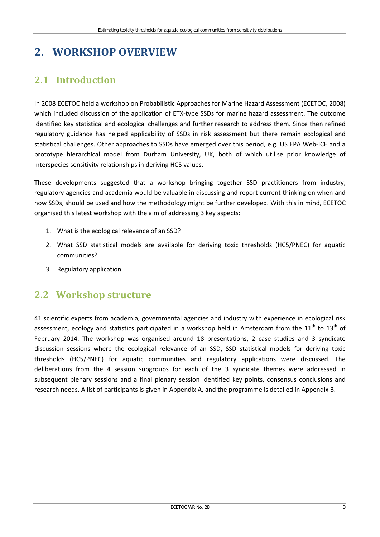# <span id="page-8-0"></span>**2. WORKSHOP OVERVIEW**

## <span id="page-8-1"></span>**2.1 Introduction**

In 2008 ECETOC held a workshop on Probabilistic Approaches for Marine Hazard Assessment (ECETOC, 2008) which included discussion of the application of ETX-type SSDs for marine hazard assessment. The outcome identified key statistical and ecological challenges and further research to address them. Since then refined regulatory guidance has helped applicability of SSDs in risk assessment but there remain ecological and statistical challenges. Other approaches to SSDs have emerged over this period, e.g. US EPA Web-ICE and a prototype hierarchical model from Durham University, UK, both of which utilise prior knowledge of interspecies sensitivity relationships in deriving HC5 values.

These developments suggested that a workshop bringing together SSD practitioners from industry, regulatory agencies and academia would be valuable in discussing and report current thinking on when and how SSDs, should be used and how the methodology might be further developed. With this in mind, ECETOC organised this latest workshop with the aim of addressing 3 key aspects:

- 1. What is the ecological relevance of an SSD?
- 2. What SSD statistical models are available for deriving toxic thresholds (HC5/PNEC) for aquatic communities?
- 3. Regulatory application

## <span id="page-8-2"></span>**2.2 Workshop structure**

41 scientific experts from academia, governmental agencies and industry with experience in ecological risk assessment, ecology and statistics participated in a workshop held in Amsterdam from the  $11^{th}$  to  $13^{th}$  of February 2014. The workshop was organised around 18 presentations, 2 case studies and 3 syndicate discussion sessions where the ecological relevance of an SSD, SSD statistical models for deriving toxic thresholds (HC5/PNEC) for aquatic communities and regulatory applications were discussed. The deliberations from the 4 session subgroups for each of the 3 syndicate themes were addressed in subsequent plenary sessions and a final plenary session identified key points, consensus conclusions and research needs. A list of participants is given in Appendix A, and the programme is detailed in Appendix B.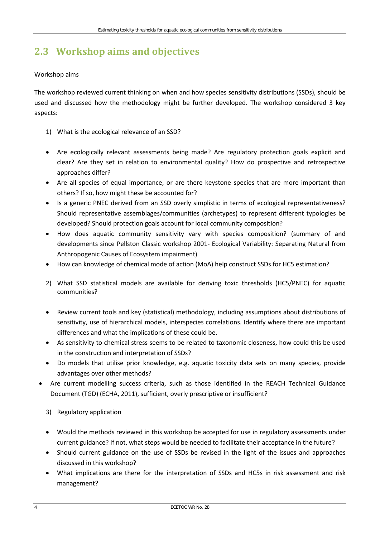# <span id="page-9-0"></span>**2.3 Workshop aims and objectives**

### Workshop aims

The workshop reviewed current thinking on when and how species sensitivity distributions (SSDs), should be used and discussed how the methodology might be further developed. The workshop considered 3 key aspects:

- 1) What is the ecological relevance of an SSD?
- Are ecologically relevant assessments being made? Are regulatory protection goals explicit and clear? Are they set in relation to environmental quality? How do prospective and retrospective approaches differ?
- Are all species of equal importance, or are there keystone species that are more important than others? If so, how might these be accounted for?
- Is a generic PNEC derived from an SSD overly simplistic in terms of ecological representativeness? Should representative assemblages/communities (archetypes) to represent different typologies be developed? Should protection goals account for local community composition?
- How does aquatic community sensitivity vary with species composition? (summary of and developments since Pellston Classic workshop 2001- Ecological Variability: Separating Natural from Anthropogenic Causes of Ecosystem impairment)
- How can knowledge of chemical mode of action (MoA) help construct SSDs for HC5 estimation?
- 2) What SSD statistical models are available for deriving toxic thresholds (HC5/PNEC) for aquatic communities?
- Review current tools and key (statistical) methodology, including assumptions about distributions of sensitivity, use of hierarchical models, interspecies correlations. Identify where there are important differences and what the implications of these could be.
- As sensitivity to chemical stress seems to be related to taxonomic closeness, how could this be used in the construction and interpretation of SSDs?
- Do models that utilise prior knowledge, e.g. aquatic toxicity data sets on many species, provide advantages over other methods?
- Are current modelling success criteria, such as those identified in the REACH Technical Guidance Document (TGD) (ECHA, 2011), sufficient, overly prescriptive or insufficient?
	- 3) Regulatory application
	- Would the methods reviewed in this workshop be accepted for use in regulatory assessments under current guidance? If not, what steps would be needed to facilitate their acceptance in the future?
	- Should current guidance on the use of SSDs be revised in the light of the issues and approaches discussed in this workshop?
	- What implications are there for the interpretation of SSDs and HC5s in risk assessment and risk management?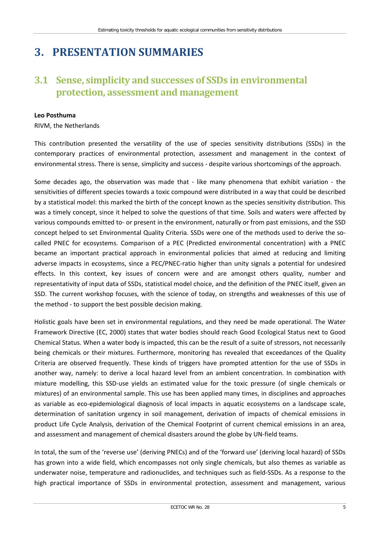# <span id="page-10-0"></span>**3. PRESENTATION SUMMARIES**

## <span id="page-10-1"></span>**3.1 Sense, simplicity and successes of SSDs in environmental protection, assessment and management**

#### **Leo Posthuma**

RIVM, the Netherlands

This contribution presented the versatility of the use of species sensitivity distributions (SSDs) in the contemporary practices of environmental protection, assessment and management in the context of environmental stress. There is sense, simplicity and success - despite various shortcomings of the approach.

Some decades ago, the observation was made that - like many phenomena that exhibit variation - the sensitivities of different species towards a toxic compound were distributed in a way that could be described by a statistical model: this marked the birth of the concept known as the species sensitivity distribution. This was a timely concept, since it helped to solve the questions of that time. Soils and waters were affected by various compounds emitted to- or present in the environment, naturally or from past emissions, and the SSD concept helped to set Environmental Quality Criteria. SSDs were one of the methods used to derive the socalled PNEC for ecosystems. Comparison of a PEC (Predicted environmental concentration) with a PNEC became an important practical approach in environmental policies that aimed at reducing and limiting adverse impacts in ecosystems, since a PEC/PNEC-ratio higher than unity signals a potential for undesired effects. In this context, key issues of concern were and are amongst others quality, number and representativity of input data of SSDs, statistical model choice, and the definition of the PNEC itself, given an SSD. The current workshop focuses, with the science of today, on strengths and weaknesses of this use of the method - to support the best possible decision making.

Holistic goals have been set in environmental regulations, and they need be made operational. The Water Framework Directive (EC, 2000) states that water bodies should reach Good Ecological Status next to Good Chemical Status. When a water body is impacted, this can be the result of a suite of stressors, not necessarily being chemicals or their mixtures. Furthermore, monitoring has revealed that exceedances of the Quality Criteria are observed frequently. These kinds of triggers have prompted attention for the use of SSDs in another way, namely: to derive a local hazard level from an ambient concentration. In combination with mixture modelling, this SSD-use yields an estimated value for the toxic pressure (of single chemicals or mixtures) of an environmental sample. This use has been applied many times, in disciplines and approaches as variable as eco-epidemiological diagnosis of local impacts in aquatic ecosystems on a landscape scale, determination of sanitation urgency in soil management, derivation of impacts of chemical emissions in product Life Cycle Analysis, derivation of the Chemical Footprint of current chemical emissions in an area, and assessment and management of chemical disasters around the globe by UN-field teams.

In total, the sum of the 'reverse use' (deriving PNECs) and of the 'forward use' (deriving local hazard) of SSDs has grown into a wide field, which encompasses not only single chemicals, but also themes as variable as underwater noise, temperature and radionuclides, and techniques such as field-SSDs. As a response to the high practical importance of SSDs in environmental protection, assessment and management, various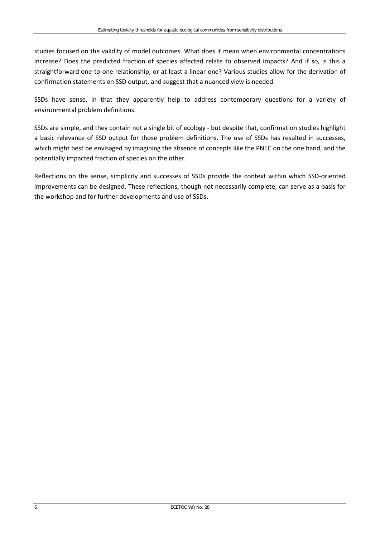studies focused on the validity of model outcomes. What does it mean when environmental concentrations increase? Does the predicted fraction of species affected relate to observed impacts? And if so, is this a straightforward one-to-one relationship, or at least a linear one? Various studies allow for the derivation of confirmation statements on SSD output, and suggest that a nuanced view is needed.

SSDs have sense, in that they apparently help to address contemporary questions for a variety of environmental problem definitions.

SSDs are simple, and they contain not a single bit of ecology - but despite that, confirmation studies highlight a basic relevance of SSD output for those problem definitions. The use of SSDs has resulted in successes, which might best be envisaged by imagining the absence of concepts like the PNEC on the one hand, and the potentially impacted fraction of species on the other.

Reflections on the sense, simplicity and successes of SSDs provide the context within which SSD-oriented improvements can be designed. These reflections, though not necessarily complete, can serve as a basis for the workshop and for further developments and use of SSDs.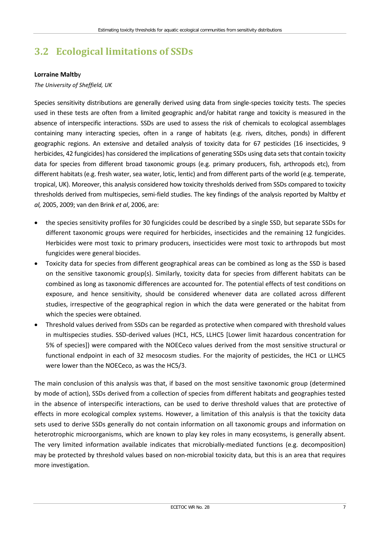# <span id="page-12-0"></span>**3.2 Ecological limitations of SSDs**

#### **Lorraine Maltb**y

#### *The University of Sheffield, UK*

Species sensitivity distributions are generally derived using data from single-species toxicity tests. The species used in these tests are often from a limited geographic and/or habitat range and toxicity is measured in the absence of interspecific interactions. SSDs are used to assess the risk of chemicals to ecological assemblages containing many interacting species, often in a range of habitats (e.g. rivers, ditches, ponds) in different geographic regions. An extensive and detailed analysis of toxicity data for 67 pesticides (16 insecticides, 9 herbicides, 42 fungicides) has considered the implications of generating SSDs using data sets that contain toxicity data for species from different broad taxonomic groups (e.g. primary producers, fish, arthropods etc), from different habitats (e.g. fresh water, sea water, lotic, lentic) and from different parts of the world (e.g. temperate, tropical, UK). Moreover, this analysis considered how toxicity thresholds derived from SSDs compared to toxicity thresholds derived from multispecies, semi-field studies. The key findings of the analysis reported by Maltby *et al,* 2005, 2009; van den Brink *et al*, 2006, are:

- the species sensitivity profiles for 30 fungicides could be described by a single SSD, but separate SSDs for different taxonomic groups were required for herbicides, insecticides and the remaining 12 fungicides. Herbicides were most toxic to primary producers, insecticides were most toxic to arthropods but most fungicides were general biocides.
- Toxicity data for species from different geographical areas can be combined as long as the SSD is based on the sensitive taxonomic group(s). Similarly, toxicity data for species from different habitats can be combined as long as taxonomic differences are accounted for. The potential effects of test conditions on exposure, and hence sensitivity, should be considered whenever data are collated across different studies, irrespective of the geographical region in which the data were generated or the habitat from which the species were obtained.
- Threshold values derived from SSDs can be regarded as protective when compared with threshold values in multispecies studies. SSD-derived values (HC1, HC5, LLHC5 [Lower limit hazardous concentration for 5% of species]) were compared with the NOECeco values derived from the most sensitive structural or functional endpoint in each of 32 mesocosm studies. For the majority of pesticides, the HC1 or LLHC5 were lower than the NOECeco, as was the HC5/3.

The main conclusion of this analysis was that, if based on the most sensitive taxonomic group (determined by mode of action), SSDs derived from a collection of species from different habitats and geographies tested in the absence of interspecific interactions, can be used to derive threshold values that are protective of effects in more ecological complex systems. However, a limitation of this analysis is that the toxicity data sets used to derive SSDs generally do not contain information on all taxonomic groups and information on heterotrophic microorganisms, which are known to play key roles in many ecosystems, is generally absent. The very limited information available indicates that microbially-mediated functions (e.g. decomposition) may be protected by threshold values based on non-microbial toxicity data, but this is an area that requires more investigation.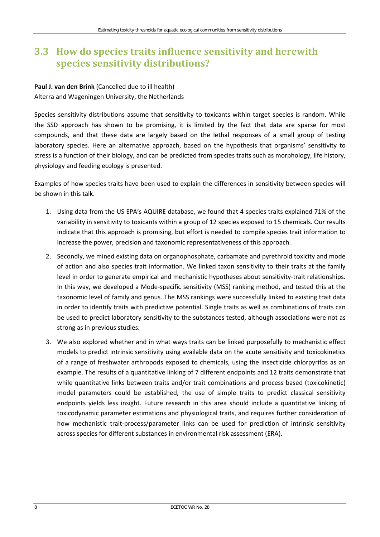## <span id="page-13-0"></span>**3.3 How do species traits influence sensitivity and herewith species sensitivity distributions?**

# **Paul J. van den Brink** (Cancelled due to ill health)

Alterra and Wageningen University, the Netherlands

Species sensitivity distributions assume that sensitivity to toxicants within target species is random. While the SSD approach has shown to be promising, it is limited by the fact that data are sparse for most compounds, and that these data are largely based on the lethal responses of a small group of testing laboratory species. Here an alternative approach, based on the hypothesis that organisms' sensitivity to stress is a function of their biology, and can be predicted from species traits such as morphology, life history, physiology and feeding ecology is presented.

Examples of how species traits have been used to explain the differences in sensitivity between species will be shown in this talk.

- 1. Using data from the US EPA's AQUIRE database, we found that 4 species traits explained 71% of the variability in sensitivity to toxicants within a group of 12 species exposed to 15 chemicals. Our results indicate that this approach is promising, but effort is needed to compile species trait information to increase the power, precision and taxonomic representativeness of this approach.
- 2. Secondly, we mined existing data on organophosphate, carbamate and pyrethroid toxicity and mode of action and also species trait information. We linked taxon sensitivity to their traits at the family level in order to generate empirical and mechanistic hypotheses about sensitivity-trait relationships. In this way, we developed a Mode-specific sensitivity (MSS) ranking method, and tested this at the taxonomic level of family and genus. The MSS rankings were successfully linked to existing trait data in order to identify traits with predictive potential. Single traits as well as combinations of traits can be used to predict laboratory sensitivity to the substances tested, although associations were not as strong as in previous studies.
- 3. We also explored whether and in what ways traits can be linked purposefully to mechanistic effect models to predict intrinsic sensitivity using available data on the acute sensitivity and toxicokinetics of a range of freshwater arthropods exposed to chemicals, using the insecticide chlorpyrifos as an example. The results of a quantitative linking of 7 different endpoints and 12 traits demonstrate that while quantitative links between traits and/or trait combinations and process based (toxicokinetic) model parameters could be established, the use of simple traits to predict classical sensitivity endpoints yields less insight. Future research in this area should include a quantitative linking of toxicodynamic parameter estimations and physiological traits, and requires further consideration of how mechanistic trait-process/parameter links can be used for prediction of intrinsic sensitivity across species for different substances in environmental risk assessment (ERA).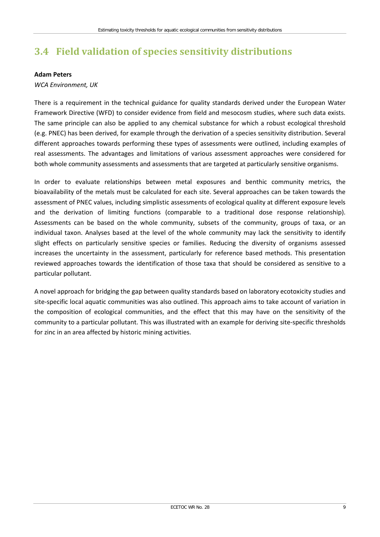# <span id="page-14-0"></span>**3.4 Field validation of species sensitivity distributions**

#### **Adam Peters**

### *WCA Environment, UK*

There is a requirement in the technical guidance for quality standards derived under the European Water Framework Directive (WFD) to consider evidence from field and mesocosm studies, where such data exists. The same principle can also be applied to any chemical substance for which a robust ecological threshold (e.g. PNEC) has been derived, for example through the derivation of a species sensitivity distribution. Several different approaches towards performing these types of assessments were outlined, including examples of real assessments. The advantages and limitations of various assessment approaches were considered for both whole community assessments and assessments that are targeted at particularly sensitive organisms.

In order to evaluate relationships between metal exposures and benthic community metrics, the bioavailability of the metals must be calculated for each site. Several approaches can be taken towards the assessment of PNEC values, including simplistic assessments of ecological quality at different exposure levels and the derivation of limiting functions (comparable to a traditional dose response relationship). Assessments can be based on the whole community, subsets of the community, groups of taxa, or an individual taxon. Analyses based at the level of the whole community may lack the sensitivity to identify slight effects on particularly sensitive species or families. Reducing the diversity of organisms assessed increases the uncertainty in the assessment, particularly for reference based methods. This presentation reviewed approaches towards the identification of those taxa that should be considered as sensitive to a particular pollutant.

A novel approach for bridging the gap between quality standards based on laboratory ecotoxicity studies and site-specific local aquatic communities was also outlined. This approach aims to take account of variation in the composition of ecological communities, and the effect that this may have on the sensitivity of the community to a particular pollutant. This was illustrated with an example for deriving site-specific thresholds for zinc in an area affected by historic mining activities.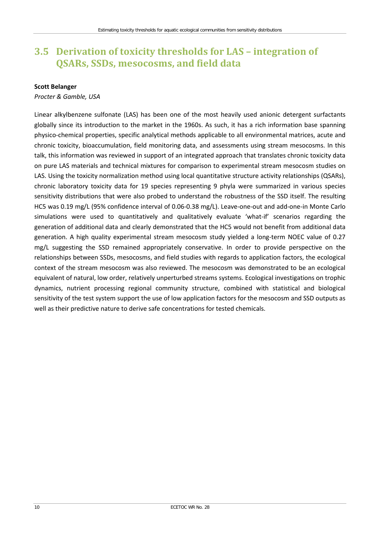## <span id="page-15-0"></span>**3.5 Derivation of toxicity thresholds for LAS – integration of QSARs, SSDs, mesocosms, and field data**

#### **Scott Belanger**

#### *Procter & Gamble, USA*

Linear alkylbenzene sulfonate (LAS) has been one of the most heavily used anionic detergent surfactants globally since its introduction to the market in the 1960s. As such, it has a rich information base spanning physico-chemical properties, specific analytical methods applicable to all environmental matrices, acute and chronic toxicity, bioaccumulation, field monitoring data, and assessments using stream mesocosms. In this talk, this information was reviewed in support of an integrated approach that translates chronic toxicity data on pure LAS materials and technical mixtures for comparison to experimental stream mesocosm studies on LAS. Using the toxicity normalization method using local quantitative structure activity relationships (QSARs), chronic laboratory toxicity data for 19 species representing 9 phyla were summarized in various species sensitivity distributions that were also probed to understand the robustness of the SSD itself. The resulting HC5 was 0.19 mg/L (95% confidence interval of 0.06-0.38 mg/L). Leave-one-out and add-one-in Monte Carlo simulations were used to quantitatively and qualitatively evaluate 'what-if' scenarios regarding the generation of additional data and clearly demonstrated that the HC5 would not benefit from additional data generation. A high quality experimental stream mesocosm study yielded a long-term NOEC value of 0.27 mg/L suggesting the SSD remained appropriately conservative. In order to provide perspective on the relationships between SSDs, mesocosms, and field studies with regards to application factors, the ecological context of the stream mesocosm was also reviewed. The mesocosm was demonstrated to be an ecological equivalent of natural, low order, relatively unperturbed streams systems. Ecological investigations on trophic dynamics, nutrient processing regional community structure, combined with statistical and biological sensitivity of the test system support the use of low application factors for the mesocosm and SSD outputs as well as their predictive nature to derive safe concentrations for tested chemicals.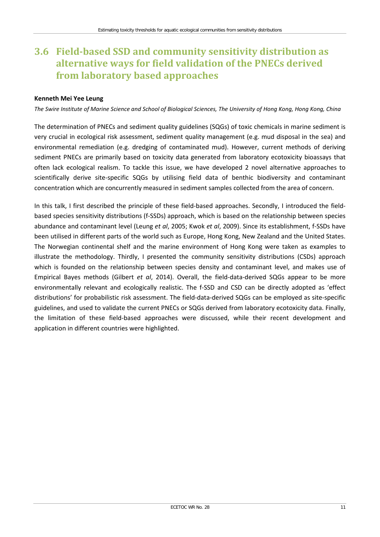## <span id="page-16-0"></span>**3.6 Field-based SSD and community sensitivity distribution as alternative ways for field validation of the PNECs derived from laboratory based approaches**

### **Kenneth Mei Yee Leung**

*The Swire Institute of Marine Science and School of Biological Sciences, The University of Hong Kong, Hong Kong, China* 

The determination of PNECs and sediment quality guidelines (SQGs) of toxic chemicals in marine sediment is very crucial in ecological risk assessment, sediment quality management (e.g. mud disposal in the sea) and environmental remediation (e.g. dredging of contaminated mud). However, current methods of deriving sediment PNECs are primarily based on toxicity data generated from laboratory ecotoxicity bioassays that often lack ecological realism. To tackle this issue, we have developed 2 novel alternative approaches to scientifically derive site-specific SQGs by utilising field data of benthic biodiversity and contaminant concentration which are concurrently measured in sediment samples collected from the area of concern.

In this talk, I first described the principle of these field-based approaches. Secondly, I introduced the fieldbased species sensitivity distributions (f-SSDs) approach, which is based on the relationship between species abundance and contaminant level (Leung *et al*, 2005; Kwok *et al*, 2009). Since its establishment, f-SSDs have been utilised in different parts of the world such as Europe, Hong Kong, New Zealand and the United States. The Norwegian continental shelf and the marine environment of Hong Kong were taken as examples to illustrate the methodology. Thirdly, I presented the community sensitivity distributions (CSDs) approach which is founded on the relationship between species density and contaminant level, and makes use of Empirical Bayes methods (Gilbert *et al*, 2014). Overall, the field-data-derived SQGs appear to be more environmentally relevant and ecologically realistic. The f-SSD and CSD can be directly adopted as 'effect distributions' for probabilistic risk assessment. The field-data-derived SQGs can be employed as site-specific guidelines, and used to validate the current PNECs or SQGs derived from laboratory ecotoxicity data. Finally, the limitation of these field-based approaches were discussed, while their recent development and application in different countries were highlighted.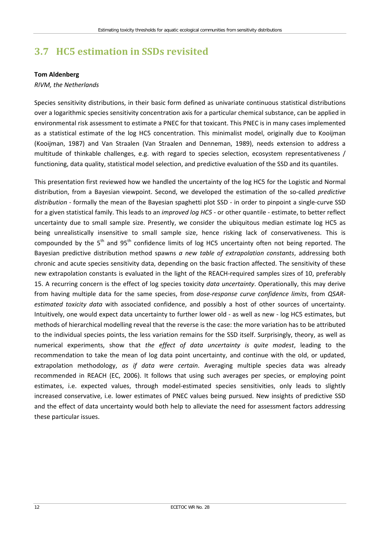# <span id="page-17-0"></span>**3.7 HC5 estimation in SSDs revisited**

#### **Tom Aldenberg**

#### *RIVM, the Netherlands*

Species sensitivity distributions, in their basic form defined as univariate continuous statistical distributions over a logarithmic species sensitivity concentration axis for a particular chemical substance, can be applied in environmental risk assessment to estimate a PNEC for that toxicant. This PNEC is in many cases implemented as a statistical estimate of the log HC5 concentration. This minimalist model, originally due to Kooijman (Kooijman, 1987) and Van Straalen (Van Straalen and Denneman, 1989), needs extension to address a multitude of thinkable challenges, e.g. with regard to species selection, ecosystem representativeness / functioning, data quality, statistical model selection, and predictive evaluation of the SSD and its quantiles.

This presentation first reviewed how we handled the uncertainty of the log HC5 for the Logistic and Normal distribution, from a Bayesian viewpoint. Second, we developed the estimation of the so-called *predictive distribution* - formally the mean of the Bayesian spaghetti plot SSD - in order to pinpoint a single-curve SSD for a given statistical family. This leads to an *improved log HC5* - or other quantile - estimate, to better reflect uncertainty due to small sample size. Presently, we consider the ubiquitous median estimate log HC5 as being unrealistically insensitive to small sample size, hence risking lack of conservativeness. This is compounded by the  $5<sup>th</sup>$  and  $95<sup>th</sup>$  confidence limits of log HC5 uncertainty often not being reported. The Bayesian predictive distribution method spawns *a new table of extrapolation constants*, addressing both chronic and acute species sensitivity data, depending on the basic fraction affected. The sensitivity of these new extrapolation constants is evaluated in the light of the REACH-required samples sizes of 10, preferably 15. A recurring concern is the effect of log species toxicity *data uncertainty*. Operationally, this may derive from having multiple data for the same species, from *dose-response curve confidence limits*, from *QSARestimated toxicity data* with associated confidence, and possibly a host of other sources of uncertainty. Intuitively, one would expect data uncertainty to further lower old - as well as new - log HC5 estimates, but methods of hierarchical modelling reveal that the reverse is the case: the more variation has to be attributed to the individual species points, the less variation remains for the SSD itself. Surprisingly, theory, as well as numerical experiments, show that *the effect of data uncertainty is quite modest*, leading to the recommendation to take the mean of log data point uncertainty, and continue with the old, or updated, extrapolation methodology, *as if data were certain*. Averaging multiple species data was already recommended in REACH (EC, 2006). It follows that using such averages per species, or employing point estimates, i.e. expected values, through model-estimated species sensitivities, only leads to slightly increased conservative, i.e. lower estimates of PNEC values being pursued. New insights of predictive SSD and the effect of data uncertainty would both help to alleviate the need for assessment factors addressing these particular issues.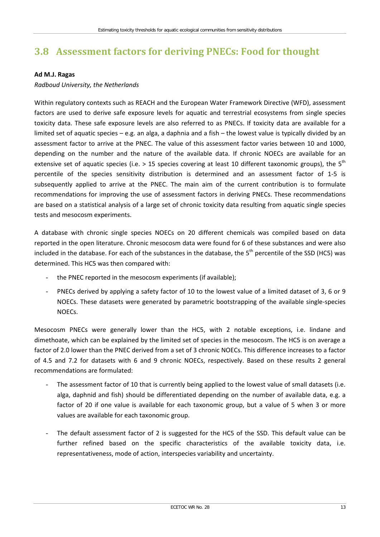# <span id="page-18-0"></span>**3.8 Assessment factors for deriving PNECs: Food for thought**

#### **Ad M.J. Ragas**

#### *Radboud University, the Netherlands*

Within regulatory contexts such as REACH and the European Water Framework Directive (WFD), assessment factors are used to derive safe exposure levels for aquatic and terrestrial ecosystems from single species toxicity data. These safe exposure levels are also referred to as PNECs. If toxicity data are available for a limited set of aquatic species – e.g. an alga, a daphnia and a fish – the lowest value is typically divided by an assessment factor to arrive at the PNEC. The value of this assessment factor varies between 10 and 1000, depending on the number and the nature of the available data. If chronic NOECs are available for an extensive set of aquatic species (i.e. > 15 species covering at least 10 different taxonomic groups), the  $5<sup>th</sup>$ percentile of the species sensitivity distribution is determined and an assessment factor of 1-5 is subsequently applied to arrive at the PNEC. The main aim of the current contribution is to formulate recommendations for improving the use of assessment factors in deriving PNECs. These recommendations are based on a statistical analysis of a large set of chronic toxicity data resulting from aquatic single species tests and mesocosm experiments.

A database with chronic single species NOECs on 20 different chemicals was compiled based on data reported in the open literature. Chronic mesocosm data were found for 6 of these substances and were also included in the database. For each of the substances in the database, the  $5<sup>th</sup>$  percentile of the SSD (HC5) was determined. This HC5 was then compared with:

- the PNEC reported in the mesocosm experiments (if available);
- PNECs derived by applying a safety factor of 10 to the lowest value of a limited dataset of 3, 6 or 9 NOECs. These datasets were generated by parametric bootstrapping of the available single-species NOECs.

Mesocosm PNECs were generally lower than the HC5, with 2 notable exceptions, i.e. lindane and dimethoate, which can be explained by the limited set of species in the mesocosm. The HC5 is on average a factor of 2.0 lower than the PNEC derived from a set of 3 chronic NOECs. This difference increases to a factor of 4.5 and 7.2 for datasets with 6 and 9 chronic NOECs, respectively. Based on these results 2 general recommendations are formulated:

- The assessment factor of 10 that is currently being applied to the lowest value of small datasets (i.e. alga, daphnid and fish) should be differentiated depending on the number of available data, e.g. a factor of 20 if one value is available for each taxonomic group, but a value of 5 when 3 or more values are available for each taxonomic group.
- The default assessment factor of 2 is suggested for the HC5 of the SSD. This default value can be further refined based on the specific characteristics of the available toxicity data, i.e. representativeness, mode of action, interspecies variability and uncertainty.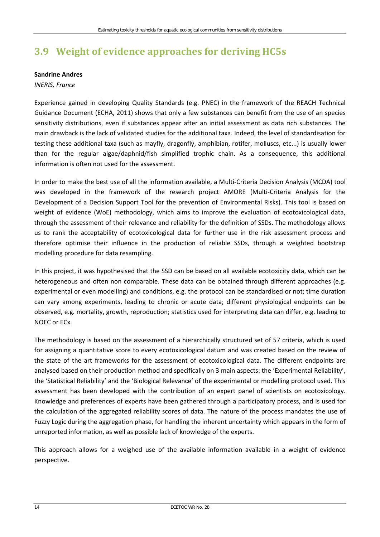# <span id="page-19-0"></span>**3.9 Weight of evidence approaches for deriving HC5s**

#### **Sandrine Andres**

### *INERIS, France*

Experience gained in developing Quality Standards (e.g. PNEC) in the framework of the REACH Technical Guidance Document (ECHA, 2011) shows that only a few substances can benefit from the use of an species sensitivity distributions, even if substances appear after an initial assessment as data rich substances. The main drawback is the lack of validated studies for the additional taxa. Indeed, the level of standardisation for testing these additional taxa (such as mayfly, dragonfly, amphibian, rotifer, molluscs, etc...) is usually lower than for the regular algae/daphnid/fish simplified trophic chain. As a consequence, this additional information is often not used for the assessment.

In order to make the best use of all the information available, a Multi-Criteria Decision Analysis (MCDA) tool was developed in the framework of the research project AMORE (Multi-Criteria Analysis for the Development of a Decision Support Tool for the prevention of Environmental Risks). This tool is based on weight of evidence (WoE) methodology, which aims to improve the evaluation of ecotoxicological data, through the assessment of their relevance and reliability for the definition of SSDs. The methodology allows us to rank the acceptability of ecotoxicological data for further use in the risk assessment process and therefore optimise their influence in the production of reliable SSDs, through a weighted bootstrap modelling procedure for data resampling.

In this project, it was hypothesised that the SSD can be based on all available ecotoxicity data, which can be heterogeneous and often non comparable. These data can be obtained through different approaches (e.g. experimental or even modelling) and conditions, e.g. the protocol can be standardised or not; time duration can vary among experiments, leading to chronic or acute data; different physiological endpoints can be observed, e.g. mortality, growth, reproduction; statistics used for interpreting data can differ, e.g. leading to NOEC or ECx.

The methodology is based on the assessment of a hierarchically structured set of 57 criteria, which is used for assigning a quantitative score to every ecotoxicological datum and was created based on the review of the state of the art frameworks for the assessment of ecotoxicological data. The different endpoints are analysed based on their production method and specifically on 3 main aspects: the 'Experimental Reliability', the 'Statistical Reliability' and the 'Biological Relevance' of the experimental or modelling protocol used. This assessment has been developed with the contribution of an expert panel of scientists on ecotoxicology. Knowledge and preferences of experts have been gathered through a participatory process, and is used for the calculation of the aggregated reliability scores of data. The nature of the process mandates the use of Fuzzy Logic during the aggregation phase, for handling the inherent uncertainty which appears in the form of unreported information, as well as possible lack of knowledge of the experts.

This approach allows for a weighed use of the available information available in a weight of evidence perspective.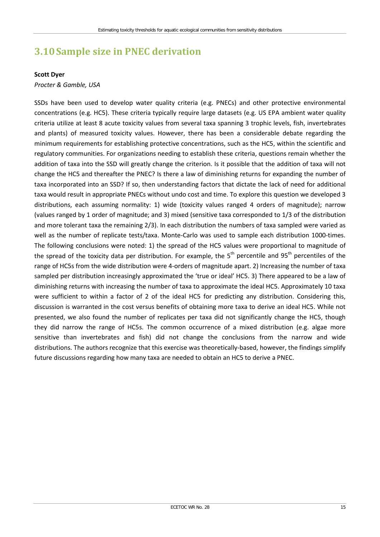# <span id="page-20-0"></span>**3.10Sample size in PNEC derivation**

#### **Scott Dyer**

### *Procter & Gamble, USA*

SSDs have been used to develop water quality criteria (e.g. PNECs) and other protective environmental concentrations (e.g. HC5). These criteria typically require large datasets (e.g. US EPA ambient water quality criteria utilize at least 8 acute toxicity values from several taxa spanning 3 trophic levels, fish, invertebrates and plants) of measured toxicity values. However, there has been a considerable debate regarding the minimum requirements for establishing protective concentrations, such as the HC5, within the scientific and regulatory communities. For organizations needing to establish these criteria, questions remain whether the addition of taxa into the SSD will greatly change the criterion. Is it possible that the addition of taxa will not change the HC5 and thereafter the PNEC? Is there a law of diminishing returns for expanding the number of taxa incorporated into an SSD? If so, then understanding factors that dictate the lack of need for additional taxa would result in appropriate PNECs without undo cost and time. To explore this question we developed 3 distributions, each assuming normality: 1) wide (toxicity values ranged 4 orders of magnitude); narrow (values ranged by 1 order of magnitude; and 3) mixed (sensitive taxa corresponded to 1/3 of the distribution and more tolerant taxa the remaining 2/3). In each distribution the numbers of taxa sampled were varied as well as the number of replicate tests/taxa. Monte-Carlo was used to sample each distribution 1000-times. The following conclusions were noted: 1) the spread of the HC5 values were proportional to magnitude of the spread of the toxicity data per distribution. For example, the  $5<sup>th</sup>$  percentile and 95<sup>th</sup> percentiles of the range of HC5s from the wide distribution were 4-orders of magnitude apart. 2) Increasing the number of taxa sampled per distribution increasingly approximated the 'true or ideal' HC5. 3) There appeared to be a law of diminishing returns with increasing the number of taxa to approximate the ideal HC5. Approximately 10 taxa were sufficient to within a factor of 2 of the ideal HC5 for predicting any distribution. Considering this, discussion is warranted in the cost versus benefits of obtaining more taxa to derive an ideal HC5. While not presented, we also found the number of replicates per taxa did not significantly change the HC5, though they did narrow the range of HC5s. The common occurrence of a mixed distribution (e.g. algae more sensitive than invertebrates and fish) did not change the conclusions from the narrow and wide distributions. The authors recognize that this exercise was theoretically-based, however, the findings simplify future discussions regarding how many taxa are needed to obtain an HC5 to derive a PNEC.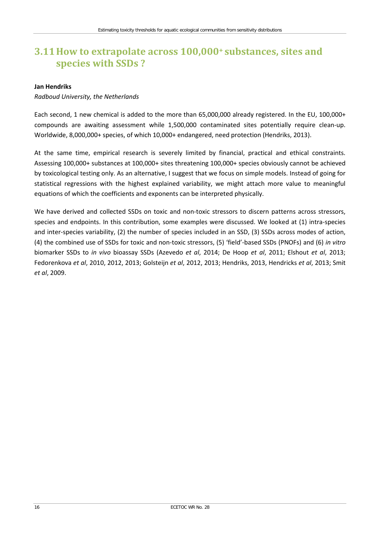## <span id="page-21-0"></span>**3.11How to extrapolate across 100,000+ substances, sites and species with SSDs ?**

#### **Jan Hendriks**

### *Radboud University, the Netherlands*

Each second, 1 new chemical is added to the more than 65,000,000 already registered. In the EU, 100,000+ compounds are awaiting assessment while 1,500,000 contaminated sites potentially require clean-up. Worldwide, 8,000,000+ species, of which 10,000+ endangered, need protection (Hendriks, 2013).

At the same time, empirical research is severely limited by financial, practical and ethical constraints. Assessing 100,000+ substances at 100,000+ sites threatening 100,000+ species obviously cannot be achieved by toxicological testing only. As an alternative, I suggest that we focus on simple models. Instead of going for statistical regressions with the highest explained variability, we might attach more value to meaningful equations of which the coefficients and exponents can be interpreted physically.

We have derived and collected SSDs on toxic and non-toxic stressors to discern patterns across stressors, species and endpoints. In this contribution, some examples were discussed. We looked at (1) intra-species and inter-species variability, (2) the number of species included in an SSD, (3) SSDs across modes of action, (4) the combined use of SSDs for toxic and non-toxic stressors, (5) 'field'-based SSDs (PNOFs) and (6) *in vitro* biomarker SSDs to *in vivo* bioassay SSDs (Azevedo *et al*, 2014; De Hoop *et al*, 2011; Elshout *et al*, 2013; Fedorenkova *et al*, 2010, 2012, 2013; Golsteijn *et al*, 2012, 2013; Hendriks, 2013, Hendricks *et al*, 2013; Smit *et al*, 2009.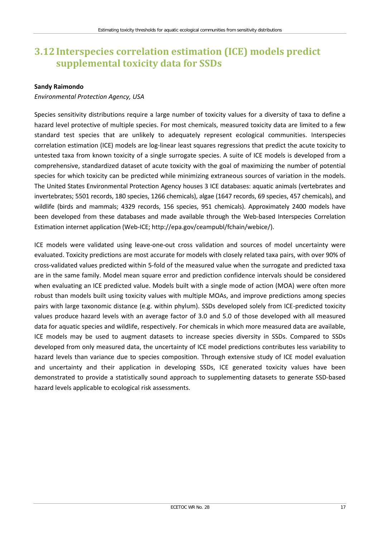## <span id="page-22-0"></span>**3.12Interspecies correlation estimation (ICE) models predict supplemental toxicity data for SSDs**

#### **Sandy Raimondo**

### *Environmental Protection Agency, USA*

Species sensitivity distributions require a large number of toxicity values for a diversity of taxa to define a hazard level protective of multiple species. For most chemicals, measured toxicity data are limited to a few standard test species that are unlikely to adequately represent ecological communities. Interspecies correlation estimation (ICE) models are log-linear least squares regressions that predict the acute toxicity to untested taxa from known toxicity of a single surrogate species. A suite of ICE models is developed from a comprehensive, standardized dataset of acute toxicity with the goal of maximizing the number of potential species for which toxicity can be predicted while minimizing extraneous sources of variation in the models. The United States Environmental Protection Agency houses 3 ICE databases: aquatic animals (vertebrates and invertebrates; 5501 records, 180 species, 1266 chemicals), algae (1647 records, 69 species, 457 chemicals), and wildlife (birds and mammals; 4329 records, 156 species, 951 chemicals). Approximately 2400 models have been developed from these databases and made available through the Web-based Interspecies Correlation Estimation internet application (Web-ICE; [http://epa.gov/ceampubl/fchain/webice/\)](http://epa.gov/ceampubl/fchain/webice/).

ICE models were validated using leave-one-out cross validation and sources of model uncertainty were evaluated. Toxicity predictions are most accurate for models with closely related taxa pairs, with over 90% of cross-validated values predicted within 5-fold of the measured value when the surrogate and predicted taxa are in the same family. Model mean square error and prediction confidence intervals should be considered when evaluating an ICE predicted value. Models built with a single mode of action (MOA) were often more robust than models built using toxicity values with multiple MOAs, and improve predictions among species pairs with large taxonomic distance (e.g. within phylum). SSDs developed solely from ICE-predicted toxicity values produce hazard levels with an average factor of 3.0 and 5.0 of those developed with all measured data for aquatic species and wildlife, respectively. For chemicals in which more measured data are available, ICE models may be used to augment datasets to increase species diversity in SSDs. Compared to SSDs developed from only measured data, the uncertainty of ICE model predictions contributes less variability to hazard levels than variance due to species composition. Through extensive study of ICE model evaluation and uncertainty and their application in developing SSDs, ICE generated toxicity values have been demonstrated to provide a statistically sound approach to supplementing datasets to generate SSD-based hazard levels applicable to ecological risk assessments.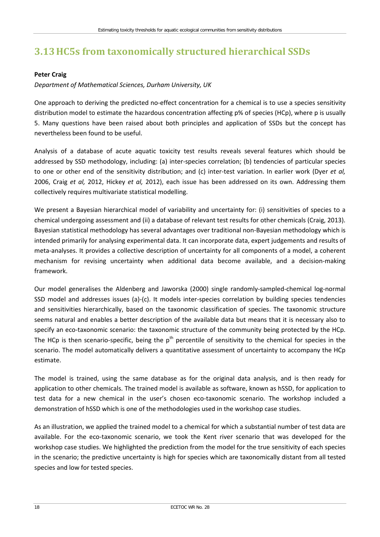# <span id="page-23-0"></span>**3.13HC5s from taxonomically structured hierarchical SSDs**

### **Peter Craig**

### *Department of Mathematical Sciences, Durham University, UK*

One approach to deriving the predicted no-effect concentration for a chemical is to use a species sensitivity distribution model to estimate the hazardous concentration affecting p% of species (HCp), where p is usually 5. Many questions have been raised about both principles and application of SSDs but the concept has nevertheless been found to be useful.

Analysis of a database of acute aquatic toxicity test results reveals several features which should be addressed by SSD methodology, including: (a) inter-species correlation; (b) tendencies of particular species to one or other end of the sensitivity distribution; and (c) inter-test variation. In earlier work (Dyer *et al,* 2006, Craig *et al,* 2012, Hickey *et al,* 2012), each issue has been addressed on its own. Addressing them collectively requires multivariate statistical modelling.

We present a Bayesian hierarchical model of variability and uncertainty for: (i) sensitivities of species to a chemical undergoing assessment and (ii) a database of relevant test results for other chemicals (Craig, 2013). Bayesian statistical methodology has several advantages over traditional non-Bayesian methodology which is intended primarily for analysing experimental data. It can incorporate data, expert judgements and results of meta-analyses. It provides a collective description of uncertainty for all components of a model, a coherent mechanism for revising uncertainty when additional data become available, and a decision-making framework.

Our model generalises the Aldenberg and Jaworska (2000) single randomly-sampled-chemical log-normal SSD model and addresses issues (a)-(c). It models inter-species correlation by building species tendencies and sensitivities hierarchically, based on the taxonomic classification of species. The taxonomic structure seems natural and enables a better description of the available data but means that it is necessary also to specify an eco-taxonomic scenario: the taxonomic structure of the community being protected by the HCp. The HCp is then scenario-specific, being the  $p<sup>th</sup>$  percentile of sensitivity to the chemical for species in the scenario. The model automatically delivers a quantitative assessment of uncertainty to accompany the HCp estimate.

The model is trained, using the same database as for the original data analysis, and is then ready for application to other chemicals. The trained model is available as software, known as hSSD, for application to test data for a new chemical in the user's chosen eco-taxonomic scenario. The workshop included a demonstration of hSSD which is one of the methodologies used in the workshop case studies.

As an illustration, we applied the trained model to a chemical for which a substantial number of test data are available. For the eco-taxonomic scenario, we took the Kent river scenario that was developed for the workshop case studies. We highlighted the prediction from the model for the true sensitivity of each species in the scenario; the predictive uncertainty is high for species which are taxonomically distant from all tested species and low for tested species.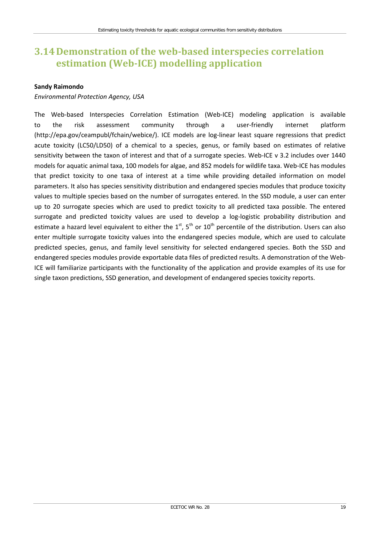## <span id="page-24-0"></span>**3.14Demonstration of the web-based interspecies correlation estimation (Web-ICE) modelling application**

#### **Sandy Raimondo**

### *Environmental Protection Agency, USA*

The Web-based Interspecies Correlation Estimation (Web-ICE) modeling application is available to the risk assessment community through a user-friendly internet platform [\(http://epa.gov/ceampubl/fchain/webice/\)](http://epa.gov/ceampubl/fchain/webice/). ICE models are log-linear least square regressions that predict acute toxicity (LC50/LD50) of a chemical to a species, genus, or family based on estimates of relative sensitivity between the taxon of interest and that of a surrogate species. Web-ICE v 3.2 includes over 1440 models for aquatic animal taxa, 100 models for algae, and 852 models for wildlife taxa. Web-ICE has modules that predict toxicity to one taxa of interest at a time while providing detailed information on model parameters. It also has species sensitivity distribution and endangered species modules that produce toxicity values to multiple species based on the number of surrogates entered. In the SSD module, a user can enter up to 20 surrogate species which are used to predict toxicity to all predicted taxa possible. The entered surrogate and predicted toxicity values are used to develop a log-logistic probability distribution and estimate a hazard level equivalent to either the  $1^{st}$ ,  $5^{th}$  or  $10^{th}$  percentile of the distribution. Users can also enter multiple surrogate toxicity values into the endangered species module, which are used to calculate predicted species, genus, and family level sensitivity for selected endangered species. Both the SSD and endangered species modules provide exportable data files of predicted results. A demonstration of the Web-ICE will familiarize participants with the functionality of the application and provide examples of its use for single taxon predictions, SSD generation, and development of endangered species toxicity reports.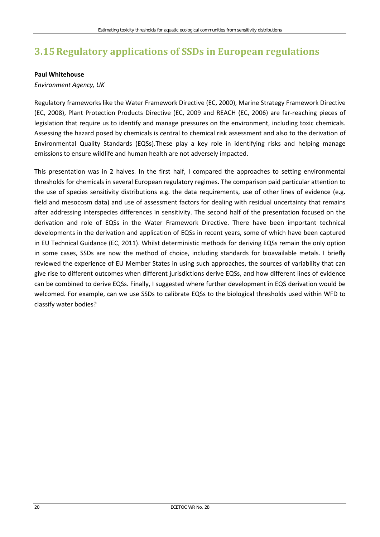# <span id="page-25-0"></span>**3.15Regulatory applications of SSDs in European regulations**

#### **Paul Whitehouse**

### *Environment Agency, UK*

Regulatory frameworks like the Water Framework Directive (EC, 2000), Marine Strategy Framework Directive (EC, 2008), Plant Protection Products Directive (EC, 2009 and REACH (EC, 2006) are far-reaching pieces of legislation that require us to identify and manage pressures on the environment, including toxic chemicals. Assessing the hazard posed by chemicals is central to chemical risk assessment and also to the derivation of Environmental Quality Standards (EQSs).These play a key role in identifying risks and helping manage emissions to ensure wildlife and human health are not adversely impacted.

This presentation was in 2 halves. In the first half, I compared the approaches to setting environmental thresholds for chemicals in several European regulatory regimes. The comparison paid particular attention to the use of species sensitivity distributions e.g. the data requirements, use of other lines of evidence (e.g. field and mesocosm data) and use of assessment factors for dealing with residual uncertainty that remains after addressing interspecies differences in sensitivity. The second half of the presentation focused on the derivation and role of EQSs in the Water Framework Directive. There have been important technical developments in the derivation and application of EQSs in recent years, some of which have been captured in EU Technical Guidance (EC, 2011). Whilst deterministic methods for deriving EQSs remain the only option in some cases, SSDs are now the method of choice, including standards for bioavailable metals. I briefly reviewed the experience of EU Member States in using such approaches, the sources of variability that can give rise to different outcomes when different jurisdictions derive EQSs, and how different lines of evidence can be combined to derive EQSs. Finally, I suggested where further development in EQS derivation would be welcomed. For example, can we use SSDs to calibrate EQSs to the biological thresholds used within WFD to classify water bodies?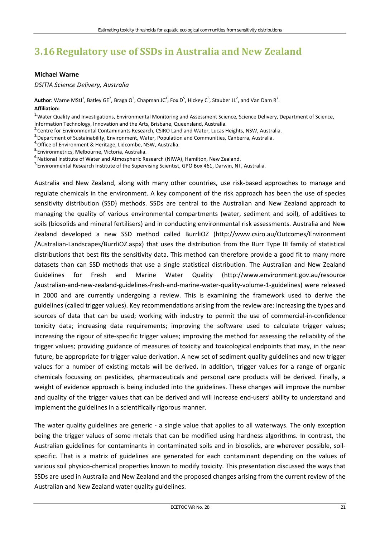# <span id="page-26-0"></span>**3.16Regulatory use of SSDs in Australia and New Zealand**

#### **Michael Warne**

*DSITIA Science Delivery, Australia*

Author: Warne MStJ<sup>1</sup>, Batley GE<sup>2</sup>, Braga O<sup>3</sup>, Chapman JC<sup>4</sup>, Fox D<sup>5</sup>, Hickey C<sup>6</sup>, Stauber JL<sup>2</sup>, and Van Dam R<sup>7</sup>. **Affiliation:** 

<sup>1</sup> Water Quality and Investigations, Environmental Monitoring and Assessment Science, Science Delivery, Department of Science, Information Technology, Innovation and the Arts, Brisbane, Queensland, Australia.

<sup>2</sup>Centre for Environmental Contaminants Research, CSIRO Land and Water, Lucas Heights, NSW, Australia.<br><sup>3</sup>Department of Sustainability, Environment, Water, Population and Communities, Canberra, Australia.

<sup>4</sup>: Office of Environment & Heritage, Lidcombe, NSW, Australia.<br><sup>5.</sup> Environmetrics, Melbourne, Victoria, Australia.

 $6.6$ National Institute of Water and Atmospheric Research (NIWA), Hamilton, New Zealand.

<sup>7</sup> Environmental Research Institute of the Supervising Scientist, GPO Box 461, Darwin, NT, Australia.

Australia and New Zealand, along with many other countries, use risk-based approaches to manage and regulate chemicals in the environment. A key component of the risk approach has been the use of species sensitivity distribution (SSD) methods. SSDs are central to the Australian and New Zealand approach to managing the quality of various environmental compartments (water, sediment and soil), of additives to soils (biosolids and mineral fertilisers) and in conducting environmental risk assessments. Australia and New Zealand developed a new SSD method called BurrliOZ [\(http://www.csiro.au/Outcomes/Environment](http://www.csiro.au/Outcomes/Environment) [/Australian-Landscapes/BurrliOZ.aspx\)](http://www.csiro.au/Outcomes/Environment) that uses the distribution from the Burr Type III family of statistical distributions that best fits the sensitivity data. This method can therefore provide a good fit to many more datasets than can SSD methods that use a single statistical distribution. The Australian and New Zealand Guidelines for Fresh and Marine Water Quality [\(http://www.environment.gov.au/resource](http://www.environment.gov.au/resource) [/australian-and-new-zealand-guidelines-fresh-and-marine-water-quality-volume-1-guidelines\)](http://www.environment.gov.au/resource) were released in 2000 and are currently undergoing a review. This is examining the framework used to derive the guidelines (called trigger values). Key recommendations arising from the review are: increasing the types and sources of data that can be used; working with industry to permit the use of commercial-in-confidence toxicity data; increasing data requirements; improving the software used to calculate trigger values; increasing the rigour of site-specific trigger values; improving the method for assessing the reliability of the trigger values; providing guidance of measures of toxicity and toxicological endpoints that may, in the near future, be appropriate for trigger value derivation. A new set of sediment quality guidelines and new trigger values for a number of existing metals will be derived. In addition, trigger values for a range of organic chemicals focussing on pesticides, pharmaceuticals and personal care products will be derived. Finally, a weight of evidence approach is being included into the guidelines. These changes will improve the number and quality of the trigger values that can be derived and will increase end-users' ability to understand and implement the guidelines in a scientifically rigorous manner.

The water quality guidelines are generic - a single value that applies to all waterways. The only exception being the trigger values of some metals that can be modified using hardness algorithms. In contrast, the Australian guidelines for contaminants in contaminated soils and in biosolids, are wherever possible, soilspecific. That is a matrix of guidelines are generated for each contaminant depending on the values of various soil physico-chemical properties known to modify toxicity. This presentation discussed the ways that SSDs are used in Australia and New Zealand and the proposed changes arising from the current review of the Australian and New Zealand water quality guidelines.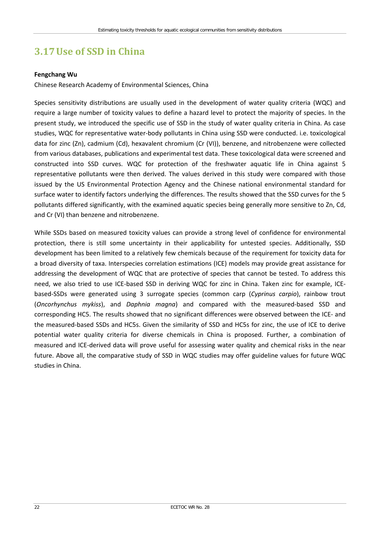## <span id="page-27-0"></span>**3.17Use of SSD in China**

#### **Fengchang Wu**

Chinese Research Academy of Environmental Sciences, China

Species sensitivity distributions are usually used in the development of water quality criteria (WQC) and require a large number of toxicity values to define a hazard level to protect the majority of species. In the present study, we introduced the specific use of SSD in the study of water quality criteria in China. As case studies, WQC for representative water-body pollutants in China using SSD were conducted. i.e. toxicological data for zinc (Zn), cadmium (Cd), hexavalent chromium (Cr (VI)), benzene, and nitrobenzene were collected from various databases, publications and experimental test data. These toxicological data were screened and constructed into SSD curves. WQC for protection of the freshwater aquatic life in China against 5 representative pollutants were then derived. The values derived in this study were compared with those issued by the US Environmental Protection Agency and the Chinese national environmental standard for surface water to identify factors underlying the differences. The results showed that the SSD curves for the 5 pollutants differed significantly, with the examined aquatic species being generally more sensitive to Zn, Cd, and Cr (VI) than benzene and nitrobenzene.

While SSDs based on measured toxicity values can provide a strong level of confidence for environmental protection, there is still some uncertainty in their applicability for untested species. Additionally, SSD development has been limited to a relatively few chemicals because of the requirement for toxicity data for a broad diversity of taxa. Interspecies correlation estimations (ICE) models may provide great assistance for addressing the development of WQC that are protective of species that cannot be tested. To address this need, we also tried to use ICE-based SSD in deriving WQC for zinc in China. Taken zinc for example, ICEbased-SSDs were generated using 3 surrogate species (common carp (*Cyprinus carpio*), rainbow trout (*Oncorhynchus mykiss*), and *Daphnia magna*) and compared with the measured-based SSD and corresponding HC5. The results showed that no significant differences were observed between the ICE- and the measured-based SSDs and HC5s. Given the similarity of SSD and HC5s for zinc, the use of ICE to derive potential water quality criteria for diverse chemicals in China is proposed. Further, a combination of measured and ICE-derived data will prove useful for assessing water quality and chemical risks in the near future. Above all, the comparative study of SSD in WQC studies may offer guideline values for future WQC studies in China.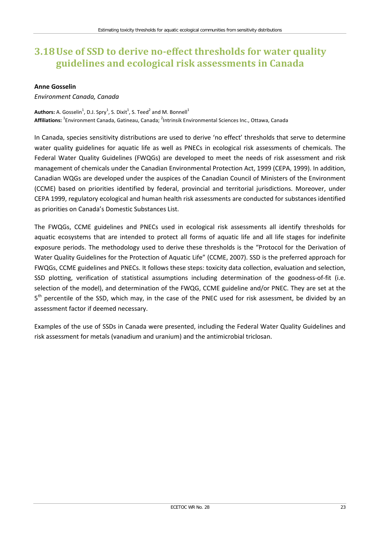## <span id="page-28-0"></span>**3.18Use of SSD to derive no-effect thresholds for water quality guidelines and ecological risk assessments in Canada**

#### **Anne Gosselin**

### *Environment Canada, Canada*

 $\mathsf{Authors}\text{: A. Gosselin}^1$ , D.J. Spry $^1$ , S. Dixit $^1$ , S. Teed $^2$  and M. Bonnell $^1$ Affiliations: <sup>1</sup>Environment Canada, Gatineau, Canada; <sup>2</sup>Intrinsik Environmental Sciences Inc., Ottawa, Canada

In Canada, species sensitivity distributions are used to derive 'no effect' thresholds that serve to determine water quality guidelines for aquatic life as well as PNECs in ecological risk assessments of chemicals. The Federal Water Quality Guidelines (FWQGs) are developed to meet the needs of risk assessment and risk management of chemicals under the Canadian Environmental Protection Act, 1999 (CEPA, 1999). In addition, Canadian WQGs are developed under the auspices of the Canadian Council of Ministers of the Environment (CCME) based on priorities identified by federal, provincial and territorial jurisdictions. Moreover, under CEPA 1999, regulatory ecological and human health risk assessments are conducted for substances identified as priorities on Canada's Domestic Substances List.

The FWQGs, CCME guidelines and PNECs used in ecological risk assessments all identify thresholds for aquatic ecosystems that are intended to protect all forms of aquatic life and all life stages for indefinite exposure periods. The methodology used to derive these thresholds is the "Protocol for the Derivation of Water Quality Guidelines for the Protection of Aquatic Life" (CCME, 2007). SSD is the preferred approach for FWQGs, CCME guidelines and PNECs. It follows these steps: toxicity data collection, evaluation and selection, SSD plotting, verification of statistical assumptions including determination of the goodness-of-fit (i.e. selection of the model), and determination of the FWQG, CCME guideline and/or PNEC. They are set at the  $5<sup>th</sup>$  percentile of the SSD, which may, in the case of the PNEC used for risk assessment, be divided by an assessment factor if deemed necessary.

Examples of the use of SSDs in Canada were presented, including the Federal Water Quality Guidelines and risk assessment for metals (vanadium and uranium) and the antimicrobial triclosan.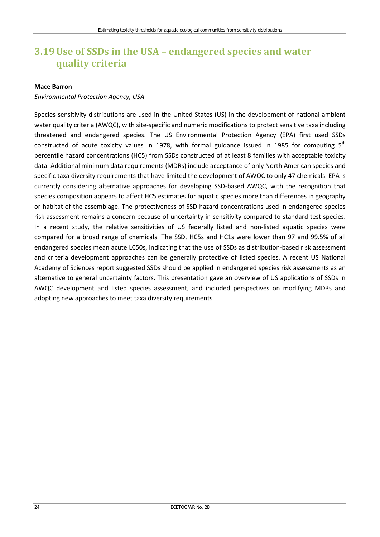## <span id="page-29-0"></span>**3.19Use of SSDs in the USA – endangered species and water quality criteria**

#### **Mace Barron**

### *Environmental Protection Agency, USA*

Species sensitivity distributions are used in the United States (US) in the development of national ambient water quality criteria (AWQC), with site-specific and numeric modifications to protect sensitive taxa including threatened and endangered species. The US Environmental Protection Agency (EPA) first used SSDs constructed of acute toxicity values in 1978, with formal guidance issued in 1985 for computing  $5<sup>th</sup>$ percentile hazard concentrations (HC5) from SSDs constructed of at least 8 families with acceptable toxicity data. Additional minimum data requirements (MDRs) include acceptance of only North American species and specific taxa diversity requirements that have limited the development of AWQC to only 47 chemicals. EPA is currently considering alternative approaches for developing SSD-based AWQC, with the recognition that species composition appears to affect HC5 estimates for aquatic species more than differences in geography or habitat of the assemblage. The protectiveness of SSD hazard concentrations used in endangered species risk assessment remains a concern because of uncertainty in sensitivity compared to standard test species. In a recent study, the relative sensitivities of US federally listed and non-listed aquatic species were compared for a broad range of chemicals. The SSD, HC5s and HC1s were lower than 97 and 99.5% of all endangered species mean acute LC50s, indicating that the use of SSDs as distribution-based risk assessment and criteria development approaches can be generally protective of listed species. A recent US National Academy of Sciences report suggested SSDs should be applied in endangered species risk assessments as an alternative to general uncertainty factors. This presentation gave an overview of US applications of SSDs in AWQC development and listed species assessment, and included perspectives on modifying MDRs and adopting new approaches to meet taxa diversity requirements.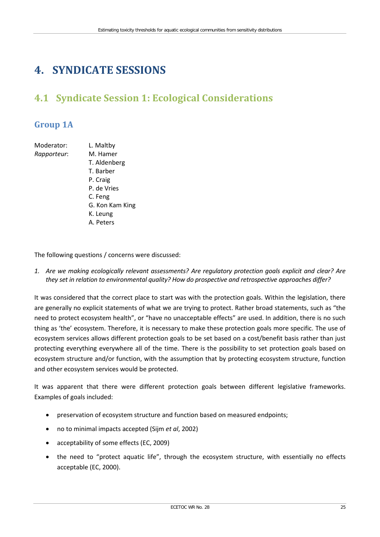# <span id="page-30-0"></span>**4. SYNDICATE SESSIONS**

# <span id="page-30-1"></span>**4.1 Syndicate Session 1: Ecological Considerations**

## <span id="page-30-2"></span>**Group 1A**

| Moderator:  | L. Maltby       |
|-------------|-----------------|
| Rapporteur: | M. Hamer        |
|             | T. Aldenberg    |
|             | T. Barber       |
|             | P. Craig        |
|             | P. de Vries     |
|             | C. Feng         |
|             | G. Kon Kam King |
|             | K. Leung        |
|             | A. Peters       |
|             |                 |

The following questions / concerns were discussed:

*1. Are we making ecologically relevant assessments? Are regulatory protection goals explicit and clear? Are they set in relation to environmental quality? How do prospective and retrospective approaches differ?*

It was considered that the correct place to start was with the protection goals. Within the legislation, there are generally no explicit statements of what we are trying to protect. Rather broad statements, such as "the need to protect ecosystem health", or "have no unacceptable effects" are used. In addition, there is no such thing as 'the' ecosystem. Therefore, it is necessary to make these protection goals more specific. The use of ecosystem services allows different protection goals to be set based on a cost/benefit basis rather than just protecting everything everywhere all of the time. There is the possibility to set protection goals based on ecosystem structure and/or function, with the assumption that by protecting ecosystem structure, function and other ecosystem services would be protected.

It was apparent that there were different protection goals between different legislative frameworks. Examples of goals included:

- preservation of ecosystem structure and function based on measured endpoints;
- no to minimal impacts accepted (Sijm *et al*, 2002)
- acceptability of some effects (EC, 2009)
- the need to "protect aquatic life", through the ecosystem structure, with essentially no effects acceptable (EC, 2000).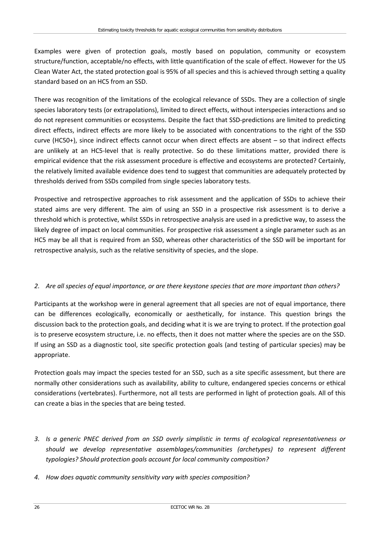Examples were given of protection goals, mostly based on population, community or ecosystem structure/function, acceptable/no effects, with little quantification of the scale of effect. However for the US Clean Water Act, the stated protection goal is 95% of all species and this is achieved through setting a quality standard based on an HC5 from an SSD.

There was recognition of the limitations of the ecological relevance of SSDs. They are a collection of single species laboratory tests (or extrapolations), limited to direct effects, without interspecies interactions and so do not represent communities or ecosystems. Despite the fact that SSD-predictions are limited to predicting direct effects, indirect effects are more likely to be associated with concentrations to the right of the SSD curve (HC50+), since indirect effects cannot occur when direct effects are absent – so that indirect effects are unlikely at an HC5-level that is really protective. So do these limitations matter, provided there is empirical evidence that the risk assessment procedure is effective and ecosystems are protected? Certainly, the relatively limited available evidence does tend to suggest that communities are adequately protected by thresholds derived from SSDs compiled from single species laboratory tests.

Prospective and retrospective approaches to risk assessment and the application of SSDs to achieve their stated aims are very different. The aim of using an SSD in a prospective risk assessment is to derive a threshold which is protective, whilst SSDs in retrospective analysis are used in a predictive way, to assess the likely degree of impact on local communities. For prospective risk assessment a single parameter such as an HC5 may be all that is required from an SSD, whereas other characteristics of the SSD will be important for retrospective analysis, such as the relative sensitivity of species, and the slope.

### *2. Are all species of equal importance, or are there keystone species that are more important than others?*

Participants at the workshop were in general agreement that all species are not of equal importance, there can be differences ecologically, economically or aesthetically, for instance. This question brings the discussion back to the protection goals, and deciding what it is we are trying to protect. If the protection goal is to preserve ecosystem structure, i.e. no effects, then it does not matter where the species are on the SSD. If using an SSD as a diagnostic tool, site specific protection goals (and testing of particular species) may be appropriate.

Protection goals may impact the species tested for an SSD, such as a site specific assessment, but there are normally other considerations such as availability, ability to culture, endangered species concerns or ethical considerations (vertebrates). Furthermore, not all tests are performed in light of protection goals. All of this can create a bias in the species that are being tested.

- *3. Is a generic PNEC derived from an SSD overly simplistic in terms of ecological representativeness or should we develop representative assemblages/communities (archetypes) to represent different typologies? Should protection goals account for local community composition?*
- *4. How does aquatic community sensitivity vary with species composition?*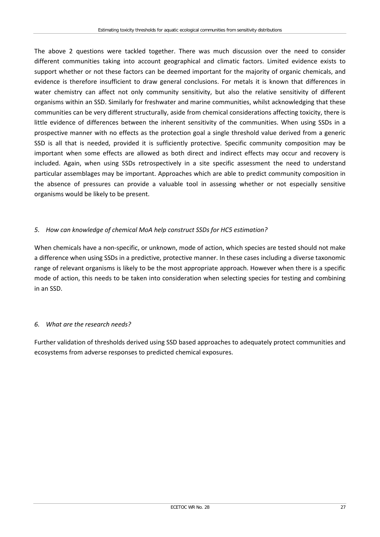The above 2 questions were tackled together. There was much discussion over the need to consider different communities taking into account geographical and climatic factors. Limited evidence exists to support whether or not these factors can be deemed important for the majority of organic chemicals, and evidence is therefore insufficient to draw general conclusions. For metals it is known that differences in water chemistry can affect not only community sensitivity, but also the relative sensitivity of different organisms within an SSD. Similarly for freshwater and marine communities, whilst acknowledging that these communities can be very different structurally, aside from chemical considerations affecting toxicity, there is little evidence of differences between the inherent sensitivity of the communities. When using SSDs in a prospective manner with no effects as the protection goal a single threshold value derived from a generic SSD is all that is needed, provided it is sufficiently protective. Specific community composition may be important when some effects are allowed as both direct and indirect effects may occur and recovery is included. Again, when using SSDs retrospectively in a site specific assessment the need to understand particular assemblages may be important. Approaches which are able to predict community composition in the absence of pressures can provide a valuable tool in assessing whether or not especially sensitive organisms would be likely to be present.

### *5. How can knowledge of chemical MoA help construct SSDs for HC5 estimation?*

When chemicals have a non-specific, or unknown, mode of action, which species are tested should not make a difference when using SSDs in a predictive, protective manner. In these cases including a diverse taxonomic range of relevant organisms is likely to be the most appropriate approach. However when there is a specific mode of action, this needs to be taken into consideration when selecting species for testing and combining in an SSD.

### *6. What are the research needs?*

Further validation of thresholds derived using SSD based approaches to adequately protect communities and ecosystems from adverse responses to predicted chemical exposures.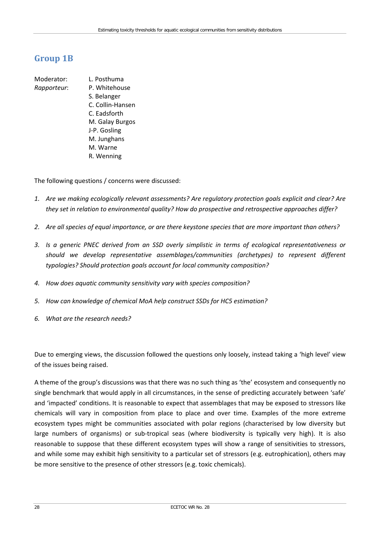## <span id="page-33-0"></span>**Group 1B**

Moderator: L. Posthuma *Rapporteur*: P. Whitehouse S. Belanger C. Collin-Hansen C. Eadsforth M. Galay Burgos J-P. Gosling M. Junghans M. Warne R. Wenning

The following questions / concerns were discussed:

- *1. Are we making ecologically relevant assessments? Are regulatory protection goals explicit and clear? Are they set in relation to environmental quality? How do prospective and retrospective approaches differ?*
- *2. Are all species of equal importance, or are there keystone species that are more important than others?*
- *3. Is a generic PNEC derived from an SSD overly simplistic in terms of ecological representativeness or should we develop representative assemblages/communities (archetypes) to represent different typologies? Should protection goals account for local community composition?*
- *4. How does aquatic community sensitivity vary with species composition?*
- *5. How can knowledge of chemical MoA help construct SSDs for HC5 estimation?*
- *6. What are the research needs?*

Due to emerging views, the discussion followed the questions only loosely, instead taking a 'high level' view of the issues being raised.

A theme of the group's discussions was that there was no such thing as 'the' ecosystem and consequently no single benchmark that would apply in all circumstances, in the sense of predicting accurately between 'safe' and 'impacted' conditions. It is reasonable to expect that assemblages that may be exposed to stressors like chemicals will vary in composition from place to place and over time. Examples of the more extreme ecosystem types might be communities associated with polar regions (characterised by low diversity but large numbers of organisms) or sub-tropical seas (where biodiversity is typically very high). It is also reasonable to suppose that these different ecosystem types will show a range of sensitivities to stressors, and while some may exhibit high sensitivity to a particular set of stressors (e.g. eutrophication), others may be more sensitive to the presence of other stressors (e.g. toxic chemicals).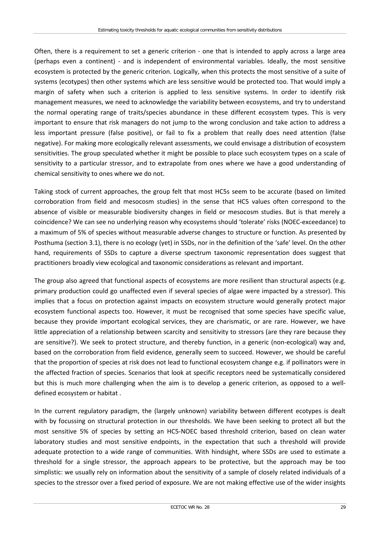Often, there is a requirement to set a generic criterion - one that is intended to apply across a large area (perhaps even a continent) - and is independent of environmental variables. Ideally, the most sensitive ecosystem is protected by the generic criterion. Logically, when this protects the most sensitive of a suite of systems (ecotypes) then other systems which are less sensitive would be protected too. That would imply a margin of safety when such a criterion is applied to less sensitive systems. In order to identify risk management measures, we need to acknowledge the variability between ecosystems, and try to understand the normal operating range of traits/species abundance in these different ecosystem types. This is very important to ensure that risk managers do not jump to the wrong conclusion and take action to address a less important pressure (false positive), or fail to fix a problem that really does need attention (false negative). For making more ecologically relevant assessments, we could envisage a distribution of ecosystem sensitivities. The group speculated whether it might be possible to place such ecosystem types on a scale of sensitivity to a particular stressor, and to extrapolate from ones where we have a good understanding of chemical sensitivity to ones where we do not.

Taking stock of current approaches, the group felt that most HC5s seem to be accurate (based on limited corroboration from field and mesocosm studies) in the sense that HC5 values often correspond to the absence of visible or measurable biodiversity changes in field or mesocosm studies. But is that merely a coincidence? We can see no underlying reason why ecosystems should 'tolerate' risks (NOEC-exceedance) to a maximum of 5% of species without measurable adverse changes to structure or function. As presented by Posthuma (section 3.1), there is no ecology (yet) in SSDs, nor in the definition of the 'safe' level. On the other hand, requirements of SSDs to capture a diverse spectrum taxonomic representation does suggest that practitioners broadly view ecological and taxonomic considerations as relevant and important.

The group also agreed that functional aspects of ecosystems are more resilient than structural aspects (e.g. primary production could go unaffected even if several species of algae were impacted by a stressor). This implies that a focus on protection against impacts on ecosystem structure would generally protect major ecosystem functional aspects too. However, it must be recognised that some species have specific value, because they provide important ecological services, they are charismatic, or are rare. However, we have little appreciation of a relationship between scarcity and sensitivity to stressors (are they rare because they are sensitive?). We seek to protect structure, and thereby function, in a generic (non-ecological) way and, based on the corroboration from field evidence, generally seem to succeed. However, we should be careful that the proportion of species at risk does not lead to functional ecosystem change e.g. if pollinators were in the affected fraction of species. Scenarios that look at specific receptors need be systematically considered but this is much more challenging when the aim is to develop a generic criterion, as opposed to a welldefined ecosystem or habitat .

In the current regulatory paradigm, the (largely unknown) variability between different ecotypes is dealt with by focussing on structural protection in our thresholds. We have been seeking to protect all but the most sensitive 5% of species by setting an HC5-NOEC based threshold criterion, based on clean water laboratory studies and most sensitive endpoints, in the expectation that such a threshold will provide adequate protection to a wide range of communities. With hindsight, where SSDs are used to estimate a threshold for a single stressor, the approach appears to be protective, but the approach may be too simplistic: we usually rely on information about the sensitivity of a sample of closely related individuals of a species to the stressor over a fixed period of exposure. We are not making effective use of the wider insights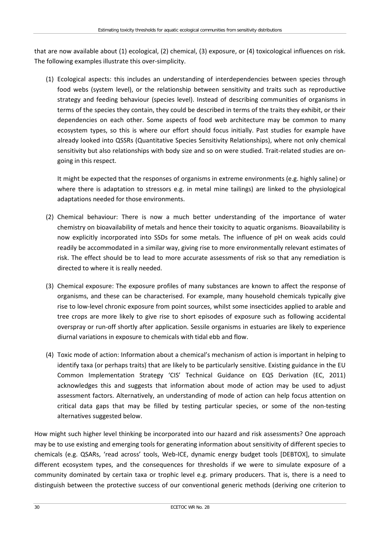that are now available about (1) ecological, (2) chemical, (3) exposure, or (4) toxicological influences on risk. The following examples illustrate this over-simplicity.

(1) Ecological aspects: this includes an understanding of interdependencies between species through food webs (system level), or the relationship between sensitivity and traits such as reproductive strategy and feeding behaviour (species level). Instead of describing communities of organisms in terms of the species they contain, they could be described in terms of the traits they exhibit, or their dependencies on each other. Some aspects of food web architecture may be common to many ecosystem types, so this is where our effort should focus initially. Past studies for example have already looked into QSSRs (Quantitative Species Sensitivity Relationships), where not only chemical sensitivity but also relationships with body size and so on were studied. Trait-related studies are ongoing in this respect.

It might be expected that the responses of organisms in extreme environments (e.g. highly saline) or where there is adaptation to stressors e.g. in metal mine tailings) are linked to the physiological adaptations needed for those environments.

- (2) Chemical behaviour: There is now a much better understanding of the importance of water chemistry on bioavailability of metals and hence their toxicity to aquatic organisms. Bioavailability is now explicitly incorporated into SSDs for some metals. The influence of pH on weak acids could readily be accommodated in a similar way, giving rise to more environmentally relevant estimates of risk. The effect should be to lead to more accurate assessments of risk so that any remediation is directed to where it is really needed.
- (3) Chemical exposure: The exposure profiles of many substances are known to affect the response of organisms, and these can be characterised. For example, many household chemicals typically give rise to low-level chronic exposure from point sources, whilst some insecticides applied to arable and tree crops are more likely to give rise to short episodes of exposure such as following accidental overspray or run-off shortly after application. Sessile organisms in estuaries are likely to experience diurnal variations in exposure to chemicals with tidal ebb and flow.
- (4) Toxic mode of action: Information about a chemical's mechanism of action is important in helping to identify taxa (or perhaps traits) that are likely to be particularly sensitive. Existing guidance in the EU Common Implementation Strategy 'CIS' Technical Guidance on EQS Derivation (EC, 2011) acknowledges this and suggests that information about mode of action may be used to adjust assessment factors. Alternatively, an understanding of mode of action can help focus attention on critical data gaps that may be filled by testing particular species, or some of the non-testing alternatives suggested below.

How might such higher level thinking be incorporated into our hazard and risk assessments? One approach may be to use existing and emerging tools for generating information about sensitivity of different species to chemicals (e.g. QSARs, 'read across' tools, Web-ICE, dynamic energy budget tools [DEBTOX], to simulate different ecosystem types, and the consequences for thresholds if we were to simulate exposure of a community dominated by certain taxa or trophic level e.g. primary producers. That is, there is a need to distinguish between the protective success of our conventional generic methods (deriving one criterion to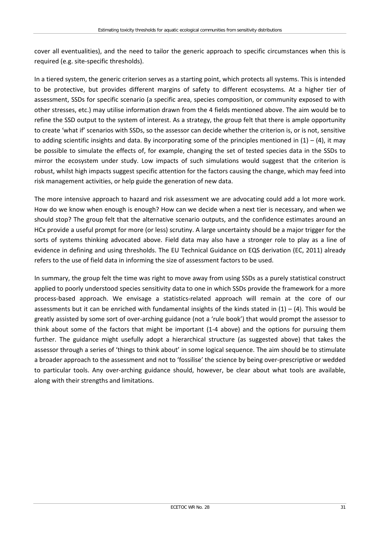cover all eventualities), and the need to tailor the generic approach to specific circumstances when this is required (e.g. site-specific thresholds).

In a tiered system, the generic criterion serves as a starting point, which protects all systems. This is intended to be protective, but provides different margins of safety to different ecosystems. At a higher tier of assessment, SSDs for specific scenario (a specific area, species composition, or community exposed to with other stresses, etc.) may utilise information drawn from the 4 fields mentioned above. The aim would be to refine the SSD output to the system of interest. As a strategy, the group felt that there is ample opportunity to create 'what if' scenarios with SSDs, so the assessor can decide whether the criterion is, or is not, sensitive to adding scientific insights and data. By incorporating some of the principles mentioned in  $(1) - (4)$ , it may be possible to simulate the effects of, for example, changing the set of tested species data in the SSDs to mirror the ecosystem under study. Low impacts of such simulations would suggest that the criterion is robust, whilst high impacts suggest specific attention for the factors causing the change, which may feed into risk management activities, or help guide the generation of new data.

The more intensive approach to hazard and risk assessment we are advocating could add a lot more work. How do we know when enough is enough? How can we decide when a next tier is necessary, and when we should stop? The group felt that the alternative scenario outputs, and the confidence estimates around an HCx provide a useful prompt for more (or less) scrutiny. A large uncertainty should be a major trigger for the sorts of systems thinking advocated above. Field data may also have a stronger role to play as a line of evidence in defining and using thresholds. The EU Technical Guidance on EQS derivation (EC, 2011) already refers to the use of field data in informing the size of assessment factors to be used.

In summary, the group felt the time was right to move away from using SSDs as a purely statistical construct applied to poorly understood species sensitivity data to one in which SSDs provide the framework for a more process-based approach. We envisage a statistics-related approach will remain at the core of our assessments but it can be enriched with fundamental insights of the kinds stated in  $(1) - (4)$ . This would be greatly assisted by some sort of over-arching guidance (not a 'rule book') that would prompt the assessor to think about some of the factors that might be important (1-4 above) and the options for pursuing them further. The guidance might usefully adopt a hierarchical structure (as suggested above) that takes the assessor through a series of 'things to think about' in some logical sequence. The aim should be to stimulate a broader approach to the assessment and not to 'fossilise' the science by being over-prescriptive or wedded to particular tools. Any over-arching guidance should, however, be clear about what tools are available, along with their strengths and limitations.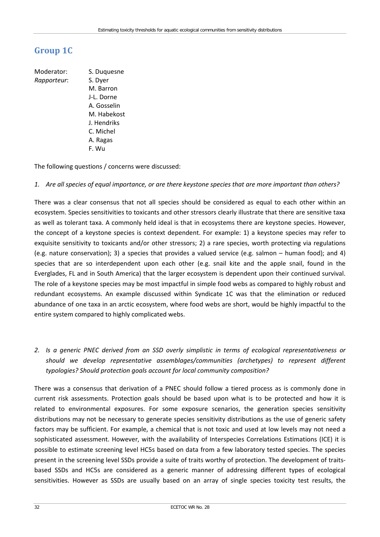## **Group 1C**

Moderator: S. Duquesne *Rapporteur*: S. Dyer M. Barron J-L. Dorne A. Gosselin M. Habekost J. Hendriks C. Michel A. Ragas F. Wu

The following questions / concerns were discussed:

#### *1. Are all species of equal importance, or are there keystone species that are more important than others?*

There was a clear consensus that not all species should be considered as equal to each other within an ecosystem. Species sensitivities to toxicants and other stressors clearly illustrate that there are sensitive taxa as well as tolerant taxa. A commonly held ideal is that in ecosystems there are keystone species. However, the concept of a keystone species is context dependent. For example: 1) a keystone species may refer to exquisite sensitivity to toxicants and/or other stressors; 2) a rare species, worth protecting via regulations (e.g. nature conservation); 3) a species that provides a valued service (e.g. salmon – human food); and 4) species that are so interdependent upon each other (e.g. snail kite and the apple snail, found in the Everglades, FL and in South America) that the larger ecosystem is dependent upon their continued survival. The role of a keystone species may be most impactful in simple food webs as compared to highly robust and redundant ecosystems. An example discussed within Syndicate 1C was that the elimination or reduced abundance of one taxa in an arctic ecosystem, where food webs are short, would be highly impactful to the entire system compared to highly complicated webs.

*2. Is a generic PNEC derived from an SSD overly simplistic in terms of ecological representativeness or should we develop representative assemblages/communities (archetypes) to represent different typologies? Should protection goals account for local community composition?*

There was a consensus that derivation of a PNEC should follow a tiered process as is commonly done in current risk assessments. Protection goals should be based upon what is to be protected and how it is related to environmental exposures. For some exposure scenarios, the generation species sensitivity distributions may not be necessary to generate species sensitivity distributions as the use of generic safety factors may be sufficient. For example, a chemical that is not toxic and used at low levels may not need a sophisticated assessment. However, with the availability of Interspecies Correlations Estimations (ICE) it is possible to estimate screening level HC5s based on data from a few laboratory tested species. The species present in the screening level SSDs provide a suite of traits worthy of protection. The development of traitsbased SSDs and HC5s are considered as a generic manner of addressing different types of ecological sensitivities. However as SSDs are usually based on an array of single species toxicity test results, the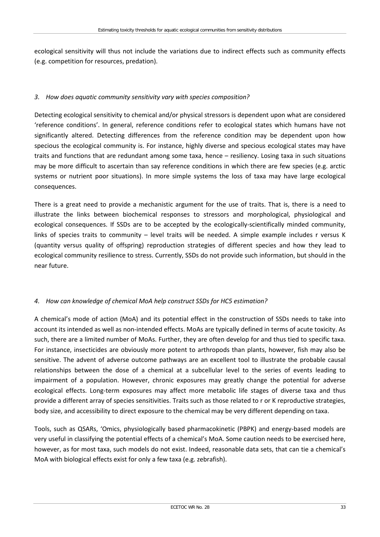ecological sensitivity will thus not include the variations due to indirect effects such as community effects (e.g. competition for resources, predation).

#### *3. How does aquatic community sensitivity vary with species composition?*

Detecting ecological sensitivity to chemical and/or physical stressors is dependent upon what are considered 'reference conditions'. In general, reference conditions refer to ecological states which humans have not significantly altered. Detecting differences from the reference condition may be dependent upon how specious the ecological community is. For instance, highly diverse and specious ecological states may have traits and functions that are redundant among some taxa, hence – resiliency. Losing taxa in such situations may be more difficult to ascertain than say reference conditions in which there are few species (e.g. arctic systems or nutrient poor situations). In more simple systems the loss of taxa may have large ecological consequences.

There is a great need to provide a mechanistic argument for the use of traits. That is, there is a need to illustrate the links between biochemical responses to stressors and morphological, physiological and ecological consequences. If SSDs are to be accepted by the ecologically-scientifically minded community, links of species traits to community – level traits will be needed. A simple example includes r versus K (quantity versus quality of offspring) reproduction strategies of different species and how they lead to ecological community resilience to stress. Currently, SSDs do not provide such information, but should in the near future.

### *4. How can knowledge of chemical MoA help construct SSDs for HC5 estimation?*

A chemical's mode of action (MoA) and its potential effect in the construction of SSDs needs to take into account its intended as well as non-intended effects. MoAs are typically defined in terms of acute toxicity. As such, there are a limited number of MoAs. Further, they are often develop for and thus tied to specific taxa. For instance, insecticides are obviously more potent to arthropods than plants, however, fish may also be sensitive. The advent of adverse outcome pathways are an excellent tool to illustrate the probable causal relationships between the dose of a chemical at a subcellular level to the series of events leading to impairment of a population. However, chronic exposures may greatly change the potential for adverse ecological effects. Long-term exposures may affect more metabolic life stages of diverse taxa and thus provide a different array of species sensitivities. Traits such as those related to r or K reproductive strategies, body size, and accessibility to direct exposure to the chemical may be very different depending on taxa.

Tools, such as QSARs, 'Omics, physiologically based pharmacokinetic (PBPK) and energy-based models are very useful in classifying the potential effects of a chemical's MoA. Some caution needs to be exercised here, however, as for most taxa, such models do not exist. Indeed, reasonable data sets, that can tie a chemical's MoA with biological effects exist for only a few taxa (e.g. zebrafish).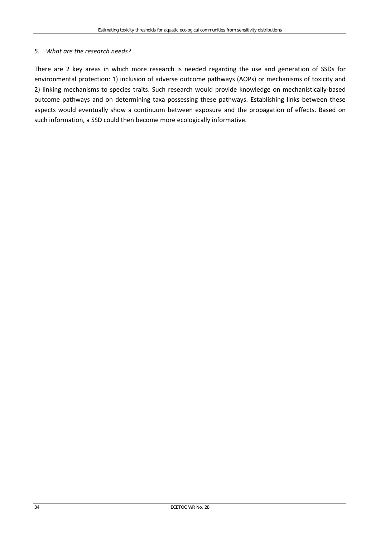#### *5. What are the research needs?*

There are 2 key areas in which more research is needed regarding the use and generation of SSDs for environmental protection: 1) inclusion of adverse outcome pathways (AOPs) or mechanisms of toxicity and 2) linking mechanisms to species traits. Such research would provide knowledge on mechanistically-based outcome pathways and on determining taxa possessing these pathways. Establishing links between these aspects would eventually show a continuum between exposure and the propagation of effects. Based on such information, a SSD could then become more ecologically informative.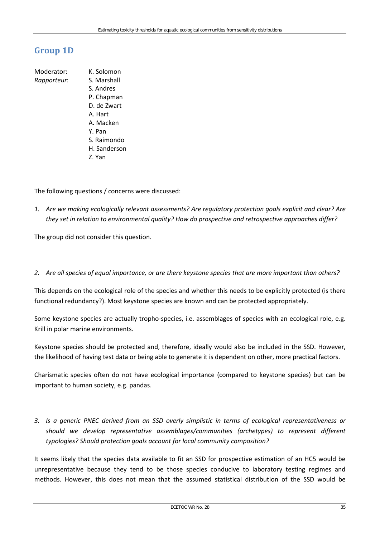## **Group 1D**

Moderator: K. Solomon *Rapporteur*: S. Marshall S. Andres P. Chapman D. de Zwart A. Hart A. Macken Y. Pan S. Raimondo H. Sanderson Z. Yan

The following questions / concerns were discussed:

*1. Are we making ecologically relevant assessments? Are regulatory protection goals explicit and clear? Are they set in relation to environmental quality? How do prospective and retrospective approaches differ?*

The group did not consider this question.

*2. Are all species of equal importance, or are there keystone species that are more important than others?*

This depends on the ecological role of the species and whether this needs to be explicitly protected (is there functional redundancy?). Most keystone species are known and can be protected appropriately.

Some keystone species are actually tropho-species, i.e. assemblages of species with an ecological role, e.g. Krill in polar marine environments.

Keystone species should be protected and, therefore, ideally would also be included in the SSD. However, the likelihood of having test data or being able to generate it is dependent on other, more practical factors.

Charismatic species often do not have ecological importance (compared to keystone species) but can be important to human society, e.g. pandas.

*3. Is a generic PNEC derived from an SSD overly simplistic in terms of ecological representativeness or should we develop representative assemblages/communities (archetypes) to represent different typologies? Should protection goals account for local community composition?* 

It seems likely that the species data available to fit an SSD for prospective estimation of an HC5 would be unrepresentative because they tend to be those species conducive to laboratory testing regimes and methods. However, this does not mean that the assumed statistical distribution of the SSD would be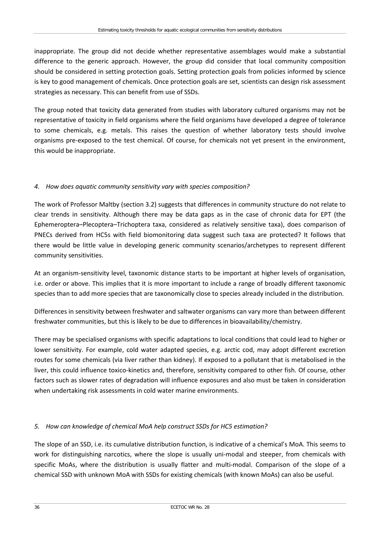inappropriate. The group did not decide whether representative assemblages would make a substantial difference to the generic approach. However, the group did consider that local community composition should be considered in setting protection goals. Setting protection goals from policies informed by science is key to good management of chemicals. Once protection goals are set, scientists can design risk assessment strategies as necessary. This can benefit from use of SSDs.

The group noted that toxicity data generated from studies with laboratory cultured organisms may not be representative of toxicity in field organisms where the field organisms have developed a degree of tolerance to some chemicals, e.g. metals. This raises the question of whether laboratory tests should involve organisms pre-exposed to the test chemical. Of course, for chemicals not yet present in the environment, this would be inappropriate.

### *4. How does aquatic community sensitivity vary with species composition?*

The work of Professor Maltby (section 3.2) suggests that differences in community structure do not relate to clear trends in sensitivity. Although there may be data gaps as in the case of chronic data for EPT (the Ephemeroptera–Plecoptera–Trichoptera taxa, considered as relatively sensitive taxa), does comparison of PNECs derived from HC5s with field biomonitoring data suggest such taxa are protected? It follows that there would be little value in developing generic community scenarios/archetypes to represent different community sensitivities.

At an organism-sensitivity level, taxonomic distance starts to be important at higher levels of organisation, i.e. order or above. This implies that it is more important to include a range of broadly different taxonomic species than to add more species that are taxonomically close to species already included in the distribution.

Differences in sensitivity between freshwater and saltwater organisms can vary more than between different freshwater communities, but this is likely to be due to differences in bioavailability/chemistry.

There may be specialised organisms with specific adaptations to local conditions that could lead to higher or lower sensitivity. For example, cold water adapted species, e.g. arctic cod, may adopt different excretion routes for some chemicals (via liver rather than kidney). If exposed to a pollutant that is metabolised in the liver, this could influence toxico-kinetics and, therefore, sensitivity compared to other fish. Of course, other factors such as slower rates of degradation will influence exposures and also must be taken in consideration when undertaking risk assessments in cold water marine environments.

### *5. How can knowledge of chemical MoA help construct SSDs for HC5 estimation?*

The slope of an SSD, i.e. its cumulative distribution function, is indicative of a chemical's MoA. This seems to work for distinguishing narcotics, where the slope is usually uni-modal and steeper, from chemicals with specific MoAs, where the distribution is usually flatter and multi-modal. Comparison of the slope of a chemical SSD with unknown MoA with SSDs for existing chemicals (with known MoAs) can also be useful.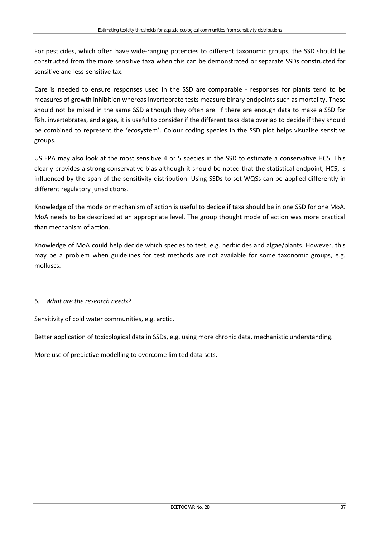For pesticides, which often have wide-ranging potencies to different taxonomic groups, the SSD should be constructed from the more sensitive taxa when this can be demonstrated or separate SSDs constructed for sensitive and less-sensitive tax.

Care is needed to ensure responses used in the SSD are comparable - responses for plants tend to be measures of growth inhibition whereas invertebrate tests measure binary endpoints such as mortality. These should not be mixed in the same SSD although they often are. If there are enough data to make a SSD for fish, invertebrates, and algae, it is useful to consider if the different taxa data overlap to decide if they should be combined to represent the 'ecosystem'. Colour coding species in the SSD plot helps visualise sensitive groups.

US EPA may also look at the most sensitive 4 or 5 species in the SSD to estimate a conservative HC5. This clearly provides a strong conservative bias although it should be noted that the statistical endpoint, HC5, is influenced by the span of the sensitivity distribution. Using SSDs to set WQSs can be applied differently in different regulatory jurisdictions.

Knowledge of the mode or mechanism of action is useful to decide if taxa should be in one SSD for one MoA. MoA needs to be described at an appropriate level. The group thought mode of action was more practical than mechanism of action.

Knowledge of MoA could help decide which species to test, e.g. herbicides and algae/plants. However, this may be a problem when guidelines for test methods are not available for some taxonomic groups, e.g. molluscs.

#### *6. What are the research needs?*

Sensitivity of cold water communities, e.g. arctic.

Better application of toxicological data in SSDs, e.g. using more chronic data, mechanistic understanding.

More use of predictive modelling to overcome limited data sets.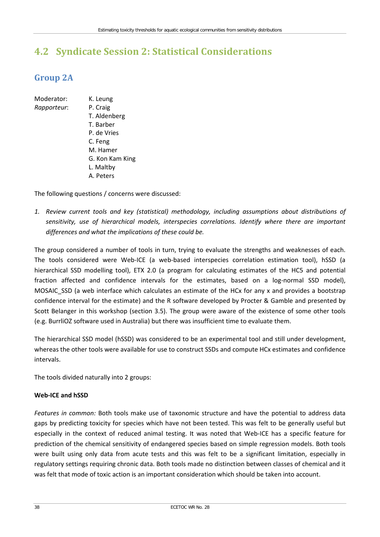# **4.2 Syndicate Session 2: Statistical Considerations**

## **Group 2A**

- Moderator: K. Leung *Rapporteur*: P. Craig
	- T. Aldenberg T. Barber P. de Vries C. Feng M. Hamer G. Kon Kam King L. Maltby A. Peters

The following questions / concerns were discussed:

*1. Review current tools and key (statistical) methodology, including assumptions about distributions of sensitivity, use of hierarchical models, interspecies correlations. Identify where there are important differences and what the implications of these could be.*

The group considered a number of tools in turn, trying to evaluate the strengths and weaknesses of each. The tools considered were Web-ICE (a web-based interspecies correlation estimation tool), hSSD (a hierarchical SSD modelling tool), ETX 2.0 (a program for calculating estimates of the HC5 and potential fraction affected and confidence intervals for the estimates, based on a log-normal SSD model), MOSAIC SSD (a web interface which calculates an estimate of the HCx for any x and provides a bootstrap confidence interval for the estimate) and the R software developed by Procter & Gamble and presented by Scott Belanger in this workshop (section 3.5). The group were aware of the existence of some other tools (e.g. BurrliOZ software used in Australia) but there was insufficient time to evaluate them.

The hierarchical SSD model (hSSD) was considered to be an experimental tool and still under development, whereas the other tools were available for use to construct SSDs and compute HCx estimates and confidence intervals.

The tools divided naturally into 2 groups:

#### **Web-ICE and hSSD**

*Features in common:* Both tools make use of taxonomic structure and have the potential to address data gaps by predicting toxicity for species which have not been tested. This was felt to be generally useful but especially in the context of reduced animal testing. It was noted that Web-ICE has a specific feature for prediction of the chemical sensitivity of endangered species based on simple regression models. Both tools were built using only data from acute tests and this was felt to be a significant limitation, especially in regulatory settings requiring chronic data. Both tools made no distinction between classes of chemical and it was felt that mode of toxic action is an important consideration which should be taken into account.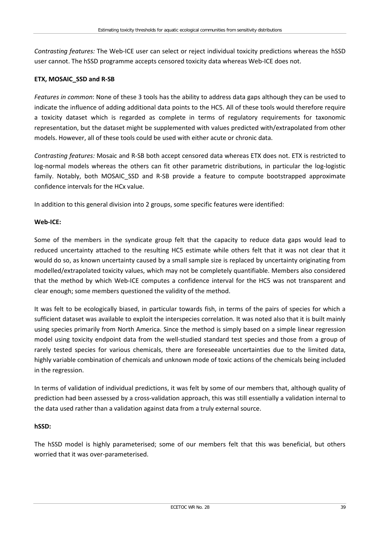*Contrasting features:* The Web-ICE user can select or reject individual toxicity predictions whereas the hSSD user cannot. The hSSD programme accepts censored toxicity data whereas Web-ICE does not.

#### **ETX, MOSAIC\_SSD and R-SB**

*Features in common*: None of these 3 tools has the ability to address data gaps although they can be used to indicate the influence of adding additional data points to the HC5. All of these tools would therefore require a toxicity dataset which is regarded as complete in terms of regulatory requirements for taxonomic representation, but the dataset might be supplemented with values predicted with/extrapolated from other models. However, all of these tools could be used with either acute or chronic data.

*Contrasting features:* Mosaic and R-SB both accept censored data whereas ETX does not. ETX is restricted to log-normal models whereas the others can fit other parametric distributions, in particular the log-logistic family. Notably, both MOSAIC SSD and R-SB provide a feature to compute bootstrapped approximate confidence intervals for the HCx value.

In addition to this general division into 2 groups, some specific features were identified:

#### **Web-ICE:**

Some of the members in the syndicate group felt that the capacity to reduce data gaps would lead to reduced uncertainty attached to the resulting HC5 estimate while others felt that it was not clear that it would do so, as known uncertainty caused by a small sample size is replaced by uncertainty originating from modelled/extrapolated toxicity values, which may not be completely quantifiable. Members also considered that the method by which Web-ICE computes a confidence interval for the HC5 was not transparent and clear enough; some members questioned the validity of the method.

It was felt to be ecologically biased, in particular towards fish, in terms of the pairs of species for which a sufficient dataset was available to exploit the interspecies correlation. It was noted also that it is built mainly using species primarily from North America. Since the method is simply based on a simple linear regression model using toxicity endpoint data from the well-studied standard test species and those from a group of rarely tested species for various chemicals, there are foreseeable uncertainties due to the limited data, highly variable combination of chemicals and unknown mode of toxic actions of the chemicals being included in the regression.

In terms of validation of individual predictions, it was felt by some of our members that, although quality of prediction had been assessed by a cross-validation approach, this was still essentially a validation internal to the data used rather than a validation against data from a truly external source.

#### **hSSD:**

The hSSD model is highly parameterised; some of our members felt that this was beneficial, but others worried that it was over-parameterised.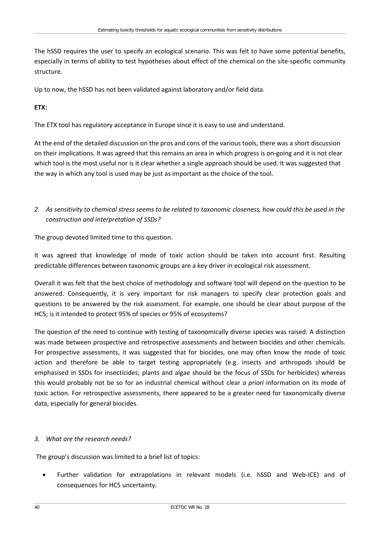The hSSD requires the user to specify an ecological scenario. This was felt to have some potential benefits, especially in terms of ability to test hypotheses about effect of the chemical on the site-specific community structure.

Up to now, the hSSD has not been validated against laboratory and/or field data.

### **ETX:**

The ETX tool has regulatory acceptance in Europe since it is easy to use and understand.

At the end of the detailed discussion on the pros and cons of the various tools, there was a short discussion on their implications. It was agreed that this remains an area in which progress is on-going and it is not clear which tool is the most useful nor is it clear whether a single approach should be used. It was suggested that the way in which any tool is used may be just as important as the choice of the tool.

*2. As sensitivity to chemical stress seems to be related to taxonomic closeness, how could this be used in the construction and interpretation of SSDs?*

The group devoted limited time to this question.

It was agreed that knowledge of mode of toxic action should be taken into account first. Resulting predictable differences between taxonomic groups are a key driver in ecological risk assessment.

Overall it was felt that the best choice of methodology and software tool will depend on the question to be answered. Consequently, it is very important for risk managers to specify clear protection goals and questions to be answered by the risk assessment. For example, one should be clear about purpose of the HC5; is it intended to protect 95% of species or 95% of ecosystems?

The question of the need to continue with testing of taxonomically diverse species was raised. A distinction was made between prospective and retrospective assessments and between biocides and other chemicals. For prospective assessments, it was suggested that for biocides, one may often know the mode of toxic action and therefore be able to target testing appropriately (e.g. insects and arthropods should be emphasised in SSDs for insecticides; plants and algae should be the focus of SSDs for herbicides) whereas this would probably not be so for an industrial chemical without clear *a priori* information on its mode of toxic action. For retrospective assessments, there appeared to be a greater need for taxonomically diverse data, especially for general biocides.

#### *3. What are the research needs?*

The group's discussion was limited to a brief list of topics:

• Further validation for extrapolations in relevant models (i.e. hSSD and Web-ICE) and of consequences for HC5 uncertainty.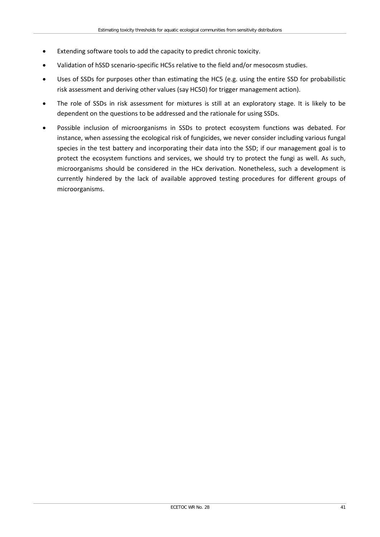- Extending software tools to add the capacity to predict chronic toxicity.
- Validation of hSSD scenario-specific HC5s relative to the field and/or mesocosm studies.
- Uses of SSDs for purposes other than estimating the HC5 (e.g. using the entire SSD for probabilistic risk assessment and deriving other values (say HC50) for trigger management action).
- The role of SSDs in risk assessment for mixtures is still at an exploratory stage. It is likely to be dependent on the questions to be addressed and the rationale for using SSDs.
- Possible inclusion of microorganisms in SSDs to protect ecosystem functions was debated. For instance, when assessing the ecological risk of fungicides, we never consider including various fungal species in the test battery and incorporating their data into the SSD; if our management goal is to protect the ecosystem functions and services, we should try to protect the fungi as well. As such, microorganisms should be considered in the HCx derivation. Nonetheless, such a development is currently hindered by the lack of available approved testing procedures for different groups of microorganisms.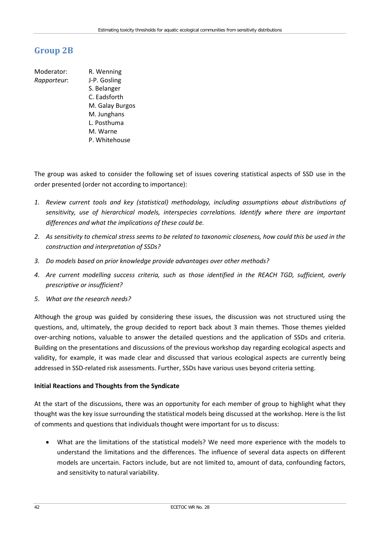## **Group 2B**

Moderator: R. Wenning *Rapporteur*: J-P. Gosling S. Belanger C. Eadsforth M. Galay Burgos M. Junghans L. Posthuma M. Warne P. Whitehouse

The group was asked to consider the following set of issues covering statistical aspects of SSD use in the order presented (order not according to importance):

- *1. Review current tools and key (statistical) methodology, including assumptions about distributions of sensitivity, use of hierarchical models, interspecies correlations. Identify where there are important differences and what the implications of these could be.*
- *2. As sensitivity to chemical stress seems to be related to taxonomic closeness, how could this be used in the construction and interpretation of SSDs?*
- *3. Do models based on prior knowledge provide advantages over other methods?*
- *4. Are current modelling success criteria, such as those identified in the REACH TGD, sufficient, overly prescriptive or insufficient?*
- *5. What are the research needs?*

Although the group was guided by considering these issues, the discussion was not structured using the questions, and, ultimately, the group decided to report back about 3 main themes. Those themes yielded over-arching notions, valuable to answer the detailed questions and the application of SSDs and criteria. Building on the presentations and discussions of the previous workshop day regarding ecological aspects and validity, for example, it was made clear and discussed that various ecological aspects are currently being addressed in SSD-related risk assessments. Further, SSDs have various uses beyond criteria setting.

#### **Initial Reactions and Thoughts from the Syndicate**

At the start of the discussions, there was an opportunity for each member of group to highlight what they thought was the key issue surrounding the statistical models being discussed at the workshop. Here is the list of comments and questions that individuals thought were important for us to discuss:

• What are the limitations of the statistical models? We need more experience with the models to understand the limitations and the differences. The influence of several data aspects on different models are uncertain. Factors include, but are not limited to, amount of data, confounding factors, and sensitivity to natural variability.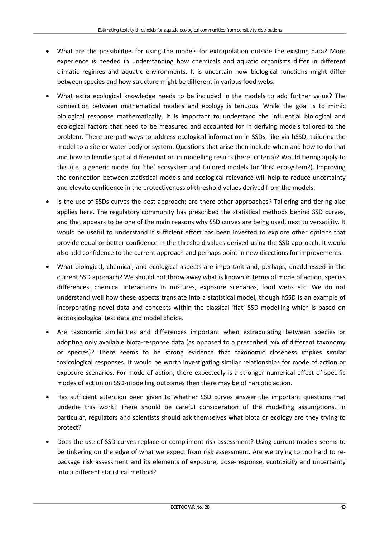- What are the possibilities for using the models for extrapolation outside the existing data? More experience is needed in understanding how chemicals and aquatic organisms differ in different climatic regimes and aquatic environments. It is uncertain how biological functions might differ between species and how structure might be different in various food webs.
- What extra ecological knowledge needs to be included in the models to add further value? The connection between mathematical models and ecology is tenuous. While the goal is to mimic biological response mathematically, it is important to understand the influential biological and ecological factors that need to be measured and accounted for in deriving models tailored to the problem. There are pathways to address ecological information in SSDs, like via hSSD, tailoring the model to a site or water body or system. Questions that arise then include when and how to do that and how to handle spatial differentiation in modelling results (here: criteria)? Would tiering apply to this (i.e. a generic model for 'the' ecosystem and tailored models for 'this' ecosystem?). Improving the connection between statistical models and ecological relevance will help to reduce uncertainty and elevate confidence in the protectiveness of threshold values derived from the models.
- Is the use of SSDs curves the best approach; are there other approaches? Tailoring and tiering also applies here. The regulatory community has prescribed the statistical methods behind SSD curves, and that appears to be one of the main reasons why SSD curves are being used, next to versatility. It would be useful to understand if sufficient effort has been invested to explore other options that provide equal or better confidence in the threshold values derived using the SSD approach. It would also add confidence to the current approach and perhaps point in new directions for improvements.
- What biological, chemical, and ecological aspects are important and, perhaps, unaddressed in the current SSD approach? We should not throw away what is known in terms of mode of action, species differences, chemical interactions in mixtures, exposure scenarios, food webs etc. We do not understand well how these aspects translate into a statistical model, though hSSD is an example of incorporating novel data and concepts within the classical 'flat' SSD modelling which is based on ecotoxicological test data and model choice.
- Are taxonomic similarities and differences important when extrapolating between species or adopting only available biota-response data (as opposed to a prescribed mix of different taxonomy or species)? There seems to be strong evidence that taxonomic closeness implies similar toxicological responses. It would be worth investigating similar relationships for mode of action or exposure scenarios. For mode of action, there expectedly is a stronger numerical effect of specific modes of action on SSD-modelling outcomes then there may be of narcotic action.
- Has sufficient attention been given to whether SSD curves answer the important questions that underlie this work? There should be careful consideration of the modelling assumptions. In particular, regulators and scientists should ask themselves what biota or ecology are they trying to protect?
- Does the use of SSD curves replace or compliment risk assessment? Using current models seems to be tinkering on the edge of what we expect from risk assessment. Are we trying to too hard to repackage risk assessment and its elements of exposure, dose-response, ecotoxicity and uncertainty into a different statistical method?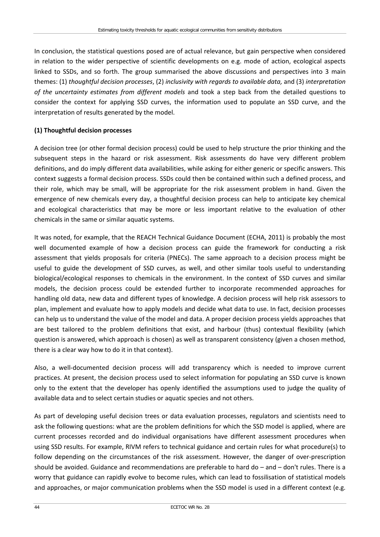In conclusion, the statistical questions posed are of actual relevance, but gain perspective when considered in relation to the wider perspective of scientific developments on e.g. mode of action, ecological aspects linked to SSDs, and so forth. The group summarised the above discussions and perspectives into 3 main themes: (1) *thoughtful decision processes*, (2) *inclusivity with regards to available data,* and (3) *interpretation of the uncertainty estimates from different models* and took a step back from the detailed questions to consider the context for applying SSD curves, the information used to populate an SSD curve, and the interpretation of results generated by the model.

#### **(1) Thoughtful decision processes**

A decision tree (or other formal decision process) could be used to help structure the prior thinking and the subsequent steps in the hazard or risk assessment. Risk assessments do have very different problem definitions, and do imply different data availabilities, while asking for either generic or specific answers. This context suggests a formal decision process. SSDs could then be contained within such a defined process, and their role, which may be small, will be appropriate for the risk assessment problem in hand. Given the emergence of new chemicals every day, a thoughtful decision process can help to anticipate key chemical and ecological characteristics that may be more or less important relative to the evaluation of other chemicals in the same or similar aquatic systems.

It was noted, for example, that the REACH Technical Guidance Document (ECHA, 2011) is probably the most well documented example of how a decision process can guide the framework for conducting a risk assessment that yields proposals for criteria (PNECs). The same approach to a decision process might be useful to guide the development of SSD curves, as well, and other similar tools useful to understanding biological/ecological responses to chemicals in the environment. In the context of SSD curves and similar models, the decision process could be extended further to incorporate recommended approaches for handling old data, new data and different types of knowledge. A decision process will help risk assessors to plan, implement and evaluate how to apply models and decide what data to use. In fact, decision processes can help us to understand the value of the model and data. A proper decision process yields approaches that are best tailored to the problem definitions that exist, and harbour (thus) contextual flexibility (which question is answered, which approach is chosen) as well as transparent consistency (given a chosen method, there is a clear way how to do it in that context).

Also, a well-documented decision process will add transparency which is needed to improve current practices. At present, the decision process used to select information for populating an SSD curve is known only to the extent that the developer has openly identified the assumptions used to judge the quality of available data and to select certain studies or aquatic species and not others.

As part of developing useful decision trees or data evaluation processes, regulators and scientists need to ask the following questions: what are the problem definitions for which the SSD model is applied, where are current processes recorded and do individual organisations have different assessment procedures when using SSD results. For example, RIVM refers to technical guidance and certain rules for what procedure(s) to follow depending on the circumstances of the risk assessment. However, the danger of over-prescription should be avoided. Guidance and recommendations are preferable to hard do – and – don't rules. There is a worry that guidance can rapidly evolve to become rules, which can lead to fossilisation of statistical models and approaches, or major communication problems when the SSD model is used in a different context (e.g.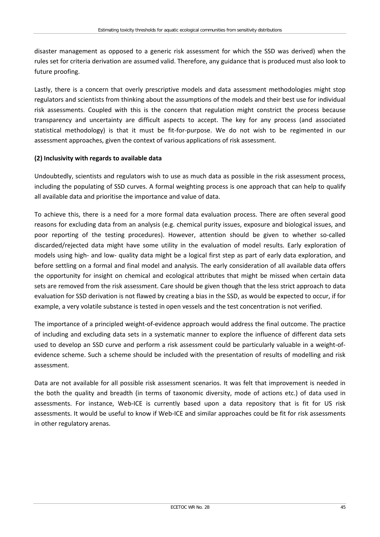disaster management as opposed to a generic risk assessment for which the SSD was derived) when the rules set for criteria derivation are assumed valid. Therefore, any guidance that is produced must also look to future proofing.

Lastly, there is a concern that overly prescriptive models and data assessment methodologies might stop regulators and scientists from thinking about the assumptions of the models and their best use for individual risk assessments. Coupled with this is the concern that regulation might constrict the process because transparency and uncertainty are difficult aspects to accept. The key for any process (and associated statistical methodology) is that it must be fit-for-purpose. We do not wish to be regimented in our assessment approaches, given the context of various applications of risk assessment.

#### **(2) Inclusivity with regards to available data**

Undoubtedly, scientists and regulators wish to use as much data as possible in the risk assessment process, including the populating of SSD curves. A formal weighting process is one approach that can help to qualify all available data and prioritise the importance and value of data.

To achieve this, there is a need for a more formal data evaluation process. There are often several good reasons for excluding data from an analysis (e.g. chemical purity issues, exposure and biological issues, and poor reporting of the testing procedures). However, attention should be given to whether so-called discarded/rejected data might have some utility in the evaluation of model results. Early exploration of models using high- and low- quality data might be a logical first step as part of early data exploration, and before settling on a formal and final model and analysis. The early consideration of all available data offers the opportunity for insight on chemical and ecological attributes that might be missed when certain data sets are removed from the risk assessment. Care should be given though that the less strict approach to data evaluation for SSD derivation is not flawed by creating a bias in the SSD, as would be expected to occur, if for example, a very volatile substance is tested in open vessels and the test concentration is not verified.

The importance of a principled weight-of-evidence approach would address the final outcome. The practice of including and excluding data sets in a systematic manner to explore the influence of different data sets used to develop an SSD curve and perform a risk assessment could be particularly valuable in a weight-ofevidence scheme. Such a scheme should be included with the presentation of results of modelling and risk assessment.

Data are not available for all possible risk assessment scenarios. It was felt that improvement is needed in the both the quality and breadth (in terms of taxonomic diversity, mode of actions etc.) of data used in assessments. For instance, Web-ICE is currently based upon a data repository that is fit for US risk assessments. It would be useful to know if Web-ICE and similar approaches could be fit for risk assessments in other regulatory arenas.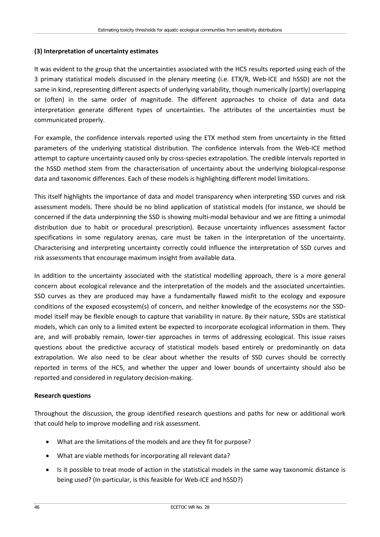#### **(3) Interpretation of uncertainty estimates**

It was evident to the group that the uncertainties associated with the HC5 results reported using each of the 3 primary statistical models discussed in the plenary meeting (i.e. ETX/R, Web-ICE and hSSD) are not the same in kind, representing different aspects of underlying variability, though numerically (partly) overlapping or (often) in the same order of magnitude. The different approaches to choice of data and data interpretation generate different types of uncertainties. The attributes of the uncertainties must be communicated properly.

For example, the confidence intervals reported using the ETX method stem from uncertainty in the fitted parameters of the underlying statistical distribution. The confidence intervals from the Web-ICE method attempt to capture uncertainty caused only by cross-species extrapolation. The credible intervals reported in the hSSD method stem from the characterisation of uncertainty about the underlying biological-response data and taxonomic differences. Each of these models is highlighting different model limitations.

This itself highlights the importance of data and model transparency when interpreting SSD curves and risk assessment models. There should be no blind application of statistical models (for instance, we should be concerned if the data underpinning the SSD is showing multi-modal behaviour and we are fitting a unimodal distribution due to habit or procedural prescription). Because uncertainty influences assessment factor specifications in some regulatory arenas, care must be taken in the interpretation of the uncertainty. Characterising and interpreting uncertainty correctly could influence the interpretation of SSD curves and risk assessments that encourage maximum insight from available data.

In addition to the uncertainty associated with the statistical modelling approach, there is a more general concern about ecological relevance and the interpretation of the models and the associated uncertainties. SSD curves as they are produced may have a fundamentally flawed misfit to the ecology and exposure conditions of the exposed ecosystem(s) of concern, and neither knowledge of the ecosystems nor the SSDmodel itself may be flexible enough to capture that variability in nature. By their nature, SSDs are statistical models, which can only to a limited extent be expected to incorporate ecological information in them. They are, and will probably remain, lower-tier approaches in terms of addressing ecological. This issue raises questions about the predictive accuracy of statistical models based entirely or predominantly on data extrapolation. We also need to be clear about whether the results of SSD curves should be correctly reported in terms of the HC5, and whether the upper and lower bounds of uncertainty should also be reported and considered in regulatory decision-making.

#### **Research questions**

Throughout the discussion, the group identified research questions and paths for new or additional work that could help to improve modelling and risk assessment.

- What are the limitations of the models and are they fit for purpose?
- What are viable methods for incorporating all relevant data?
- Is it possible to treat mode of action in the statistical models in the same way taxonomic distance is being used? (In particular, is this feasible for Web-ICE and hSSD?)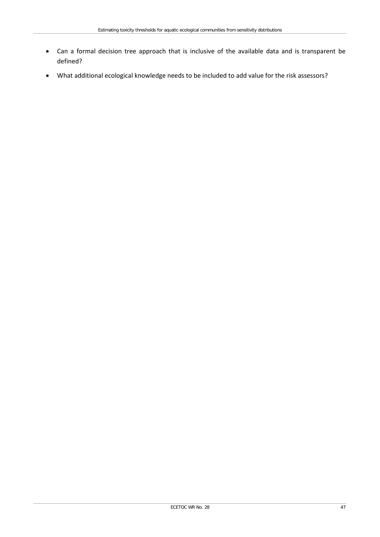- Can a formal decision tree approach that is inclusive of the available data and is transparent be defined?
- What additional ecological knowledge needs to be included to add value for the risk assessors?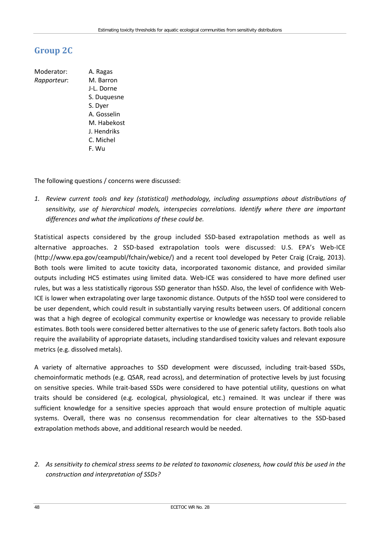## **Group 2C**

Moderator: A. Ragas *Rapporteur*: M. Barron J-L. Dorne S. Duquesne S. Dyer A. Gosselin M. Habekost J. Hendriks C. Michel F. Wu

The following questions / concerns were discussed:

*1. Review current tools and key (statistical) methodology, including assumptions about distributions of sensitivity, use of hierarchical models, interspecies correlations. Identify where there are important differences and what the implications of these could be.*

Statistical aspects considered by the group included SSD-based extrapolation methods as well as alternative approaches. 2 SSD-based extrapolation tools were discussed: U.S. EPA's Web-ICE [\(http://www.epa.gov/ceampubl/fchain/webice/\)](http://www.epa.gov/ceampubl/fchain/webice/) and a recent tool developed by Peter Craig (Craig, 2013). Both tools were limited to acute toxicity data, incorporated taxonomic distance, and provided similar outputs including HC5 estimates using limited data. Web-ICE was considered to have more defined user rules, but was a less statistically rigorous SSD generator than hSSD. Also, the level of confidence with Web-ICE is lower when extrapolating over large taxonomic distance. Outputs of the hSSD tool were considered to be user dependent, which could result in substantially varying results between users. Of additional concern was that a high degree of ecological community expertise or knowledge was necessary to provide reliable estimates. Both tools were considered better alternatives to the use of generic safety factors. Both tools also require the availability of appropriate datasets, including standardised toxicity values and relevant exposure metrics (e.g. dissolved metals).

A variety of alternative approaches to SSD development were discussed, including trait-based SSDs, chemoinformatic methods (e.g. QSAR, read across), and determination of protective levels by just focusing on sensitive species. While trait-based SSDs were considered to have potential utility, questions on what traits should be considered (e.g. ecological, physiological, etc.) remained. It was unclear if there was sufficient knowledge for a sensitive species approach that would ensure protection of multiple aquatic systems. Overall, there was no consensus recommendation for clear alternatives to the SSD-based extrapolation methods above, and additional research would be needed.

*2. As sensitivity to chemical stress seems to be related to taxonomic closeness, how could this be used in the construction and interpretation of SSDs?*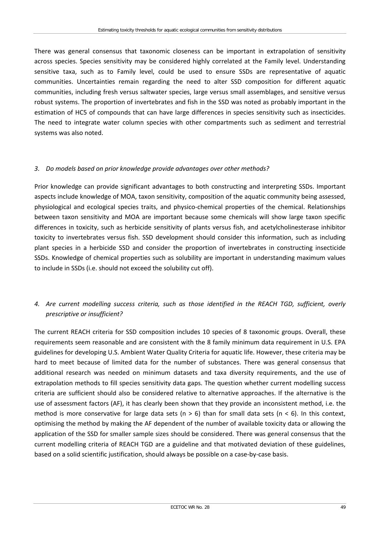There was general consensus that taxonomic closeness can be important in extrapolation of sensitivity across species. Species sensitivity may be considered highly correlated at the Family level. Understanding sensitive taxa, such as to Family level, could be used to ensure SSDs are representative of aquatic communities. Uncertainties remain regarding the need to alter SSD composition for different aquatic communities, including fresh versus saltwater species, large versus small assemblages, and sensitive versus robust systems. The proportion of invertebrates and fish in the SSD was noted as probably important in the estimation of HC5 of compounds that can have large differences in species sensitivity such as insecticides. The need to integrate water column species with other compartments such as sediment and terrestrial systems was also noted.

#### *3. Do models based on prior knowledge provide advantages over other methods?*

Prior knowledge can provide significant advantages to both constructing and interpreting SSDs. Important aspects include knowledge of MOA, taxon sensitivity, composition of the aquatic community being assessed, physiological and ecological species traits, and physico-chemical properties of the chemical. Relationships between taxon sensitivity and MOA are important because some chemicals will show large taxon specific differences in toxicity, such as herbicide sensitivity of plants versus fish, and acetylcholinesterase inhibitor toxicity to invertebrates versus fish. SSD development should consider this information, such as including plant species in a herbicide SSD and consider the proportion of invertebrates in constructing insecticide SSDs. Knowledge of chemical properties such as solubility are important in understanding maximum values to include in SSDs (i.e. should not exceed the solubility cut off).

### *4. Are current modelling success criteria, such as those identified in the REACH TGD, sufficient, overly prescriptive or insufficient?*

The current REACH criteria for SSD composition includes 10 species of 8 taxonomic groups. Overall, these requirements seem reasonable and are consistent with the 8 family minimum data requirement in U.S. EPA guidelines for developing U.S. Ambient Water Quality Criteria for aquatic life. However, these criteria may be hard to meet because of limited data for the number of substances. There was general consensus that additional research was needed on minimum datasets and taxa diversity requirements, and the use of extrapolation methods to fill species sensitivity data gaps. The question whether current modelling success criteria are sufficient should also be considered relative to alternative approaches. If the alternative is the use of assessment factors (AF), it has clearly been shown that they provide an inconsistent method, i.e. the method is more conservative for large data sets ( $n > 6$ ) than for small data sets ( $n < 6$ ). In this context, optimising the method by making the AF dependent of the number of available toxicity data or allowing the application of the SSD for smaller sample sizes should be considered. There was general consensus that the current modelling criteria of REACH TGD are a guideline and that motivated deviation of these guidelines, based on a solid scientific justification, should always be possible on a case-by-case basis.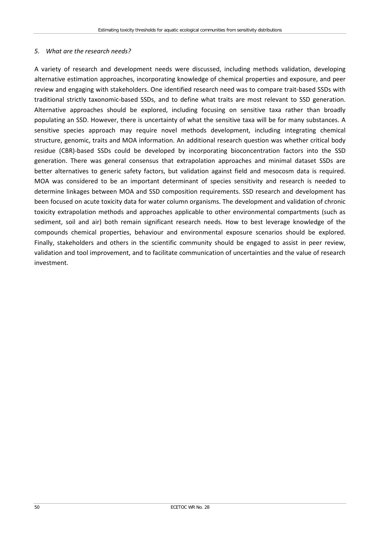#### *5. What are the research needs?*

A variety of research and development needs were discussed, including methods validation, developing alternative estimation approaches, incorporating knowledge of chemical properties and exposure, and peer review and engaging with stakeholders. One identified research need was to compare trait-based SSDs with traditional strictly taxonomic-based SSDs, and to define what traits are most relevant to SSD generation. Alternative approaches should be explored, including focusing on sensitive taxa rather than broadly populating an SSD. However, there is uncertainty of what the sensitive taxa will be for many substances. A sensitive species approach may require novel methods development, including integrating chemical structure, genomic, traits and MOA information. An additional research question was whether critical body residue (CBR)-based SSDs could be developed by incorporating bioconcentration factors into the SSD generation. There was general consensus that extrapolation approaches and minimal dataset SSDs are better alternatives to generic safety factors, but validation against field and mesocosm data is required. MOA was considered to be an important determinant of species sensitivity and research is needed to determine linkages between MOA and SSD composition requirements. SSD research and development has been focused on acute toxicity data for water column organisms. The development and validation of chronic toxicity extrapolation methods and approaches applicable to other environmental compartments (such as sediment, soil and air) both remain significant research needs. How to best leverage knowledge of the compounds chemical properties, behaviour and environmental exposure scenarios should be explored. Finally, stakeholders and others in the scientific community should be engaged to assist in peer review, validation and tool improvement, and to facilitate communication of uncertainties and the value of research investment.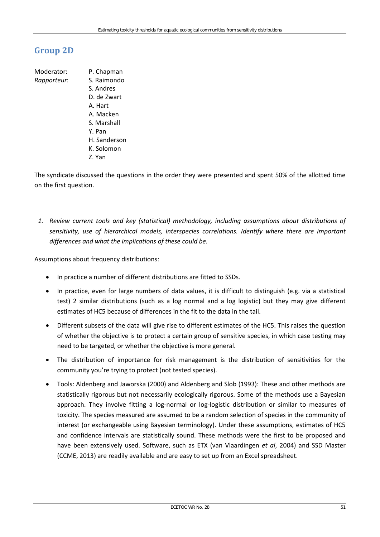## **Group 2D**

- Moderator: P. Chapman *Rapporteur*: S. Raimondo
	- S. Andres D. de Zwart A. Hart A. Macken S. Marshall Y. Pan H. Sanderson K. Solomon Z. Yan

The syndicate discussed the questions in the order they were presented and spent 50% of the allotted time on the first question.

*1. Review current tools and key (statistical) methodology, including assumptions about distributions of sensitivity, use of hierarchical models, interspecies correlations. Identify where there are important differences and what the implications of these could be.*

Assumptions about frequency distributions:

- In practice a number of different distributions are fitted to SSDs.
- In practice, even for large numbers of data values, it is difficult to distinguish (e.g. via a statistical test) 2 similar distributions (such as a log normal and a log logistic) but they may give different estimates of HC5 because of differences in the fit to the data in the tail.
- Different subsets of the data will give rise to different estimates of the HC5. This raises the question of whether the objective is to protect a certain group of sensitive species, in which case testing may need to be targeted, or whether the objective is more general.
- The distribution of importance for risk management is the distribution of sensitivities for the community you're trying to protect (not tested species).
- Tools: Aldenberg and Jaworska (2000) and Aldenberg and Slob (1993): These and other methods are statistically rigorous but not necessarily ecologically rigorous. Some of the methods use a Bayesian approach. They involve fitting a log-normal or log-logistic distribution or similar to measures of toxicity. The species measured are assumed to be a random selection of species in the community of interest (or exchangeable using Bayesian terminology). Under these assumptions, estimates of HC5 and confidence intervals are statistically sound. These methods were the first to be proposed and have been extensively used. Software, such as ETX (van Vlaardingen *et al*, 2004) and SSD Master (CCME, 2013) are readily available and are easy to set up from an Excel spreadsheet.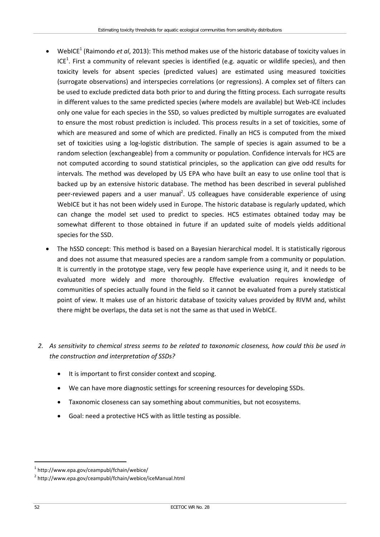- <span id="page-57-0"></span>• WebICE<sup>1</sup> (Raimondo *et al*, 2013): This method makes use of the historic database of toxicity values in ICE<sup>1</sup>[.](#page-57-0) First a community of relevant species is identified (e.g. aquatic or wildlife species), and then toxicity levels for absent species (predicted values) are estimated using measured toxicities (surrogate observations) and interspecies correlations (or regressions). A complex set of filters can be used to exclude predicted data both prior to and during the fitting process. Each surrogate results in different values to the same predicted species (where models are available) but Web-ICE includes only one value for each species in the SSD, so values predicted by multiple surrogates are evaluated to ensure the most robust prediction is included. This process results in a set of toxicities, some of which are measured and some of which are predicted. Finally an HC5 is computed from the mixed set of toxicities using a log-logistic distribution. The sample of species is again assumed to be a random selection (exchangeable) from a community or population. Confidence intervals for HC5 are not computed according to sound statistical principles, so the application can give odd results for intervals. The method was developed by US EPA who have built an easy to use online tool that is backed up by an extensive historic database. The method has been described in several published peer-reviewed papers and a user manual<sup>2</sup>. US colleagues have considerable experience of using WebICE but it has not been widely used in Europe. The historic database is regularly updated, which can change the model set used to predict to species. HC5 estimates obtained today may be somewhat different to those obtained in future if an updated suite of models yields additional species for the SSD.
- The hSSD concept: This method is based on a Bayesian hierarchical model. It is statistically rigorous and does not assume that measured species are a random sample from a community or population. It is currently in the prototype stage, very few people have experience using it, and it needs to be evaluated more widely and more thoroughly. Effective evaluation requires knowledge of communities of species actually found in the field so it cannot be evaluated from a purely statistical point of view. It makes use of an historic database of toxicity values provided by RIVM and, whilst there might be overlaps, the data set is not the same as that used in WebICE.
- *2. As sensitivity to chemical stress seems to be related to taxonomic closeness, how could this be used in the construction and interpretation of SSDs?*
	- It is important to first consider context and scoping.
	- We can have more diagnostic settings for screening resources for developing SSDs.
	- Taxonomic closeness can say something about communities, but not ecosystems.
	- Goal: need a protective HC5 with as little testing as possible.

 <sup>1</sup> <http://www.epa.gov/ceampubl/fchain/webice/>

<sup>2</sup> <http://www.epa.gov/ceampubl/fchain/webice/iceManual.html>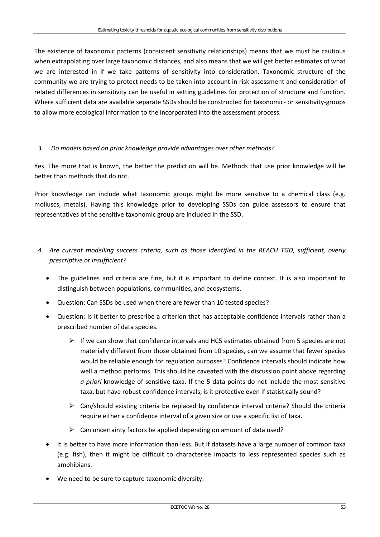The existence of taxonomic patterns (consistent sensitivity relationships) means that we must be cautious when extrapolating over large taxonomic distances, and also means that we will get better estimates of what we are interested in if we take patterns of sensitivity into consideration. Taxonomic structure of the community we are trying to protect needs to be taken into account in risk assessment and consideration of related differences in sensitivity can be useful in setting guidelines for protection of structure and function. Where sufficient data are available separate SSDs should be constructed for taxonomic- or sensitivity-groups to allow more ecological information to the incorporated into the assessment process.

#### *3. Do models based on prior knowledge provide advantages over other methods?*

Yes. The more that is known, the better the prediction will be. Methods that use prior knowledge will be better than methods that do not.

Prior knowledge can include what taxonomic groups might be more sensitive to a chemical class (e.g. molluscs, metals). Having this knowledge prior to developing SSDs can guide assessors to ensure that representatives of the sensitive taxonomic group are included in the SSD.

- *4. Are current modelling success criteria, such as those identified in the REACH TGD, sufficient, overly prescriptive or insufficient?*
	- The guidelines and criteria are fine, but it is important to define context. It is also important to distinguish between populations, communities, and ecosystems.
	- Question: Can SSDs be used when there are fewer than 10 tested species?
	- Question: Is it better to prescribe a criterion that has acceptable confidence intervals rather than a prescribed number of data species.
		- $\triangleright$  If we can show that confidence intervals and HC5 estimates obtained from 5 species are not materially different from those obtained from 10 species, can we assume that fewer species would be reliable enough for regulation purposes? Confidence intervals should indicate how well a method performs. This should be caveated with the discussion point above regarding *a priori* knowledge of sensitive taxa. If the 5 data points do not include the most sensitive taxa, but have robust confidence intervals, is it protective even if statistically sound?
		- $\triangleright$  Can/should existing criteria be replaced by confidence interval criteria? Should the criteria require either a confidence interval of a given size or use a specific list of taxa.
		- $\triangleright$  Can uncertainty factors be applied depending on amount of data used?
	- It is better to have more information than less. But if datasets have a large number of common taxa (e.g. fish), then it might be difficult to characterise impacts to less represented species such as amphibians.
	- We need to be sure to capture taxonomic diversity.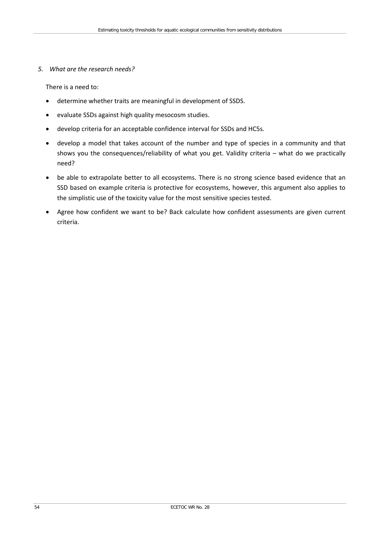#### *5. What are the research needs?*

There is a need to:

- determine whether traits are meaningful in development of SSDS.
- evaluate SSDs against high quality mesocosm studies.
- develop criteria for an acceptable confidence interval for SSDs and HC5s.
- develop a model that takes account of the number and type of species in a community and that shows you the consequences/reliability of what you get. Validity criteria – what do we practically need?
- be able to extrapolate better to all ecosystems. There is no strong science based evidence that an SSD based on example criteria is protective for ecosystems, however, this argument also applies to the simplistic use of the toxicity value for the most sensitive species tested.
- Agree how confident we want to be? Back calculate how confident assessments are given current criteria.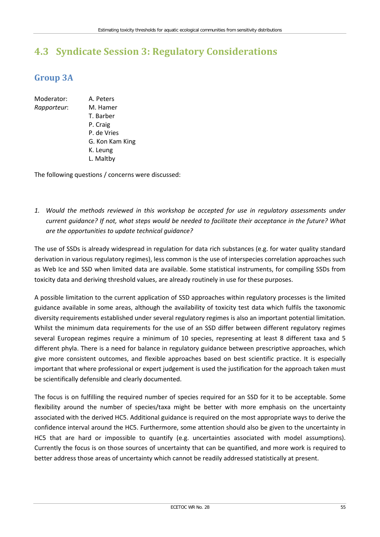# **4.3 Syndicate Session 3: Regulatory Considerations**

## **Group 3A**

- Moderator: A. Peters
- *Rapporteur*: M. Hamer T. Barber P. Craig P. de Vries G. Kon Kam King K. Leung L. Maltby

The following questions / concerns were discussed:

*1. Would the methods reviewed in this workshop be accepted for use in regulatory assessments under current guidance? If not, what steps would be needed to facilitate their acceptance in the future? What are the opportunities to update technical guidance?*

The use of SSDs is already widespread in regulation for data rich substances (e.g. for water quality standard derivation in various regulatory regimes), less common is the use of interspecies correlation approaches such as Web Ice and SSD when limited data are available. Some statistical instruments, for compiling SSDs from toxicity data and deriving threshold values, are already routinely in use for these purposes.

A possible limitation to the current application of SSD approaches within regulatory processes is the limited guidance available in some areas, although the availability of toxicity test data which fulfils the taxonomic diversity requirements established under several regulatory regimes is also an important potential limitation. Whilst the minimum data requirements for the use of an SSD differ between different regulatory regimes several European regimes require a minimum of 10 species, representing at least 8 different taxa and 5 different phyla. There is a need for balance in regulatory guidance between prescriptive approaches, which give more consistent outcomes, and flexible approaches based on best scientific practice. It is especially important that where professional or expert judgement is used the justification for the approach taken must be scientifically defensible and clearly documented.

The focus is on fulfilling the required number of species required for an SSD for it to be acceptable. Some flexibility around the number of species/taxa might be better with more emphasis on the uncertainty associated with the derived HC5. Additional guidance is required on the most appropriate ways to derive the confidence interval around the HC5. Furthermore, some attention should also be given to the uncertainty in HC5 that are hard or impossible to quantify (e.g. uncertainties associated with model assumptions). Currently the focus is on those sources of uncertainty that can be quantified, and more work is required to better address those areas of uncertainty which cannot be readily addressed statistically at present.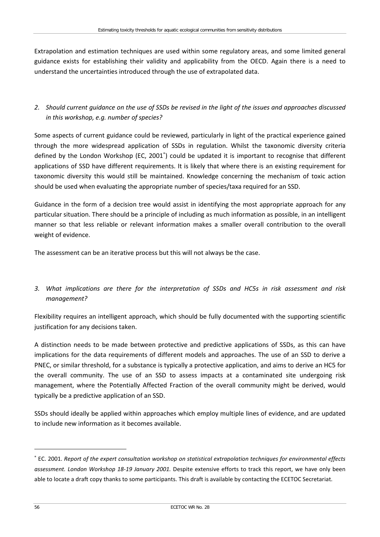Extrapolation and estimation techniques are used within some regulatory areas, and some limited general guidance exists for establishing their validity and applicability from the OECD. Again there is a need to understand the uncertainties introduced through the use of extrapolated data.

*2. Should current guidance on the use of SSDs be revised in the light of the issues and approaches discussed in this workshop, e.g. number of species?*

Some aspects of current guidance could be reviewed, particularly in light of the practical experience gained through the more widespread application of SSDs in regulation. Whilst the taxonomic diversity criteria defined by the London Workshop (EC, 2001<sup>\*</sup>) could be updated it is important to recognise that different applications of SSD have different requirements. It is likely that where there is an existing requirement for taxonomic diversity this would still be maintained. Knowledge concerning the mechanism of toxic action should be used when evaluating the appropriate number of species/taxa required for an SSD.

Guidance in the form of a decision tree would assist in identifying the most appropriate approach for any particular situation. There should be a principle of including as much information as possible, in an intelligent manner so that less reliable or relevant information makes a smaller overall contribution to the overall weight of evidence.

The assessment can be an iterative process but this will not always be the case.

### *3. What implications are there for the interpretation of SSDs and HC5s in risk assessment and risk management?*

Flexibility requires an intelligent approach, which should be fully documented with the supporting scientific justification for any decisions taken.

A distinction needs to be made between protective and predictive applications of SSDs, as this can have implications for the data requirements of different models and approaches. The use of an SSD to derive a PNEC, or similar threshold, for a substance is typically a protective application, and aims to derive an HC5 for the overall community. The use of an SSD to assess impacts at a contaminated site undergoing risk management, where the Potentially Affected Fraction of the overall community might be derived, would typically be a predictive application of an SSD.

SSDs should ideally be applied within approaches which employ multiple lines of evidence, and are updated to include new information as it becomes available.

 $\overline{a}$ 

<sup>∗</sup> EC. 2001. *Report of the expert consultation workshop on statistical extrapolation techniques for environmental effects assessment. London Workshop 18-19 January 2001.* Despite extensive efforts to track this report, we have only been able to locate a draft copy thanks to some participants. This draft is available by contacting the ECETOC Secretariat.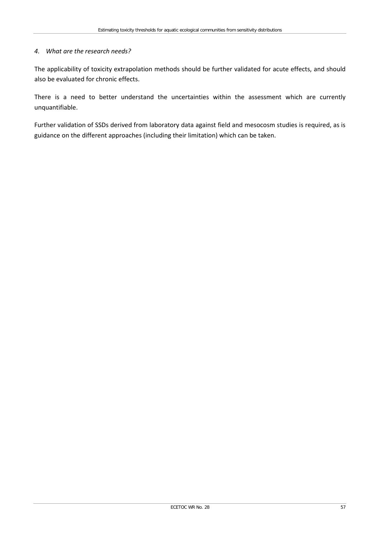#### *4. What are the research needs?*

The applicability of toxicity extrapolation methods should be further validated for acute effects, and should also be evaluated for chronic effects.

There is a need to better understand the uncertainties within the assessment which are currently unquantifiable.

Further validation of SSDs derived from laboratory data against field and mesocosm studies is required, as is guidance on the different approaches (including their limitation) which can be taken.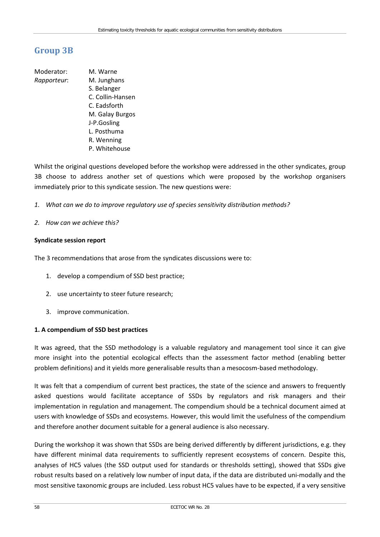## **Group 3B**

Moderator: M. Warne *Rapporteur*: M. Junghans S. Belanger C. Collin-Hansen C. Eadsforth M. Galay Burgos J-P.Gosling L. Posthuma R. Wenning P. Whitehouse

Whilst the original questions developed before the workshop were addressed in the other syndicates, group 3B choose to address another set of questions which were proposed by the workshop organisers immediately prior to this syndicate session. The new questions were:

- *1. What can we do to improve regulatory use of species sensitivity distribution methods?*
- *2. How can we achieve this?*

#### **Syndicate session report**

The 3 recommendations that arose from the syndicates discussions were to:

- 1. develop a compendium of SSD best practice;
- 2. use uncertainty to steer future research;
- 3. improve communication.

#### **1. A compendium of SSD best practices**

It was agreed, that the SSD methodology is a valuable regulatory and management tool since it can give more insight into the potential ecological effects than the assessment factor method (enabling better problem definitions) and it yields more generalisable results than a mesocosm-based methodology.

It was felt that a compendium of current best practices, the state of the science and answers to frequently asked questions would facilitate acceptance of SSDs by regulators and risk managers and their implementation in regulation and management. The compendium should be a technical document aimed at users with knowledge of SSDs and ecosystems. However, this would limit the usefulness of the compendium and therefore another document suitable for a general audience is also necessary.

During the workshop it was shown that SSDs are being derived differently by different jurisdictions, e.g. they have different minimal data requirements to sufficiently represent ecosystems of concern. Despite this, analyses of HC5 values (the SSD output used for standards or thresholds setting), showed that SSDs give robust results based on a relatively low number of input data, if the data are distributed uni-modally and the most sensitive taxonomic groups are included. Less robust HC5 values have to be expected, if a very sensitive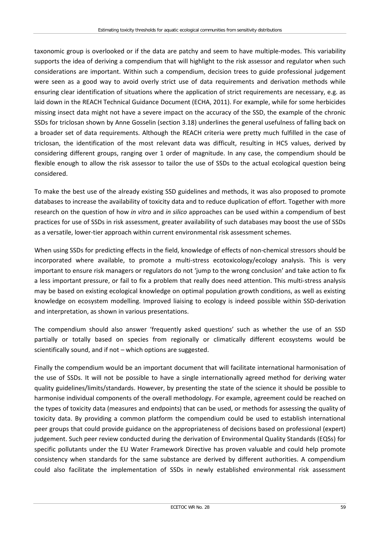taxonomic group is overlooked or if the data are patchy and seem to have multiple-modes. This variability supports the idea of deriving a compendium that will highlight to the risk assessor and regulator when such considerations are important. Within such a compendium, decision trees to guide professional judgement were seen as a good way to avoid overly strict use of data requirements and derivation methods while ensuring clear identification of situations where the application of strict requirements are necessary, e.g. as laid down in the REACH Technical Guidance Document (ECHA, 2011). For example, while for some herbicides missing insect data might not have a severe impact on the accuracy of the SSD, the example of the chronic SSDs for triclosan shown by Anne Gosselin (section 3.18) underlines the general usefulness of falling back on a broader set of data requirements. Although the REACH criteria were pretty much fulfilled in the case of triclosan, the identification of the most relevant data was difficult, resulting in HC5 values, derived by considering different groups, ranging over 1 order of magnitude. In any case, the compendium should be flexible enough to allow the risk assessor to tailor the use of SSDs to the actual ecological question being considered.

To make the best use of the already existing SSD guidelines and methods, it was also proposed to promote databases to increase the availability of toxicity data and to reduce duplication of effort. Together with more research on the question of how *in vitro* and *in silico* approaches can be used within a compendium of best practices for use of SSDs in risk assessment, greater availability of such databases may boost the use of SSDs as a versatile, lower-tier approach within current environmental risk assessment schemes.

When using SSDs for predicting effects in the field, knowledge of effects of non-chemical stressors should be incorporated where available, to promote a multi-stress ecotoxicology/ecology analysis. This is very important to ensure risk managers or regulators do not 'jump to the wrong conclusion' and take action to fix a less important pressure, or fail to fix a problem that really does need attention. This multi-stress analysis may be based on existing ecological knowledge on optimal population growth conditions, as well as existing knowledge on ecosystem modelling. Improved liaising to ecology is indeed possible within SSD-derivation and interpretation, as shown in various presentations.

The compendium should also answer 'frequently asked questions' such as whether the use of an SSD partially or totally based on species from regionally or climatically different ecosystems would be scientifically sound, and if not – which options are suggested.

Finally the compendium would be an important document that will facilitate international harmonisation of the use of SSDs. It will not be possible to have a single internationally agreed method for deriving water quality guidelines/limits/standards. However, by presenting the state of the science it should be possible to harmonise individual components of the overall methodology. For example, agreement could be reached on the types of toxicity data (measures and endpoints) that can be used, or methods for assessing the quality of toxicity data. By providing a common platform the compendium could be used to establish international peer groups that could provide guidance on the appropriateness of decisions based on professional (expert) judgement. Such peer review conducted during the derivation of Environmental Quality Standards (EQSs) for specific pollutants under the EU Water Framework Directive has proven valuable and could help promote consistency when standards for the same substance are derived by different authorities. A compendium could also facilitate the implementation of SSDs in newly established environmental risk assessment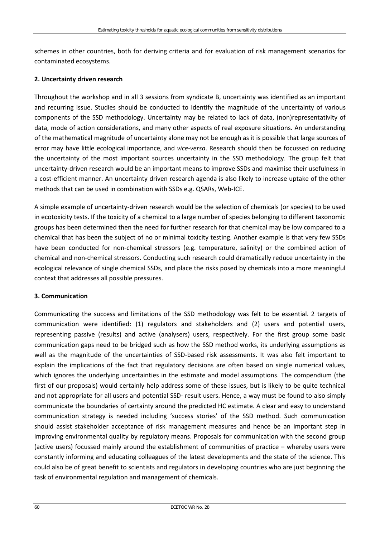schemes in other countries, both for deriving criteria and for evaluation of risk management scenarios for contaminated ecosystems.

#### **2. Uncertainty driven research**

Throughout the workshop and in all 3 sessions from syndicate B, uncertainty was identified as an important and recurring issue. Studies should be conducted to identify the magnitude of the uncertainty of various components of the SSD methodology. Uncertainty may be related to lack of data, (non)representativity of data, mode of action considerations, and many other aspects of real exposure situations. An understanding of the mathematical magnitude of uncertainty alone may not be enough as it is possible that large sources of error may have little ecological importance, and *vice-versa*. Research should then be focussed on reducing the uncertainty of the most important sources uncertainty in the SSD methodology. The group felt that uncertainty-driven research would be an important means to improve SSDs and maximise their usefulness in a cost-efficient manner. An uncertainty driven research agenda is also likely to increase uptake of the other methods that can be used in combination with SSDs e.g. QSARs, Web-ICE.

A simple example of uncertainty-driven research would be the selection of chemicals (or species) to be used in ecotoxicity tests. If the toxicity of a chemical to a large number of species belonging to different taxonomic groups has been determined then the need for further research for that chemical may be low compared to a chemical that has been the subject of no or minimal toxicity testing. Another example is that very few SSDs have been conducted for non-chemical stressors (e.g. temperature, salinity) or the combined action of chemical and non-chemical stressors. Conducting such research could dramatically reduce uncertainty in the ecological relevance of single chemical SSDs, and place the risks posed by chemicals into a more meaningful context that addresses all possible pressures.

#### **3. Communication**

Communicating the success and limitations of the SSD methodology was felt to be essential. 2 targets of communication were identified: (1) regulators and stakeholders and (2) users and potential users, representing passive (results) and active (analysers) users, respectively. For the first group some basic communication gaps need to be bridged such as how the SSD method works, its underlying assumptions as well as the magnitude of the uncertainties of SSD-based risk assessments. It was also felt important to explain the implications of the fact that regulatory decisions are often based on single numerical values, which ignores the underlying uncertainties in the estimate and model assumptions. The compendium (the first of our proposals) would certainly help address some of these issues, but is likely to be quite technical and not appropriate for all users and potential SSD- result users. Hence, a way must be found to also simply communicate the boundaries of certainty around the predicted HC estimate. A clear and easy to understand communication strategy is needed including 'success stories' of the SSD method. Such communication should assist stakeholder acceptance of risk management measures and hence be an important step in improving environmental quality by regulatory means. Proposals for communication with the second group (active users) focussed mainly around the establishment of communities of practice – whereby users were constantly informing and educating colleagues of the latest developments and the state of the science. This could also be of great benefit to scientists and regulators in developing countries who are just beginning the task of environmental regulation and management of chemicals.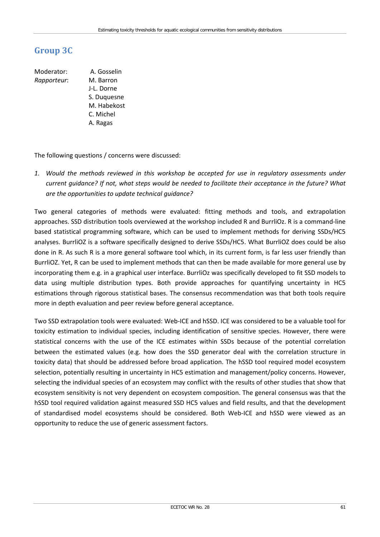## **Group 3C**

Moderator: A. Gosselin *Rapporteur*: M. Barron J-L. Dorne S. Duquesne M. Habekost C. Michel A. Ragas

The following questions / concerns were discussed:

*1. Would the methods reviewed in this workshop be accepted for use in regulatory assessments under current guidance? If not, what steps would be needed to facilitate their acceptance in the future? What are the opportunities to update technical guidance?*

Two general categories of methods were evaluated: fitting methods and tools, and extrapolation approaches. SSD distribution tools overviewed at the workshop included R and BurrliOz. R is a command-line based statistical programming software, which can be used to implement methods for deriving SSDs/HC5 analyses. BurrliOZ is a software specifically designed to derive SSDs/HC5. What BurrliOZ does could be also done in R. As such R is a more general software tool which, in its current form, is far less user friendly than BurrliOZ. Yet, R can be used to implement methods that can then be made available for more general use by incorporating them e.g. in a graphical user interface. BurrliOz was specifically developed to fit SSD models to data using multiple distribution types. Both provide approaches for quantifying uncertainty in HC5 estimations through rigorous statistical bases. The consensus recommendation was that both tools require more in depth evaluation and peer review before general acceptance.

Two SSD extrapolation tools were evaluated: Web-ICE and hSSD. ICE was considered to be a valuable tool for toxicity estimation to individual species, including identification of sensitive species. However, there were statistical concerns with the use of the ICE estimates within SSDs because of the potential correlation between the estimated values (e.g. how does the SSD generator deal with the correlation structure in toxicity data) that should be addressed before broad application. The hSSD tool required model ecosystem selection, potentially resulting in uncertainty in HC5 estimation and management/policy concerns. However, selecting the individual species of an ecosystem may conflict with the results of other studies that show that ecosystem sensitivity is not very dependent on ecosystem composition. The general consensus was that the hSSD tool required validation against measured SSD HC5 values and field results, and that the development of standardised model ecosystems should be considered. Both Web-ICE and hSSD were viewed as an opportunity to reduce the use of generic assessment factors.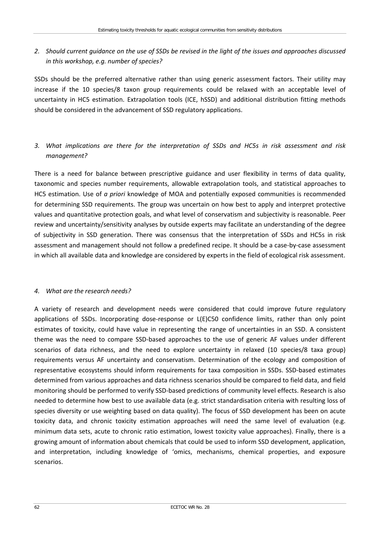### *2. Should current guidance on the use of SSDs be revised in the light of the issues and approaches discussed in this workshop, e.g. number of species?*

SSDs should be the preferred alternative rather than using generic assessment factors. Their utility may increase if the 10 species/8 taxon group requirements could be relaxed with an acceptable level of uncertainty in HC5 estimation. Extrapolation tools (ICE, hSSD) and additional distribution fitting methods should be considered in the advancement of SSD regulatory applications.

### *3. What implications are there for the interpretation of SSDs and HC5s in risk assessment and risk management?*

There is a need for balance between prescriptive guidance and user flexibility in terms of data quality, taxonomic and species number requirements, allowable extrapolation tools, and statistical approaches to HC5 estimation. Use of *a priori* knowledge of MOA and potentially exposed communities is recommended for determining SSD requirements. The group was uncertain on how best to apply and interpret protective values and quantitative protection goals, and what level of conservatism and subjectivity is reasonable. Peer review and uncertainty/sensitivity analyses by outside experts may facilitate an understanding of the degree of subjectivity in SSD generation. There was consensus that the interpretation of SSDs and HC5s in risk assessment and management should not follow a predefined recipe. It should be a case-by-case assessment in which all available data and knowledge are considered by experts in the field of ecological risk assessment.

#### *4. What are the research needs?*

A variety of research and development needs were considered that could improve future regulatory applications of SSDs. Incorporating dose-response or L(E)C50 confidence limits, rather than only point estimates of toxicity, could have value in representing the range of uncertainties in an SSD. A consistent theme was the need to compare SSD-based approaches to the use of generic AF values under different scenarios of data richness, and the need to explore uncertainty in relaxed (10 species/8 taxa group) requirements versus AF uncertainty and conservatism. Determination of the ecology and composition of representative ecosystems should inform requirements for taxa composition in SSDs. SSD-based estimates determined from various approaches and data richness scenarios should be compared to field data, and field monitoring should be performed to verify SSD-based predictions of community level effects. Research is also needed to determine how best to use available data (e.g. strict standardisation criteria with resulting loss of species diversity or use weighting based on data quality). The focus of SSD development has been on acute toxicity data, and chronic toxicity estimation approaches will need the same level of evaluation (e.g. minimum data sets, acute to chronic ratio estimation, lowest toxicity value approaches). Finally, there is a growing amount of information about chemicals that could be used to inform SSD development, application, and interpretation, including knowledge of 'omics, mechanisms, chemical properties, and exposure scenarios.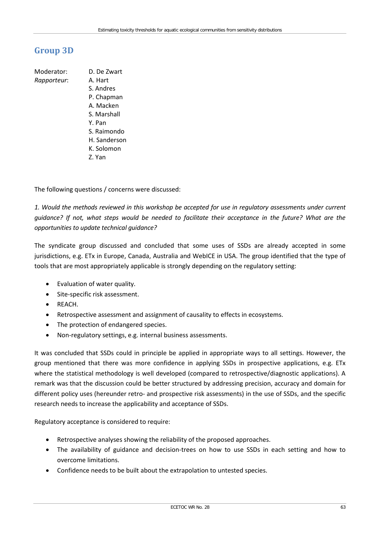## **Group 3D**

Moderator: D. De Zwart *Rapporteur*: A. Hart S. Andres P. Chapman A. Macken S. Marshall Y. Pan S. Raimondo H. Sanderson K. Solomon Z. Yan

The following questions / concerns were discussed:

*1. Would the methods reviewed in this workshop be accepted for use in regulatory assessments under current guidance? If not, what steps would be needed to facilitate their acceptance in the future? What are the opportunities to update technical guidance?*

The syndicate group discussed and concluded that some uses of SSDs are already accepted in some jurisdictions, e.g. ETx in Europe, Canada, Australia and WebICE in USA. The group identified that the type of tools that are most appropriately applicable is strongly depending on the regulatory setting:

- Evaluation of water quality.
- Site-specific risk assessment.
- REACH.
- Retrospective assessment and assignment of causality to effects in ecosystems.
- The protection of endangered species.
- Non-regulatory settings, e.g. internal business assessments.

It was concluded that SSDs could in principle be applied in appropriate ways to all settings. However, the group mentioned that there was more confidence in applying SSDs in prospective applications, e.g. ETx where the statistical methodology is well developed (compared to retrospective/diagnostic applications). A remark was that the discussion could be better structured by addressing precision, accuracy and domain for different policy uses (hereunder retro- and prospective risk assessments) in the use of SSDs, and the specific research needs to increase the applicability and acceptance of SSDs.

Regulatory acceptance is considered to require:

- Retrospective analyses showing the reliability of the proposed approaches.
- The availability of guidance and decision-trees on how to use SSDs in each setting and how to overcome limitations.
- Confidence needs to be built about the extrapolation to untested species.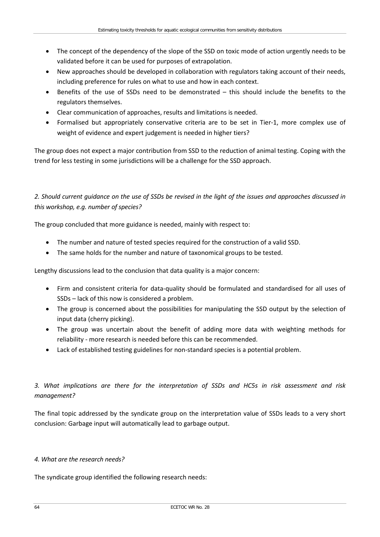- The concept of the dependency of the slope of the SSD on toxic mode of action urgently needs to be validated before it can be used for purposes of extrapolation.
- New approaches should be developed in collaboration with regulators taking account of their needs, including preference for rules on what to use and how in each context.
- Benefits of the use of SSDs need to be demonstrated this should include the benefits to the regulators themselves.
- Clear communication of approaches, results and limitations is needed.
- Formalised but appropriately conservative criteria are to be set in Tier-1, more complex use of weight of evidence and expert judgement is needed in higher tiers?

The group does not expect a major contribution from SSD to the reduction of animal testing. Coping with the trend for less testing in some jurisdictions will be a challenge for the SSD approach.

## *2. Should current guidance on the use of SSDs be revised in the light of the issues and approaches discussed in this workshop, e.g. number of species?*

The group concluded that more guidance is needed, mainly with respect to:

- The number and nature of tested species required for the construction of a valid SSD.
- The same holds for the number and nature of taxonomical groups to be tested.

Lengthy discussions lead to the conclusion that data quality is a major concern:

- Firm and consistent criteria for data-quality should be formulated and standardised for all uses of SSDs – lack of this now is considered a problem.
- The group is concerned about the possibilities for manipulating the SSD output by the selection of input data (cherry picking).
- The group was uncertain about the benefit of adding more data with weighting methods for reliability - more research is needed before this can be recommended.
- Lack of established testing guidelines for non-standard species is a potential problem.

### *3. What implications are there for the interpretation of SSDs and HC5s in risk assessment and risk management?*

The final topic addressed by the syndicate group on the interpretation value of SSDs leads to a very short conclusion: Garbage input will automatically lead to garbage output.

#### *4. What are the research needs?*

The syndicate group identified the following research needs: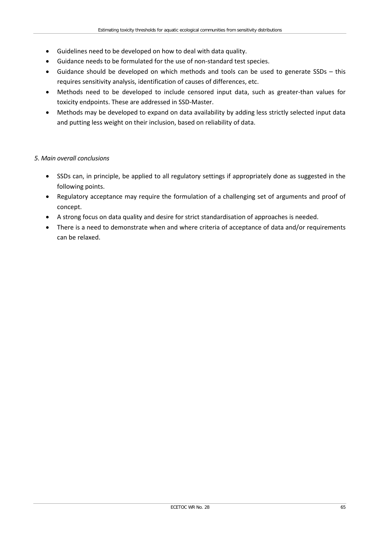- Guidelines need to be developed on how to deal with data quality.
- Guidance needs to be formulated for the use of non-standard test species.
- Guidance should be developed on which methods and tools can be used to generate SSDs this requires sensitivity analysis, identification of causes of differences, etc.
- Methods need to be developed to include censored input data, such as greater-than values for toxicity endpoints. These are addressed in SSD-Master.
- Methods may be developed to expand on data availability by adding less strictly selected input data and putting less weight on their inclusion, based on reliability of data.

### *5. Main overall conclusions*

- SSDs can, in principle, be applied to all regulatory settings if appropriately done as suggested in the following points.
- Regulatory acceptance may require the formulation of a challenging set of arguments and proof of concept.
- A strong focus on data quality and desire for strict standardisation of approaches is needed.
- There is a need to demonstrate when and where criteria of acceptance of data and/or requirements can be relaxed.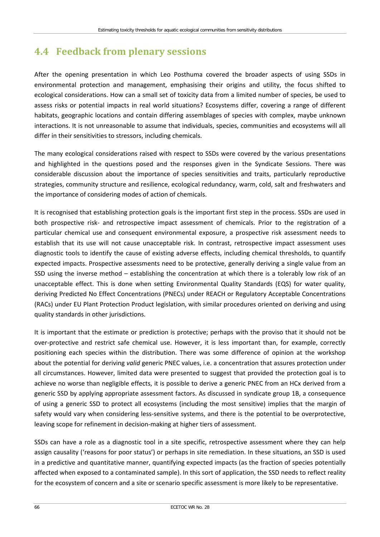# **4.4 Feedback from plenary sessions**

After the opening presentation in which Leo Posthuma covered the broader aspects of using SSDs in environmental protection and management, emphasising their origins and utility, the focus shifted to ecological considerations. How can a small set of toxicity data from a limited number of species, be used to assess risks or potential impacts in real world situations? Ecosystems differ, covering a range of different habitats, geographic locations and contain differing assemblages of species with complex, maybe unknown interactions. It is not unreasonable to assume that individuals, species, communities and ecosystems will all differ in their sensitivities to stressors, including chemicals.

The many ecological considerations raised with respect to SSDs were covered by the various presentations and highlighted in the questions posed and the responses given in the Syndicate Sessions. There was considerable discussion about the importance of species sensitivities and traits, particularly reproductive strategies, community structure and resilience, ecological redundancy, warm, cold, salt and freshwaters and the importance of considering modes of action of chemicals.

It is recognised that establishing protection goals is the important first step in the process. SSDs are used in both prospective risk- and retrospective impact assessment of chemicals. Prior to the registration of a particular chemical use and consequent environmental exposure, a prospective risk assessment needs to establish that its use will not cause unacceptable risk. In contrast, retrospective impact assessment uses diagnostic tools to identify the cause of existing adverse effects, including chemical thresholds, to quantify expected impacts. Prospective assessments need to be protective, generally deriving a single value from an SSD using the inverse method – establishing the concentration at which there is a tolerably low risk of an unacceptable effect. This is done when setting Environmental Quality Standards (EQS) for water quality, deriving Predicted No Effect Concentrations (PNECs) under REACH or Regulatory Acceptable Concentrations (RACs) under EU Plant Protection Product legislation, with similar procedures oriented on deriving and using quality standards in other jurisdictions.

It is important that the estimate or prediction is protective; perhaps with the proviso that it should not be over-protective and restrict safe chemical use. However, it is less important than, for example, correctly positioning each species within the distribution. There was some difference of opinion at the workshop about the potential for deriving *valid* generic PNEC values, i.e. a concentration that assures protection under all circumstances. However, limited data were presented to suggest that provided the protection goal is to achieve no worse than negligible effects, it is possible to derive a generic PNEC from an HCx derived from a generic SSD by applying appropriate assessment factors. As discussed in syndicate group 1B, a consequence of using a generic SSD to protect all ecosystems (including the most sensitive) implies that the margin of safety would vary when considering less-sensitive systems, and there is the potential to be overprotective, leaving scope for refinement in decision-making at higher tiers of assessment.

SSDs can have a role as a diagnostic tool in a site specific, retrospective assessment where they can help assign causality ('reasons for poor status') or perhaps in site remediation. In these situations, an SSD is used in a predictive and quantitative manner, quantifying expected impacts (as the fraction of species potentially affected when exposed to a contaminated sample). In this sort of application, the SSD needs to reflect reality for the ecosystem of concern and a site or scenario specific assessment is more likely to be representative.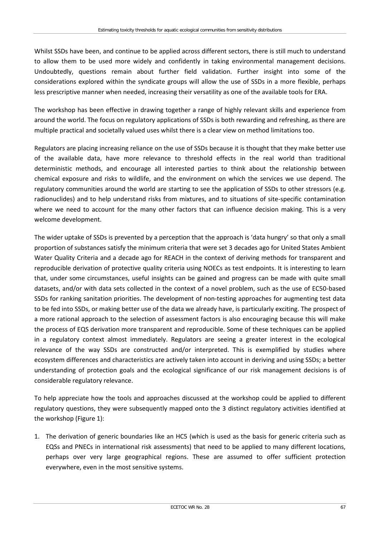Whilst SSDs have been, and continue to be applied across different sectors, there is still much to understand to allow them to be used more widely and confidently in taking environmental management decisions. Undoubtedly, questions remain about further field validation. Further insight into some of the considerations explored within the syndicate groups will allow the use of SSDs in a more flexible, perhaps less prescriptive manner when needed, increasing their versatility as one of the available tools for ERA.

The workshop has been effective in drawing together a range of highly relevant skills and experience from around the world. The focus on regulatory applications of SSDs is both rewarding and refreshing, as there are multiple practical and societally valued uses whilst there is a clear view on method limitations too.

Regulators are placing increasing reliance on the use of SSDs because it is thought that they make better use of the available data, have more relevance to threshold effects in the real world than traditional deterministic methods, and encourage all interested parties to think about the relationship between chemical exposure and risks to wildlife, and the environment on which the services we use depend. The regulatory communities around the world are starting to see the application of SSDs to other stressors (e.g. radionuclides) and to help understand risks from mixtures, and to situations of site-specific contamination where we need to account for the many other factors that can influence decision making. This is a very welcome development.

The wider uptake of SSDs is prevented by a perception that the approach is 'data hungry' so that only a small proportion of substances satisfy the minimum criteria that were set 3 decades ago for United States Ambient Water Quality Criteria and a decade ago for REACH in the context of deriving methods for transparent and reproducible derivation of protective quality criteria using NOECs as test endpoints. It is interesting to learn that, under some circumstances, useful insights can be gained and progress can be made with quite small datasets, and/or with data sets collected in the context of a novel problem, such as the use of EC50-based SSDs for ranking sanitation priorities. The development of non-testing approaches for augmenting test data to be fed into SSDs, or making better use of the data we already have, is particularly exciting. The prospect of a more rational approach to the selection of assessment factors is also encouraging because this will make the process of EQS derivation more transparent and reproducible. Some of these techniques can be applied in a regulatory context almost immediately. Regulators are seeing a greater interest in the ecological relevance of the way SSDs are constructed and/or interpreted. This is exemplified by studies where ecosystem differences and characteristics are actively taken into account in deriving and using SSDs; a better understanding of protection goals and the ecological significance of our risk management decisions is of considerable regulatory relevance.

To help appreciate how the tools and approaches discussed at the workshop could be applied to different regulatory questions, they were subsequently mapped onto the 3 distinct regulatory activities identified at the workshop (Figure 1):

1. The derivation of generic boundaries like an HC5 (which is used as the basis for generic criteria such as EQSs and PNECs in international risk assessments) that need to be applied to many different locations, perhaps over very large geographical regions. These are assumed to offer sufficient protection everywhere, even in the most sensitive systems.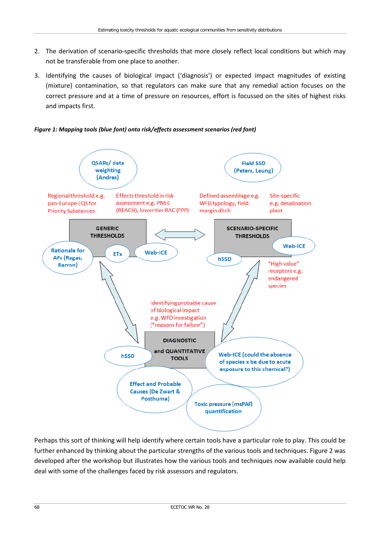- 2. The derivation of scenario-specific thresholds that more closely reflect local conditions but which may not be transferable from one place to another.
- 3. Identifying the causes of biological impact ('diagnosis') or expected impact magnitudes of existing (mixture) contamination, so that regulators can make sure that any remedial action focuses on the correct pressure and at a time of pressure on resources, effort is focussed on the sites of highest risks and impacts first.

*Figure 1: Mapping tools (blue font) onto risk/effects assessment scenarios (red font)*



Perhaps this sort of thinking will help identify where certain tools have a particular role to play. This could be further enhanced by thinking about the particular strengths of the various tools and techniques. Figure 2 was developed after the workshop but illustrates how the various tools and techniques now available could help deal with some of the challenges faced by risk assessors and regulators.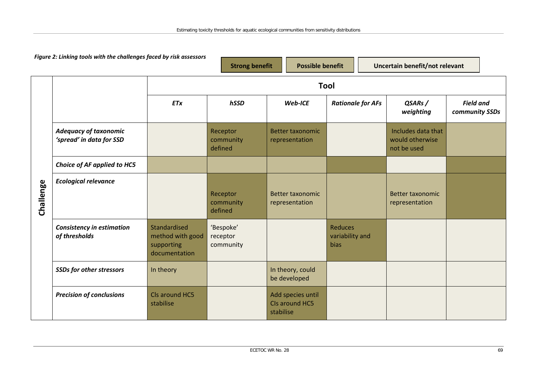| Figure 2: Linking tools with the challenges faced by risk assessors |                                                          | <b>Strong benefit</b>                                           |                                    | <b>Possible benefit</b>                          |                                                  | Uncertain benefit/not relevant                       |                                    |
|---------------------------------------------------------------------|----------------------------------------------------------|-----------------------------------------------------------------|------------------------------------|--------------------------------------------------|--------------------------------------------------|------------------------------------------------------|------------------------------------|
|                                                                     |                                                          |                                                                 |                                    | Tool                                             |                                                  |                                                      |                                    |
|                                                                     |                                                          | <b>ETx</b>                                                      | hSSD                               | Web-ICE                                          | <b>Rationale for AFs</b>                         | QSARs/<br>weighting                                  | <b>Field and</b><br>community SSDs |
|                                                                     | <b>Adequacy of taxonomic</b><br>'spread' in data for SSD |                                                                 | Receptor<br>community<br>defined   | <b>Better taxonomic</b><br>representation        |                                                  | Includes data that<br>would otherwise<br>not be used |                                    |
|                                                                     | Choice of AF applied to HC5                              |                                                                 |                                    |                                                  |                                                  |                                                      |                                    |
| Challenge                                                           | <b>Ecological relevance</b>                              |                                                                 | Receptor<br>community<br>defined   | <b>Better taxonomic</b><br>representation        |                                                  | <b>Better taxonomic</b><br>representation            |                                    |
|                                                                     | <b>Consistency in estimation</b><br>of thresholds        | Standardised<br>method with good<br>supporting<br>documentation | 'Bespoke'<br>receptor<br>community |                                                  | <b>Reduces</b><br>variability and<br><b>bias</b> |                                                      |                                    |
|                                                                     | <b>SSDs for other stressors</b>                          | In theory                                                       |                                    | In theory, could<br>be developed                 |                                                  |                                                      |                                    |
|                                                                     | <b>Precision of conclusions</b>                          | Cls around HC5<br>stabilise                                     |                                    | Add species until<br>CIs around HC5<br>stabilise |                                                  |                                                      |                                    |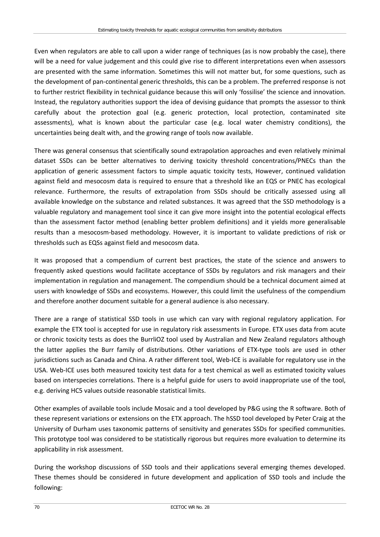Even when regulators are able to call upon a wider range of techniques (as is now probably the case), there will be a need for value judgement and this could give rise to different interpretations even when assessors are presented with the same information. Sometimes this will not matter but, for some questions, such as the development of pan-continental generic thresholds, this can be a problem. The preferred response is not to further restrict flexibility in technical guidance because this will only 'fossilise' the science and innovation. Instead, the regulatory authorities support the idea of devising guidance that prompts the assessor to think carefully about the protection goal (e.g. generic protection, local protection, contaminated site assessments), what is known about the particular case (e.g. local water chemistry conditions), the uncertainties being dealt with, and the growing range of tools now available.

There was general consensus that scientifically sound extrapolation approaches and even relatively minimal dataset SSDs can be better alternatives to deriving toxicity threshold concentrations/PNECs than the application of generic assessment factors to simple aquatic toxicity tests, However, continued validation against field and mesocosm data is required to ensure that a threshold like an EQS or PNEC has ecological relevance. Furthermore, the results of extrapolation from SSDs should be critically assessed using all available knowledge on the substance and related substances. It was agreed that the SSD methodology is a valuable regulatory and management tool since it can give more insight into the potential ecological effects than the assessment factor method (enabling better problem definitions) and it yields more generalisable results than a mesocosm-based methodology. However, it is important to validate predictions of risk or thresholds such as EQSs against field and mesocosm data.

It was proposed that a compendium of current best practices, the state of the science and answers to frequently asked questions would facilitate acceptance of SSDs by regulators and risk managers and their implementation in regulation and management. The compendium should be a technical document aimed at users with knowledge of SSDs and ecosystems. However, this could limit the usefulness of the compendium and therefore another document suitable for a general audience is also necessary.

There are a range of statistical SSD tools in use which can vary with regional regulatory application. For example the ETX tool is accepted for use in regulatory risk assessments in Europe. ETX uses data from acute or chronic toxicity tests as does the BurrliOZ tool used by Australian and New Zealand regulators although the latter applies the Burr family of distributions. Other variations of ETX-type tools are used in other jurisdictions such as Canada and China. A rather different tool, Web-ICE is available for regulatory use in the USA. Web-ICE uses both measured toxicity test data for a test chemical as well as estimated toxicity values based on interspecies correlations. There is a helpful guide for users to avoid inappropriate use of the tool, e.g. deriving HC5 values outside reasonable statistical limits.

Other examples of available tools include Mosaic and a tool developed by P&G using the R software. Both of these represent variations or extensions on the ETX approach. The hSSD tool developed by Peter Craig at the University of Durham uses taxonomic patterns of sensitivity and generates SSDs for specified communities. This prototype tool was considered to be statistically rigorous but requires more evaluation to determine its applicability in risk assessment.

During the workshop discussions of SSD tools and their applications several emerging themes developed. These themes should be considered in future development and application of SSD tools and include the following: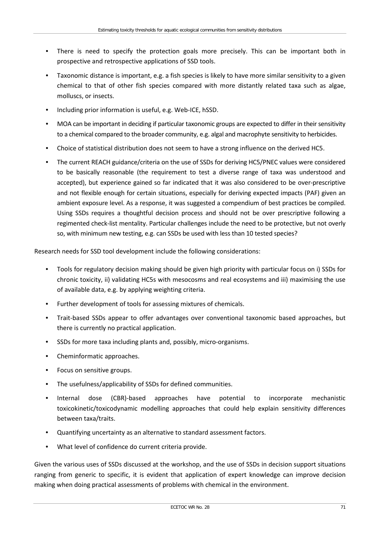- There is need to specify the protection goals more precisely. This can be important both in prospective and retrospective applications of SSD tools.
- Taxonomic distance is important, e.g. a fish species is likely to have more similar sensitivity to a given chemical to that of other fish species compared with more distantly related taxa such as algae, molluscs, or insects.
- Including prior information is useful, e.g. Web-ICE, hSSD.
- MOA can be important in deciding if particular taxonomic groups are expected to differ in their sensitivity to a chemical compared to the broader community, e.g. algal and macrophyte sensitivity to herbicides.
- Choice of statistical distribution does not seem to have a strong influence on the derived HC5.
- The current REACH guidance/criteria on the use of SSDs for deriving HC5/PNEC values were considered to be basically reasonable (the requirement to test a diverse range of taxa was understood and accepted), but experience gained so far indicated that it was also considered to be over-prescriptive and not flexible enough for certain situations, especially for deriving expected impacts (PAF) given an ambient exposure level. As a response, it was suggested a compendium of best practices be compiled. Using SSDs requires a thoughtful decision process and should not be over prescriptive following a regimented check-list mentality. Particular challenges include the need to be protective, but not overly so, with minimum new testing, e.g. can SSDs be used with less than 10 tested species?

Research needs for SSD tool development include the following considerations:

- Tools for regulatory decision making should be given high priority with particular focus on i) SSDs for chronic toxicity, ii) validating HC5s with mesocosms and real ecosystems and iii) maximising the use of available data, e.g. by applying weighting criteria.
- Further development of tools for assessing mixtures of chemicals.
- Trait-based SSDs appear to offer advantages over conventional taxonomic based approaches, but there is currently no practical application.
- SSDs for more taxa including plants and, possibly, micro-organisms.
- Cheminformatic approaches.
- Focus on sensitive groups.
- The usefulness/applicability of SSDs for defined communities.
- Internal dose (CBR)-based approaches have potential to incorporate mechanistic toxicokinetic/toxicodynamic modelling approaches that could help explain sensitivity differences between taxa/traits.
- Quantifying uncertainty as an alternative to standard assessment factors.
- What level of confidence do current criteria provide.

Given the various uses of SSDs discussed at the workshop, and the use of SSDs in decision support situations ranging from generic to specific, it is evident that application of expert knowledge can improve decision making when doing practical assessments of problems with chemical in the environment.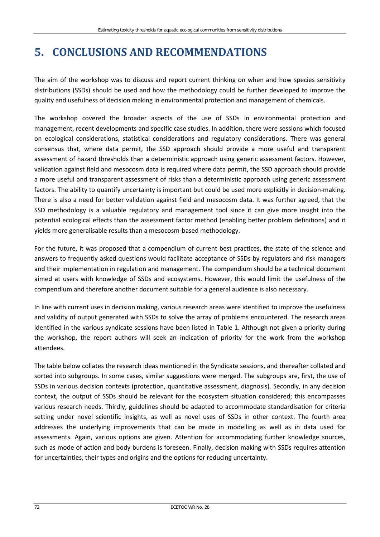## **5. CONCLUSIONS AND RECOMMENDATIONS**

The aim of the workshop was to discuss and report current thinking on when and how species sensitivity distributions (SSDs) should be used and how the methodology could be further developed to improve the quality and usefulness of decision making in environmental protection and management of chemicals.

The workshop covered the broader aspects of the use of SSDs in environmental protection and management, recent developments and specific case studies. In addition, there were sessions which focused on ecological considerations, statistical considerations and regulatory considerations. There was general consensus that, where data permit, the SSD approach should provide a more useful and transparent assessment of hazard thresholds than a deterministic approach using generic assessment factors. However, validation against field and mesocosm data is required where data permit, the SSD approach should provide a more useful and transparent assessment of risks than a deterministic approach using generic assessment factors. The ability to quantify uncertainty is important but could be used more explicitly in decision-making. There is also a need for better validation against field and mesocosm data. It was further agreed, that the SSD methodology is a valuable regulatory and management tool since it can give more insight into the potential ecological effects than the assessment factor method (enabling better problem definitions) and it yields more generalisable results than a mesocosm-based methodology.

For the future, it was proposed that a compendium of current best practices, the state of the science and answers to frequently asked questions would facilitate acceptance of SSDs by regulators and risk managers and their implementation in regulation and management. The compendium should be a technical document aimed at users with knowledge of SSDs and ecosystems. However, this would limit the usefulness of the compendium and therefore another document suitable for a general audience is also necessary.

In line with current uses in decision making, various research areas were identified to improve the usefulness and validity of output generated with SSDs to solve the array of problems encountered. The research areas identified in the various syndicate sessions have been listed in Table 1. Although not given a priority during the workshop, the report authors will seek an indication of priority for the work from the workshop attendees.

The table below collates the research ideas mentioned in the Syndicate sessions, and thereafter collated and sorted into subgroups. In some cases, similar suggestions were merged. The subgroups are, first, the use of SSDs in various decision contexts (protection, quantitative assessment, diagnosis). Secondly, in any decision context, the output of SSDs should be relevant for the ecosystem situation considered; this encompasses various research needs. Thirdly, guidelines should be adapted to accommodate standardisation for criteria setting under novel scientific insights, as well as novel uses of SSDs in other context. The fourth area addresses the underlying improvements that can be made in modelling as well as in data used for assessments. Again, various options are given. Attention for accommodating further knowledge sources, such as mode of action and body burdens is foreseen. Finally, decision making with SSDs requires attention for uncertainties, their types and origins and the options for reducing uncertainty.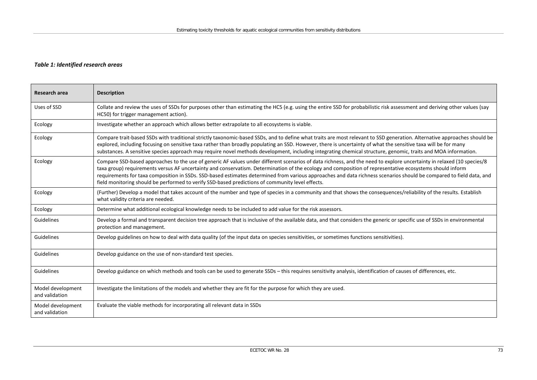#### *Table 1: Identified research areas*

| Research area                       | <b>Description</b>                                                                                                                                                                                                                                                                                                                                                                                                                                                                                                                                                                                           |
|-------------------------------------|--------------------------------------------------------------------------------------------------------------------------------------------------------------------------------------------------------------------------------------------------------------------------------------------------------------------------------------------------------------------------------------------------------------------------------------------------------------------------------------------------------------------------------------------------------------------------------------------------------------|
| Uses of SSD                         | Collate and review the uses of SSDs for purposes other than estimating the HC5 (e.g. using the entire SSD for probabilistic risk assessment and deriving other values (say<br>HC50) for trigger management action).                                                                                                                                                                                                                                                                                                                                                                                          |
| Ecology                             | Investigate whether an approach which allows better extrapolate to all ecosystems is viable.                                                                                                                                                                                                                                                                                                                                                                                                                                                                                                                 |
| Ecology                             | Compare trait-based SSDs with traditional strictly taxonomic-based SSDs, and to define what traits are most relevant to SSD generation. Alternative approaches should be<br>explored, including focusing on sensitive taxa rather than broadly populating an SSD. However, there is uncertainty of what the sensitive taxa will be for many<br>substances. A sensitive species approach may require novel methods development, including integrating chemical structure, genomic, traits and MOA information.                                                                                                |
| Ecology                             | Compare SSD-based approaches to the use of generic AF values under different scenarios of data richness, and the need to explore uncertainty in relaxed (10 species/8<br>taxa group) requirements versus AF uncertainty and conservatism. Determination of the ecology and composition of representative ecosystems should inform<br>requirements for taxa composition in SSDs. SSD-based estimates determined from various approaches and data richness scenarios should be compared to field data, and<br>field monitoring should be performed to verify SSD-based predictions of community level effects. |
| Ecology                             | (Further) Develop a model that takes account of the number and type of species in a community and that shows the consequences/reliability of the results. Establish<br>what validity criteria are needed.                                                                                                                                                                                                                                                                                                                                                                                                    |
| Ecology                             | Determine what additional ecological knowledge needs to be included to add value for the risk assessors.                                                                                                                                                                                                                                                                                                                                                                                                                                                                                                     |
| Guidelines                          | Develop a formal and transparent decision tree approach that is inclusive of the available data, and that considers the generic or specific use of SSDs in environmental<br>protection and management.                                                                                                                                                                                                                                                                                                                                                                                                       |
| Guidelines                          | Develop guidelines on how to deal with data quality (of the input data on species sensitivities, or sometimes functions sensitivities).                                                                                                                                                                                                                                                                                                                                                                                                                                                                      |
| Guidelines                          | Develop guidance on the use of non-standard test species.                                                                                                                                                                                                                                                                                                                                                                                                                                                                                                                                                    |
| Guidelines                          | Develop guidance on which methods and tools can be used to generate SSDs - this requires sensitivity analysis, identification of causes of differences, etc.                                                                                                                                                                                                                                                                                                                                                                                                                                                 |
| Model development<br>and validation | Investigate the limitations of the models and whether they are fit for the purpose for which they are used.                                                                                                                                                                                                                                                                                                                                                                                                                                                                                                  |
| Model development<br>and validation | Evaluate the viable methods for incorporating all relevant data in SSDs                                                                                                                                                                                                                                                                                                                                                                                                                                                                                                                                      |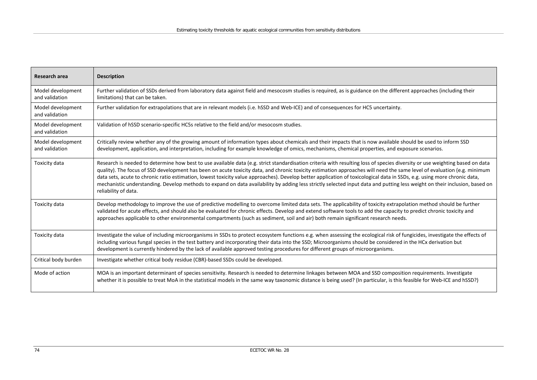| Research area                       | <b>Description</b>                                                                                                                                                                                                                                                                                                                                                                                                                                                                                                                                                                                                                                                                                                                        |
|-------------------------------------|-------------------------------------------------------------------------------------------------------------------------------------------------------------------------------------------------------------------------------------------------------------------------------------------------------------------------------------------------------------------------------------------------------------------------------------------------------------------------------------------------------------------------------------------------------------------------------------------------------------------------------------------------------------------------------------------------------------------------------------------|
| Model development<br>and validation | Further validation of SSDs derived from laboratory data against field and mesocosm studies is required, as is guidance on the different approaches (including their<br>limitations) that can be taken.                                                                                                                                                                                                                                                                                                                                                                                                                                                                                                                                    |
| Model development<br>and validation | Further validation for extrapolations that are in relevant models (i.e. hSSD and Web-ICE) and of consequences for HC5 uncertainty.                                                                                                                                                                                                                                                                                                                                                                                                                                                                                                                                                                                                        |
| Model development<br>and validation | Validation of hSSD scenario-specific HC5s relative to the field and/or mesocosm studies.                                                                                                                                                                                                                                                                                                                                                                                                                                                                                                                                                                                                                                                  |
| Model development<br>and validation | Critically review whether any of the growing amount of information types about chemicals and their impacts that is now available should be used to inform SSD<br>development, application, and interpretation, including for example knowledge of omics, mechanisms, chemical properties, and exposure scenarios.                                                                                                                                                                                                                                                                                                                                                                                                                         |
| Toxicity data                       | Research is needed to determine how best to use available data (e.g. strict standardisation criteria with resulting loss of species diversity or use weighting based on data<br>quality). The focus of SSD development has been on acute toxicity data, and chronic toxicity estimation approaches will need the same level of evaluation (e.g. minimum<br>data sets, acute to chronic ratio estimation, lowest toxicity value approaches). Develop better application of toxicological data in SSDs, e.g. using more chronic data,<br>mechanistic understanding. Develop methods to expand on data availability by adding less strictly selected input data and putting less weight on their inclusion, based on<br>reliability of data. |
| Toxicity data                       | Develop methodology to improve the use of predictive modelling to overcome limited data sets. The applicability of toxicity extrapolation method should be further<br>validated for acute effects, and should also be evaluated for chronic effects. Develop and extend software tools to add the capacity to predict chronic toxicity and<br>approaches applicable to other environmental compartments (such as sediment, soil and air) both remain significant research needs.                                                                                                                                                                                                                                                          |
| Toxicity data                       | Investigate the value of including microorganisms in SSDs to protect ecosystem functions e.g. when assessing the ecological risk of fungicides, investigate the effects of<br>including various fungal species in the test battery and incorporating their data into the SSD; Microorganisms should be considered in the HCx derivation but<br>development is currently hindered by the lack of available approved testing procedures for different groups of microorganisms.                                                                                                                                                                                                                                                             |
| Critical body burden                | Investigate whether critical body residue (CBR)-based SSDs could be developed.                                                                                                                                                                                                                                                                                                                                                                                                                                                                                                                                                                                                                                                            |
| Mode of action                      | MOA is an important determinant of species sensitivity. Research is needed to determine linkages between MOA and SSD composition requirements. Investigate<br>whether it is possible to treat MoA in the statistical models in the same way taxonomic distance is being used? (In particular, is this feasible for Web-ICE and hSSD?)                                                                                                                                                                                                                                                                                                                                                                                                     |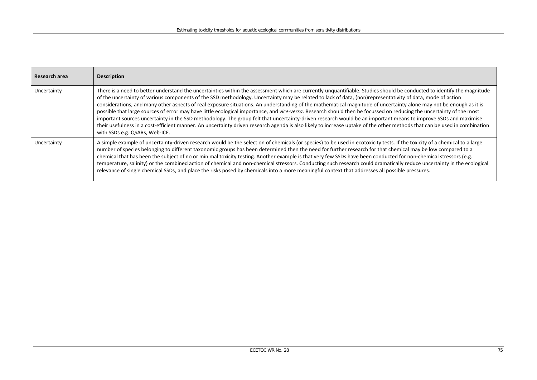| Research area | <b>Description</b>                                                                                                                                                                                                                                                                                                                                                                                                                                                                                                                                                                                                                                                                                                                                                                                                                                                                                                                                                                                                                                                  |
|---------------|---------------------------------------------------------------------------------------------------------------------------------------------------------------------------------------------------------------------------------------------------------------------------------------------------------------------------------------------------------------------------------------------------------------------------------------------------------------------------------------------------------------------------------------------------------------------------------------------------------------------------------------------------------------------------------------------------------------------------------------------------------------------------------------------------------------------------------------------------------------------------------------------------------------------------------------------------------------------------------------------------------------------------------------------------------------------|
| Uncertainty   | There is a need to better understand the uncertainties within the assessment which are currently unquantifiable. Studies should be conducted to identify the magnitude<br>of the uncertainty of various components of the SSD methodology. Uncertainty may be related to lack of data, (non)representativity of data, mode of action<br>considerations, and many other aspects of real exposure situations. An understanding of the mathematical magnitude of uncertainty alone may not be enough as it is<br>possible that large sources of error may have little ecological importance, and vice-versa. Research should then be focussed on reducing the uncertainty of the most<br>important sources uncertainty in the SSD methodology. The group felt that uncertainty-driven research would be an important means to improve SSDs and maximise<br>their usefulness in a cost-efficient manner. An uncertainty driven research agenda is also likely to increase uptake of the other methods that can be used in combination<br>with SSDs e.g. QSARs, Web-ICE. |
| Uncertainty   | A simple example of uncertainty-driven research would be the selection of chemicals (or species) to be used in ecotoxicity tests. If the toxicity of a chemical to a large<br>number of species belonging to different taxonomic groups has been determined then the need for further research for that chemical may be low compared to a<br>chemical that has been the subject of no or minimal toxicity testing. Another example is that very few SSDs have been conducted for non-chemical stressors (e.g.<br>temperature, salinity) or the combined action of chemical and non-chemical stressors. Conducting such research could dramatically reduce uncertainty in the ecological<br>relevance of single chemical SSDs, and place the risks posed by chemicals into a more meaningful context that addresses all possible pressures.                                                                                                                                                                                                                          |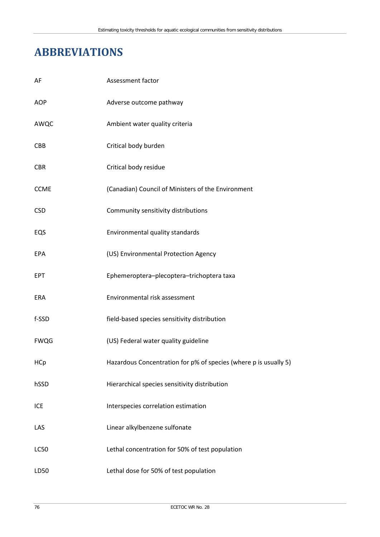# **ABBREVIATIONS**

| AF          | Assessment factor                                                |
|-------------|------------------------------------------------------------------|
| AOP         | Adverse outcome pathway                                          |
| AWQC        | Ambient water quality criteria                                   |
| <b>CBB</b>  | Critical body burden                                             |
| <b>CBR</b>  | Critical body residue                                            |
| <b>CCME</b> | (Canadian) Council of Ministers of the Environment               |
| <b>CSD</b>  | Community sensitivity distributions                              |
| EQS         | Environmental quality standards                                  |
| EPA         | (US) Environmental Protection Agency                             |
| EPT         | Ephemeroptera-plecoptera-trichoptera taxa                        |
| <b>ERA</b>  | Environmental risk assessment                                    |
| f-SSD       | field-based species sensitivity distribution                     |
| <b>FWQG</b> | (US) Federal water quality guideline                             |
| HCp         | Hazardous Concentration for p% of species (where p is usually 5) |
| hSSD        | Hierarchical species sensitivity distribution                    |
| ICE         | Interspecies correlation estimation                              |
| LAS         | Linear alkylbenzene sulfonate                                    |
| <b>LC50</b> | Lethal concentration for 50% of test population                  |
| LD50        | Lethal dose for 50% of test population                           |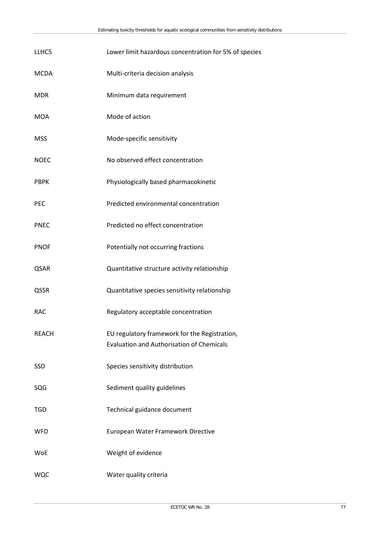| LLHC5        | Lower limit hazardous concentration for 5% of species                                             |
|--------------|---------------------------------------------------------------------------------------------------|
| <b>MCDA</b>  | Multi-criteria decision analysis                                                                  |
| <b>MDR</b>   | Minimum data requirement                                                                          |
| <b>MOA</b>   | Mode of action                                                                                    |
| <b>MSS</b>   | Mode-specific sensitivity                                                                         |
| <b>NOEC</b>  | No observed effect concentration                                                                  |
| <b>PBPK</b>  | Physiologically based pharmacokinetic                                                             |
| <b>PEC</b>   | Predicted environmental concentration                                                             |
| <b>PNEC</b>  | Predicted no effect concentration                                                                 |
| <b>PNOF</b>  | Potentially not occurring fractions                                                               |
| QSAR         | Quantitative structure activity relationship                                                      |
| QSSR         | Quantitative species sensitivity relationship                                                     |
| <b>RAC</b>   | Regulatory acceptable concentration                                                               |
| <b>REACH</b> | EU regulatory framework for the Registration,<br><b>Evaluation and Authorisation of Chemicals</b> |
| SSD          | Species sensitivity distribution                                                                  |
| SQG          | Sediment quality guidelines                                                                       |
| <b>TGD</b>   | Technical guidance document                                                                       |
| <b>WFD</b>   | European Water Framework Directive                                                                |
| <b>WoE</b>   | Weight of evidence                                                                                |
| <b>WQC</b>   | Water quality criteria                                                                            |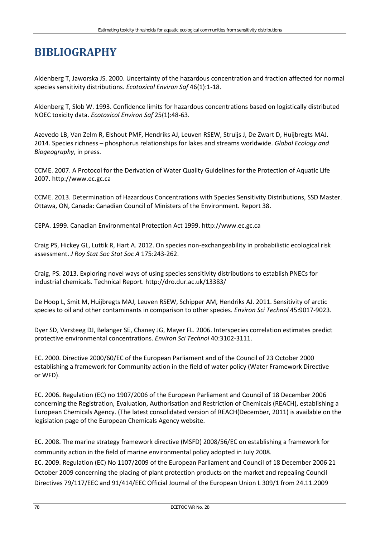### **BIBLIOGRAPHY**

Aldenberg T, Jaworska JS. 2000. Uncertainty of the hazardous concentration and fraction affected for normal species sensitivity distributions. *Ecotoxicol Environ Saf* 46(1):1-18.

Aldenberg T, Slob W. 1993. Confidence limits for hazardous concentrations based on logistically distributed NOEC toxicity data. *Ecotoxicol Environ Saf* 25(1):48-63.

Azevedo LB, Van Zelm R, Elshout PMF, Hendriks AJ, Leuven RSEW, Struijs J, De Zwart D, Huijbregts MAJ. 2014. Species richness – phosphorus relationships for lakes and streams worldwide. *Global Ecology and Biogeography*, in press.

CCME. 2007. A Protocol for the Derivation of Water Quality Guidelines for the Protection of Aquatic Life 2007. http:/[/www.ec.gc.ca](http://www.ec.gc.ca/)

CCME. 2013. Determination of Hazardous Concentrations with Species Sensitivity Distributions, SSD Master. Ottawa, ON, Canada: Canadian Council of Ministers of the Environment. Report 38.

CEPA. 1999. Canadian Environmental Protection Act 1999. [http://www.ec.gc.ca](http://www.ec.gc.ca/)

Craig PS, Hickey GL, Luttik R, Hart A. 2012. On species non-exchangeability in probabilistic ecological risk assessment. *J Roy Stat Soc Stat Soc A* 175:243-262.

Craig, PS. 2013. Exploring novel ways of using species sensitivity distributions to establish PNECs for industrial chemicals. Technical Report.<http://dro.dur.ac.uk/13383/>

De Hoop L, Smit M, Huijbregts MAJ, Leuven RSEW, Schipper AM, Hendriks AJ. 2011. Sensitivity of arctic species to oil and other contaminants in comparison to other species. *Environ Sci Technol* 45:9017-9023.

Dyer SD, Versteeg DJ, Belanger SE, Chaney JG, Mayer FL. 2006. Interspecies correlation estimates predict protective environmental concentrations. *Environ Sci Technol* 40:3102-3111.

EC. 2000. Directive 2000/60/EC of the European Parliament and of the Council of 23 October 2000 establishing a framework for Community action in the field of water policy (Water Framework Directive or WFD).

EC. 2006. Regulation (EC) no 1907/2006 of the European Parliament and Council of 18 December 2006 concerning the Registration, Evaluation, Authorisation and Restriction of Chemicals (REACH), establishing a European Chemicals Agency. (The latest consolidated version of REACH(December, 2011) is available on the legislation page of the European Chemicals Agency website.

EC. 2008. The marine strategy framework directive (MSFD) 2008/56/EC on establishing a framework for community action in the field of marine environmental policy adopted in July 2008.

EC. 2009. Regulation (EC) No 1107/2009 of the European Parliament and Council of 18 December 2006 21 October 2009 concerning the placing of plant protection products on the market and repealing Council Directives 79/117/EEC and 91/414/EEC Official Journal of the European Union L 309/1 from 24.11.2009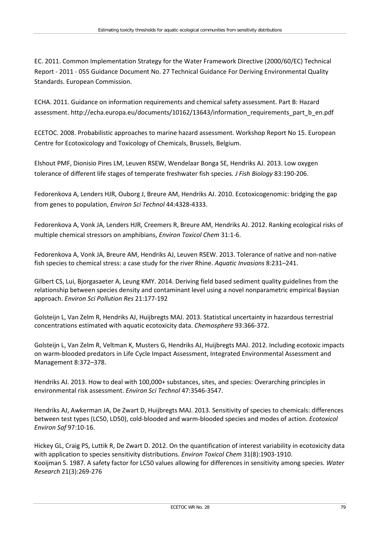EC. 2011. Common Implementation Strategy for the Water Framework Directive (2000/60/EC) Technical Report - 2011 - 055 Guidance Document No. 27 Technical Guidance For Deriving Environmental Quality Standards. European Commission.

ECHA. 2011. Guidance on information requirements and chemical safety assessment. Part B: Hazard assessment. [http://echa.europa.eu/documents/10162/13643/information\\_requirements\\_part\\_b\\_en.pdf](http://echa.europa.eu/documents/10162/13643/information_requirements_part_b_en.pdf)

ECETOC. 2008. Probabilistic approaches to marine hazard assessment. Workshop Report No 15. European Centre for Ecotoxicology and Toxicology of Chemicals, Brussels, Belgium.

Elshout PMF, Dionisio Pires LM, Leuven RSEW, Wendelaar Bonga SE, Hendriks AJ. 2013. Low oxygen tolerance of different life stages of temperate freshwater fish species*. J Fish Biology* 83:190-206.

Fedorenkova A, Lenders HJR, Ouborg J, Breure AM, Hendriks AJ. 2010. Ecotoxicogenomic: bridging the gap from genes to population, *Environ Sci Technol* 44:4328-4333.

Fedorenkova A, Vonk JA, Lenders HJR, Creemers R, Breure AM, Hendriks AJ. 2012. Ranking ecological risks of multiple chemical stressors on amphibians, *Environ Toxicol Chem* 31:1-6.

Fedorenkova A, Vonk JA, Breure AM, Hendriks AJ, Leuven RSEW. 2013. Tolerance of native and non-native fish species to chemical stress: a case study for the river Rhine. *Aquatic Invasions* 8:231–241.

Gilbert CS, Lui, Bjorgasaeter A, Leung KMY. 2014. Deriving field based sediment quality guidelines from the relationship between species density and contaminant level using a novel nonparametric empirical Baysian approach. *Environ Sci Pollution Res* 21:177-192

Golsteijn L, Van Zelm R, Hendriks AJ, Huijbregts MAJ. 2013. Statistical uncertainty in hazardous terrestrial concentrations estimated with aquatic ecotoxicity data. *Chemosphere* 93:366-372.

Golsteijn L, Van Zelm R, Veltman K, Musters G, Hendriks AJ, Huijbregts MAJ. 2012. Including ecotoxic impacts on warm-blooded predators in Life Cycle Impact Assessment, Integrated Environmental Assessment and Management 8:372–378.

Hendriks AJ. 2013. How to deal with 100,000+ substances, sites, and species: Overarching principles in environmental risk assessment. *Environ Sci Technol* 47:3546-3547.

Hendriks AJ, Awkerman JA, De Zwart D, Huijbregts MAJ. 2013. Sensitivity of species to chemicals: differences between test types (LC50, LD50), cold-blooded and warm-blooded species and modes of action. *Ecotoxicol Environ Saf* 97:10-16.

Hickey GL, Craig PS, Luttik R, De Zwart D. 2012. On the quantification of interest variability in ecotoxicity data with application to species sensitivity distributions. *Environ Toxicol Chem* 31(8):1903-1910. Kooijman S. 1987. A safety factor for LC50 values allowing for differences in sensitivity among species. *Water Research* 21(3):269-276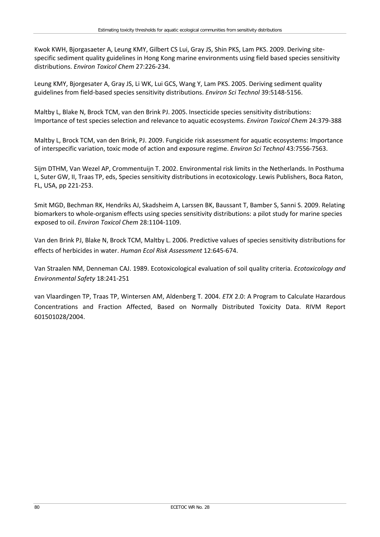Kwok KWH, Bjorgasaeter A, Leung KMY, Gilbert CS Lui, Gray JS, Shin PKS, Lam PKS. 2009. Deriving sitespecific sediment quality guidelines in Hong Kong marine environments using field based species sensitivity distributions. *Environ Toxicol Chem* 27:226-234.

Leung KMY, Bjorgesater A, Gray JS, Li WK, Lui GCS, Wang Y, Lam PKS. 2005. Deriving sediment quality guidelines from field-based species sensitivity distributions. *Environ Sci Technol* 39:5148-5156.

Maltby L, Blake N, Brock TCM, van den Brink PJ. 2005. Insecticide species sensitivity distributions: Importance of test species selection and relevance to aquatic ecosystems. *Environ Toxicol Chem* 24:379-388

Maltby L, Brock TCM, van den Brink, PJ. 2009. Fungicide risk assessment for aquatic ecosystems: Importance of interspecific variation, toxic mode of action and exposure regime. *Environ Sci Technol* 43:7556-7563.

Sijm DTHM, Van Wezel AP, Crommentuijn T. 2002. Environmental risk limits in the Netherlands. In Posthuma L, Suter GW, II, Traas TP, eds, Species sensitivity distributions in ecotoxicology. Lewis Publishers, Boca Raton, FL, USA, pp 221-253.

Smit MGD, Bechman RK, Hendriks AJ, Skadsheim A, Larssen BK, Baussant T, Bamber S, Sanni S. 2009. Relating biomarkers to whole-organism effects using species sensitivity distributions: a pilot study for marine species exposed to oil. *Environ Toxicol Chem* 28:1104-1109.

Van den Brink PJ, Blake N, Brock TCM, Maltby L. 2006. Predictive values of species sensitivity distributions for effects of herbicides in water. *Human Ecol Risk Assessment* 12:645-674.

Van Straalen NM, Denneman CAJ. 1989. Ecotoxicological evaluation of soil quality criteria. *Ecotoxicology and Environmental Safety* 18:241-251

van Vlaardingen TP, Traas TP, Wintersen AM, Aldenberg T. 2004. *ETX* 2.0: A Program to Calculate Hazardous Concentrations and Fraction Affected, Based on Normally Distributed Toxicity Data. RIVM Report 601501028/2004.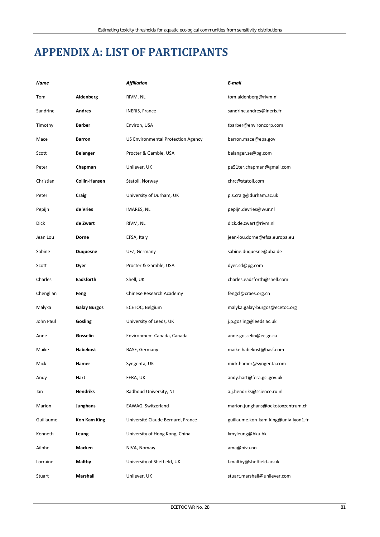### **APPENDIX A: LIST OF PARTICIPANTS**

| Name      |                     | <b>Affiliation</b>                 | E-mail                               |
|-----------|---------------------|------------------------------------|--------------------------------------|
| Tom       | Aldenberg           | RIVM, NL                           | tom.aldenberg@rivm.nl                |
| Sandrine  | <b>Andres</b>       | <b>INERIS, France</b>              | sandrine.andres@ineris.fr            |
| Timothy   | Barber              | Environ, USA                       | tbarber@environcorp.com              |
| Mace      | Barron              | US Environmental Protection Agency | barron.mace@epa.gov                  |
| Scott     | Belanger            | Procter & Gamble, USA              | belanger.se@pg.com                   |
| Peter     | Chapman             | Unilever, UK                       | pe51ter.chapman@gmail.com            |
| Christian | Collin-Hansen       | Statoil, Norway                    | chrc@statoil.com                     |
| Peter     | Craig               | University of Durham, UK           | p.s.craig@durham.ac.uk               |
| Pepijn    | de Vries            | IMARES, NL                         | pepijn.devries@wur.nl                |
| Dick      | de Zwart            | RIVM, NL                           | dick.de.zwart@rivm.nl                |
| Jean Lou  | Dorne               | EFSA, Italy                        | jean-lou.dorne@efsa.europa.eu        |
| Sabine    | <b>Duquesne</b>     | UFZ, Germany                       | sabine.duquesne@uba.de               |
| Scott     | Dyer                | Procter & Gamble, USA              | dyer.sd@pg.com                       |
| Charles   | Eadsforth           | Shell, UK                          | charles.eadsforth@shell.com          |
| Chenglian | Feng                | Chinese Research Academy           | fengcl@craes.org.cn                  |
| Malyka    | <b>Galay Burgos</b> | ECETOC, Belgium                    | malyka.galay-burgos@ecetoc.org       |
| John Paul | Gosling             | University of Leeds, UK            | j.p.gosling@leeds.ac.uk              |
| Anne      | Gosselin            | Environment Canada, Canada         | anne.gosselin@ec.gc.ca               |
| Maike     | Habekost            | BASF, Germany                      | maike.habekost@basf.com              |
| Mick      | Hamer               | Syngenta, UK                       | mick.hamer@syngenta.com              |
| Andy      | Hart                | FERA, UK                           | andy.hart@fera.gsi.gov.uk            |
| Jan       | <b>Hendriks</b>     | Radboud University, NL             | a.j.hendriks@science.ru.nl           |
| Marion    | Junghans            | EAWAG, Switzerland                 | marion.junghans@oekotoxzentrum.ch    |
| Guillaume | Kon Kam King        | Université Claude Bernard, France  | guillaume.kon-kam-king@univ-lyon1.fr |
| Kenneth   | Leung               | University of Hong Kong, China     | kmyleung@hku.hk                      |
| Ailbhe    | Macken              | NIVA, Norway                       | ama@niva.no                          |
| Lorraine  | Maltby              | University of Sheffield, UK        | l.maltby@sheffield.ac.uk             |
| Stuart    | Marshall            | Unilever, UK                       | stuart.marshall@unilever.com         |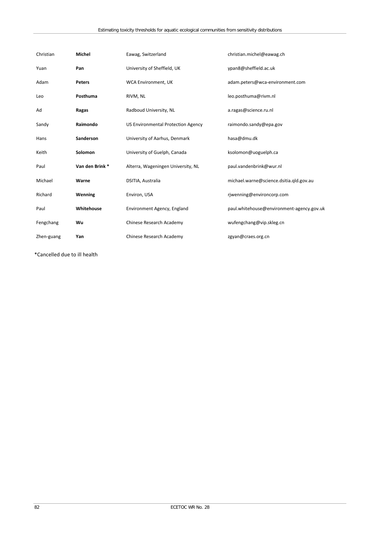| Christian  | <b>Michel</b>  | Eawag, Switzerland                        | christian.michel@eawag.ch                 |
|------------|----------------|-------------------------------------------|-------------------------------------------|
| Yuan       | Pan            | University of Sheffield, UK               | ypan8@sheffield.ac.uk                     |
| Adam       | Peters         | <b>WCA Environment, UK</b>                | adam.peters@wca-environment.com           |
| Leo        | Posthuma       | RIVM, NL                                  | leo.posthuma@rivm.nl                      |
| Ad         | Ragas          | Radboud University, NL                    | a.ragas@science.ru.nl                     |
| Sandy      | Raimondo       | <b>US Environmental Protection Agency</b> | raimondo.sandy@epa.gov                    |
| Hans       | Sanderson      | University of Aarhus, Denmark             | hasa@dmu.dk                               |
| Keith      | Solomon        | University of Guelph, Canada              | ksolomon@uoguelph.ca                      |
| Paul       | Van den Brink* | Alterra, Wageningen University, NL        | paul.vandenbrink@wur.nl                   |
| Michael    | Warne          | DSITIA, Australia                         | michael.warne@science.dsitia.qld.gov.au   |
| Richard    | Wenning        | Environ, USA                              | rjwenning@environcorp.com                 |
| Paul       | Whitehouse     | Environment Agency, England               | paul.whitehouse@environment-agency.gov.uk |
| Fengchang  | Wu             | Chinese Research Academy                  | wufengchang@vip.skleg.cn                  |
| Zhen-guang | Yan            | Chinese Research Academy                  | zgyan@craes.org.cn                        |

\*Cancelled due to ill health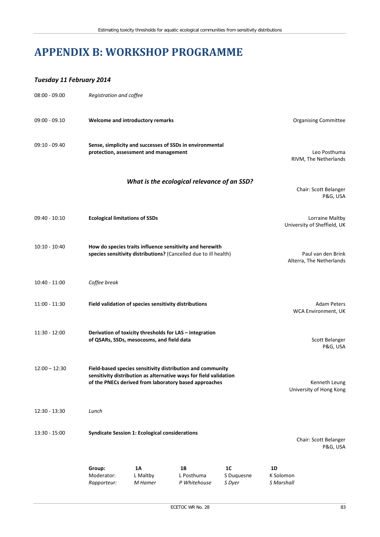### **APPENDIX B: WORKSHOP PROGRAMME**

#### *Tuesday 11 February 2014*

| $08:00 - 09.00$ | Registration and coffee                                                                                                      |                                                       |                                                                                                                                                                                          |                                                |                                                |
|-----------------|------------------------------------------------------------------------------------------------------------------------------|-------------------------------------------------------|------------------------------------------------------------------------------------------------------------------------------------------------------------------------------------------|------------------------------------------------|------------------------------------------------|
| $09:00 - 09.10$ |                                                                                                                              | Welcome and introductory remarks                      |                                                                                                                                                                                          |                                                | <b>Organising Committee</b>                    |
| $09:10 - 09.40$ | Sense, simplicity and successes of SSDs in environmental<br>protection, assessment and management                            |                                                       |                                                                                                                                                                                          | Leo Posthuma<br>RIVM, The Netherlands          |                                                |
|                 |                                                                                                                              |                                                       | What is the ecological relevance of an SSD?                                                                                                                                              |                                                | Chair: Scott Belanger<br>P&G, USA              |
| $09:40 - 10:10$ | <b>Ecological limitations of SSDs</b>                                                                                        |                                                       |                                                                                                                                                                                          |                                                | Lorraine Maltby<br>University of Sheffield, UK |
| $10:10 - 10:40$ | How do species traits influence sensitivity and herewith<br>species sensitivity distributions? (Cancelled due to ill health) |                                                       |                                                                                                                                                                                          | Paul van den Brink<br>Alterra, The Netherlands |                                                |
| $10:40 - 11:00$ | Coffee break                                                                                                                 |                                                       |                                                                                                                                                                                          |                                                |                                                |
| $11:00 - 11:30$ |                                                                                                                              | Field validation of species sensitivity distributions |                                                                                                                                                                                          |                                                | <b>Adam Peters</b><br>WCA Environment, UK      |
| 11:30 - 12:00   |                                                                                                                              | of QSARs, SSDs, mesocosms, and field data             | Derivation of toxicity thresholds for LAS - integration                                                                                                                                  |                                                | Scott Belanger<br>P&G, USA                     |
| $12:00 - 12:30$ |                                                                                                                              |                                                       | Field-based species sensitivity distribution and community<br>sensitivity distribution as alternative ways for field validation<br>of the PNECs derived from laboratory based approaches |                                                | Kenneth Leung<br>University of Hong Kong       |
| $12:30 - 13:30$ | Lunch                                                                                                                        |                                                       |                                                                                                                                                                                          |                                                |                                                |
| 13:30 - 15:00   |                                                                                                                              | <b>Syndicate Session 1: Ecological considerations</b> |                                                                                                                                                                                          |                                                | Chair: Scott Belanger<br>P&G, USA              |
|                 | Group:<br>Moderator:<br>Rapporteur:                                                                                          | <b>1A</b><br>L Maltby<br>M Hamer                      | 1B<br>L Posthuma<br>P Whitehouse                                                                                                                                                         | 1C<br>S Duquesne<br>S Dyer                     | 1D<br>K Solomon<br>S Marshall                  |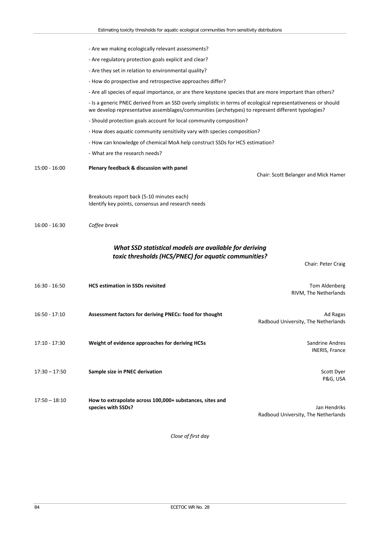|                 | - Are we making ecologically relevant assessments?                                                                                                                                                                 |                                                     |
|-----------------|--------------------------------------------------------------------------------------------------------------------------------------------------------------------------------------------------------------------|-----------------------------------------------------|
|                 | - Are regulatory protection goals explicit and clear?                                                                                                                                                              |                                                     |
|                 | - Are they set in relation to environmental quality?                                                                                                                                                               |                                                     |
|                 | - How do prospective and retrospective approaches differ?                                                                                                                                                          |                                                     |
|                 | - Are all species of equal importance, or are there keystone species that are more important than others?                                                                                                          |                                                     |
|                 | - Is a generic PNEC derived from an SSD overly simplistic in terms of ecological representativeness or should<br>we develop representative assemblages/communities (archetypes) to represent different typologies? |                                                     |
|                 | - Should protection goals account for local community composition?                                                                                                                                                 |                                                     |
|                 | - How does aquatic community sensitivity vary with species composition?                                                                                                                                            |                                                     |
|                 | - How can knowledge of chemical MoA help construct SSDs for HC5 estimation?                                                                                                                                        |                                                     |
|                 | - What are the research needs?                                                                                                                                                                                     |                                                     |
| $15:00 - 16:00$ | Plenary feedback & discussion with panel                                                                                                                                                                           | Chair: Scott Belanger and Mick Hamer                |
|                 | Breakouts report back (5-10 minutes each)<br>Identify key points, consensus and research needs                                                                                                                     |                                                     |
| $16:00 - 16:30$ | Coffee break                                                                                                                                                                                                       |                                                     |
|                 | What SSD statistical models are available for deriving<br>toxic thresholds (HC5/PNEC) for aquatic communities?                                                                                                     | Chair: Peter Craig                                  |
| $16:30 - 16:50$ | <b>HC5 estimation in SSDs revisited</b>                                                                                                                                                                            | Tom Aldenberg<br>RIVM, The Netherlands              |
| $16:50 - 17:10$ | Assessment factors for deriving PNECs: food for thought                                                                                                                                                            | Ad Ragas<br>Radboud University, The Netherlands     |
| 17:10 - 17:30   | Weight of evidence approaches for deriving HC5s                                                                                                                                                                    | Sandrine Andres<br><b>INERIS, France</b>            |
| $17:30 - 17:50$ | Sample size in PNEC derivation                                                                                                                                                                                     | Scott Dyer<br>P&G, USA                              |
| $17:50 - 18:10$ | How to extrapolate across 100,000+ substances, sites and<br>species with SSDs?                                                                                                                                     | Jan Hendriks<br>Radboud University, The Netherlands |

*Close of first day*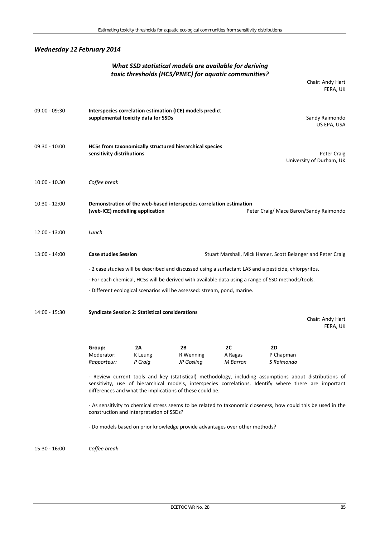### *Wednesday 12 February 2014*

### *What SSD statistical models are available for deriving toxic thresholds (HC5/PNEC) for aquatic communities?*

Chair: Andy Hart FERA, UK

| $09:00 - 09:30$ | Interspecies correlation estimation (ICE) models predict<br>supplemental toxicity data for SSDs                                                                                                                                                                              |                                                        |                                                                             | Sandy Raimondo<br>US EPA, USA |                                                                                                               |
|-----------------|------------------------------------------------------------------------------------------------------------------------------------------------------------------------------------------------------------------------------------------------------------------------------|--------------------------------------------------------|-----------------------------------------------------------------------------|-------------------------------|---------------------------------------------------------------------------------------------------------------|
| $09:30 - 10:00$ | HC5s from taxonomically structured hierarchical species<br>sensitivity distributions<br>Peter Craig<br>University of Durham, UK                                                                                                                                              |                                                        |                                                                             |                               |                                                                                                               |
| $10:00 - 10.30$ | Coffee break                                                                                                                                                                                                                                                                 |                                                        |                                                                             |                               |                                                                                                               |
| $10:30 - 12:00$ | (web-ICE) modelling application                                                                                                                                                                                                                                              |                                                        | Demonstration of the web-based interspecies correlation estimation          |                               | Peter Craig/ Mace Baron/Sandy Raimondo                                                                        |
| 12:00 - 13:00   | Lunch                                                                                                                                                                                                                                                                        |                                                        |                                                                             |                               |                                                                                                               |
| 13:00 - 14:00   | <b>Case studies Session</b>                                                                                                                                                                                                                                                  |                                                        |                                                                             |                               | Stuart Marshall, Mick Hamer, Scott Belanger and Peter Craig                                                   |
|                 |                                                                                                                                                                                                                                                                              |                                                        |                                                                             |                               |                                                                                                               |
|                 | - 2 case studies will be described and discussed using a surfactant LAS and a pesticide, chlorpyrifos.<br>- For each chemical, HC5s will be derived with available data using a range of SSD methods/tools.                                                                  |                                                        |                                                                             |                               |                                                                                                               |
|                 |                                                                                                                                                                                                                                                                              |                                                        | - Different ecological scenarios will be assessed: stream, pond, marine.    |                               |                                                                                                               |
| 14:00 - 15:30   |                                                                                                                                                                                                                                                                              | <b>Syndicate Session 2: Statistical considerations</b> |                                                                             |                               |                                                                                                               |
|                 |                                                                                                                                                                                                                                                                              |                                                        |                                                                             |                               | Chair: Andy Hart<br>FERA, UK                                                                                  |
|                 | Group:                                                                                                                                                                                                                                                                       | 2A                                                     | 2B                                                                          | 2C                            | 2D                                                                                                            |
|                 | Moderator:<br>Rapporteur:                                                                                                                                                                                                                                                    | K Leung<br>P Craig                                     | R Wenning<br>JP Gosling                                                     | A Ragas<br>M Barron           | P Chapman<br>S Raimondo                                                                                       |
|                 | - Review current tools and key (statistical) methodology, including assumptions about distributions of<br>sensitivity, use of hierarchical models, interspecies correlations. Identify where there are important<br>differences and what the implications of these could be. |                                                        |                                                                             |                               |                                                                                                               |
|                 |                                                                                                                                                                                                                                                                              | construction and interpretation of SSDs?               |                                                                             |                               | - As sensitivity to chemical stress seems to be related to taxonomic closeness, how could this be used in the |
|                 |                                                                                                                                                                                                                                                                              |                                                        | - Do models based on prior knowledge provide advantages over other methods? |                               |                                                                                                               |
| 15:30 - 16:00   | Coffee break                                                                                                                                                                                                                                                                 |                                                        |                                                                             |                               |                                                                                                               |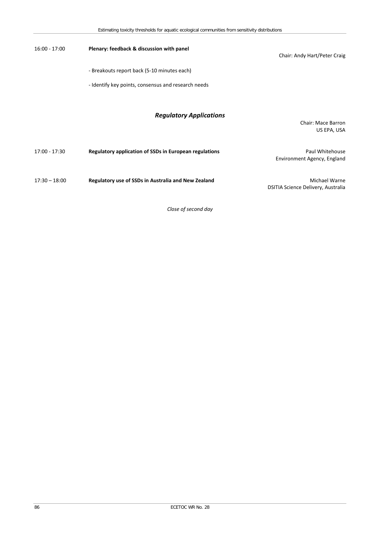| $16:00 - 17:00$ | Plenary: feedback & discussion with panel              | Chair: Andy Hart/Peter Craig                               |
|-----------------|--------------------------------------------------------|------------------------------------------------------------|
|                 | - Breakouts report back (5-10 minutes each)            |                                                            |
|                 | - Identify key points, consensus and research needs    |                                                            |
|                 | <b>Regulatory Applications</b>                         | <b>Chair: Mace Barron</b><br>US EPA, USA                   |
| 17:00 - 17:30   | Regulatory application of SSDs in European regulations | Paul Whitehouse<br>Environment Agency, England             |
| $17:30 - 18:00$ | Regulatory use of SSDs in Australia and New Zealand    | <b>Michael Warne</b><br>DSITIA Science Delivery, Australia |

*Close of second day*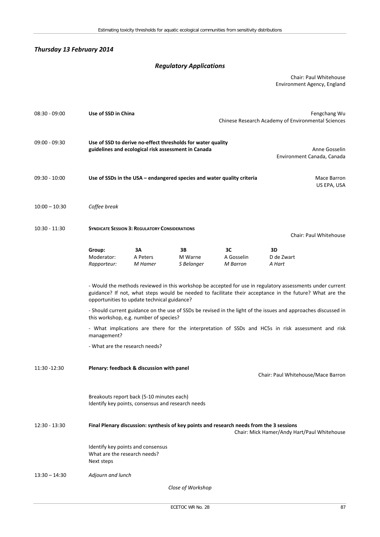#### *Thursday 13 February 2014*

### *Regulatory Applications*

Chair: Paul Whitehouse Environment Agency, England

| $08:30 - 09:00$ | Use of SSD in China                                                                                                                                                                                                                                                 |                           |                                                                                                                    | Fengchang Wu<br>Chinese Research Academy of Environmental Sciences |                                    |                            |
|-----------------|---------------------------------------------------------------------------------------------------------------------------------------------------------------------------------------------------------------------------------------------------------------------|---------------------------|--------------------------------------------------------------------------------------------------------------------|--------------------------------------------------------------------|------------------------------------|----------------------------|
| $09:00 - 09:30$ |                                                                                                                                                                                                                                                                     |                           | Use of SSD to derive no-effect thresholds for water quality<br>guidelines and ecological risk assessment in Canada |                                                                    | Environment Canada, Canada         | Anne Gosselin              |
| $09:30 - 10:00$ | Use of SSDs in the USA – endangered species and water quality criteria                                                                                                                                                                                              |                           |                                                                                                                    |                                                                    |                                    | Mace Barron<br>US EPA, USA |
| $10:00 - 10:30$ | Coffee break                                                                                                                                                                                                                                                        |                           |                                                                                                                    |                                                                    |                                    |                            |
| $10:30 - 11:30$ | <b>SYNDICATE SESSION 3: REGULATORY CONSIDERATIONS</b><br><b>Chair: Paul Whitehouse</b>                                                                                                                                                                              |                           |                                                                                                                    |                                                                    |                                    |                            |
|                 | Group:<br>Moderator:<br>Rapporteur:                                                                                                                                                                                                                                 | 3A<br>A Peters<br>M Hamer | 3В<br>M Warne<br>S Belanger                                                                                        | зс<br>A Gosselin<br>M Barron                                       | 3D<br>D de Zwart<br>A Hart         |                            |
|                 | - Would the methods reviewed in this workshop be accepted for use in regulatory assessments under current<br>guidance? If not, what steps would be needed to facilitate their acceptance in the future? What are the<br>opportunities to update technical guidance? |                           |                                                                                                                    |                                                                    |                                    |                            |
|                 | - Should current guidance on the use of SSDs be revised in the light of the issues and approaches discussed in<br>this workshop, e.g. number of species?                                                                                                            |                           |                                                                                                                    |                                                                    |                                    |                            |
|                 | - What implications are there for the interpretation of SSDs and HC5s in risk assessment and risk<br>management?                                                                                                                                                    |                           |                                                                                                                    |                                                                    |                                    |                            |
|                 | - What are the research needs?                                                                                                                                                                                                                                      |                           |                                                                                                                    |                                                                    |                                    |                            |
| 11:30 -12:30    | Plenary: feedback & discussion with panel                                                                                                                                                                                                                           |                           |                                                                                                                    |                                                                    | Chair: Paul Whitehouse/Mace Barron |                            |
|                 | Breakouts report back (5-10 minutes each)<br>Identify key points, consensus and research needs                                                                                                                                                                      |                           |                                                                                                                    |                                                                    |                                    |                            |
| 12:30 - 13:30   | Final Plenary discussion: synthesis of key points and research needs from the 3 sessions<br>Chair: Mick Hamer/Andy Hart/Paul Whitehouse                                                                                                                             |                           |                                                                                                                    |                                                                    |                                    |                            |
|                 | Identify key points and consensus<br>What are the research needs?<br>Next steps                                                                                                                                                                                     |                           |                                                                                                                    |                                                                    |                                    |                            |
| $13:30 - 14:30$ | Adjourn and lunch                                                                                                                                                                                                                                                   |                           |                                                                                                                    |                                                                    |                                    |                            |
|                 |                                                                                                                                                                                                                                                                     |                           | Close of Workshop                                                                                                  |                                                                    |                                    |                            |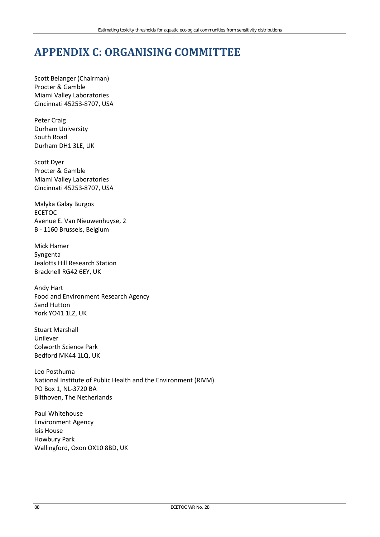### **APPENDIX C: ORGANISING COMMITTEE**

Scott Belanger (Chairman) Procter & Gamble Miami Valley Laboratories Cincinnati 45253-8707, USA

Peter Craig Durham University South Road Durham DH1 3LE, UK

Scott Dyer Procter & Gamble Miami Valley Laboratories Cincinnati 45253-8707, USA

Malyka Galay Burgos ECETOC Avenue E. Van Nieuwenhuyse, 2 B - 1160 Brussels, Belgium

Mick Hamer Syngenta Jealotts Hill Research Station Bracknell RG42 6EY, UK

Andy Hart Food and Environment Research Agency Sand Hutton York YO41 1LZ, UK

Stuart Marshall Unilever Colworth Science Park Bedford MK44 1LQ, UK

Leo Posthuma National Institute of Public Health and the Environment (RIVM) PO Box 1, NL-3720 BA Bilthoven, The Netherlands

Paul Whitehouse Environment Agency Isis House Howbury Park Wallingford, Oxon OX10 8BD, UK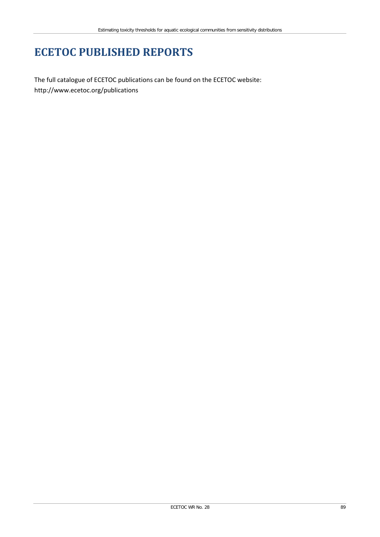### **ECETOC PUBLISHED REPORTS**

The full catalogue of ECETOC publications can be found on the ECETOC website: <http://www.ecetoc.org/publications>